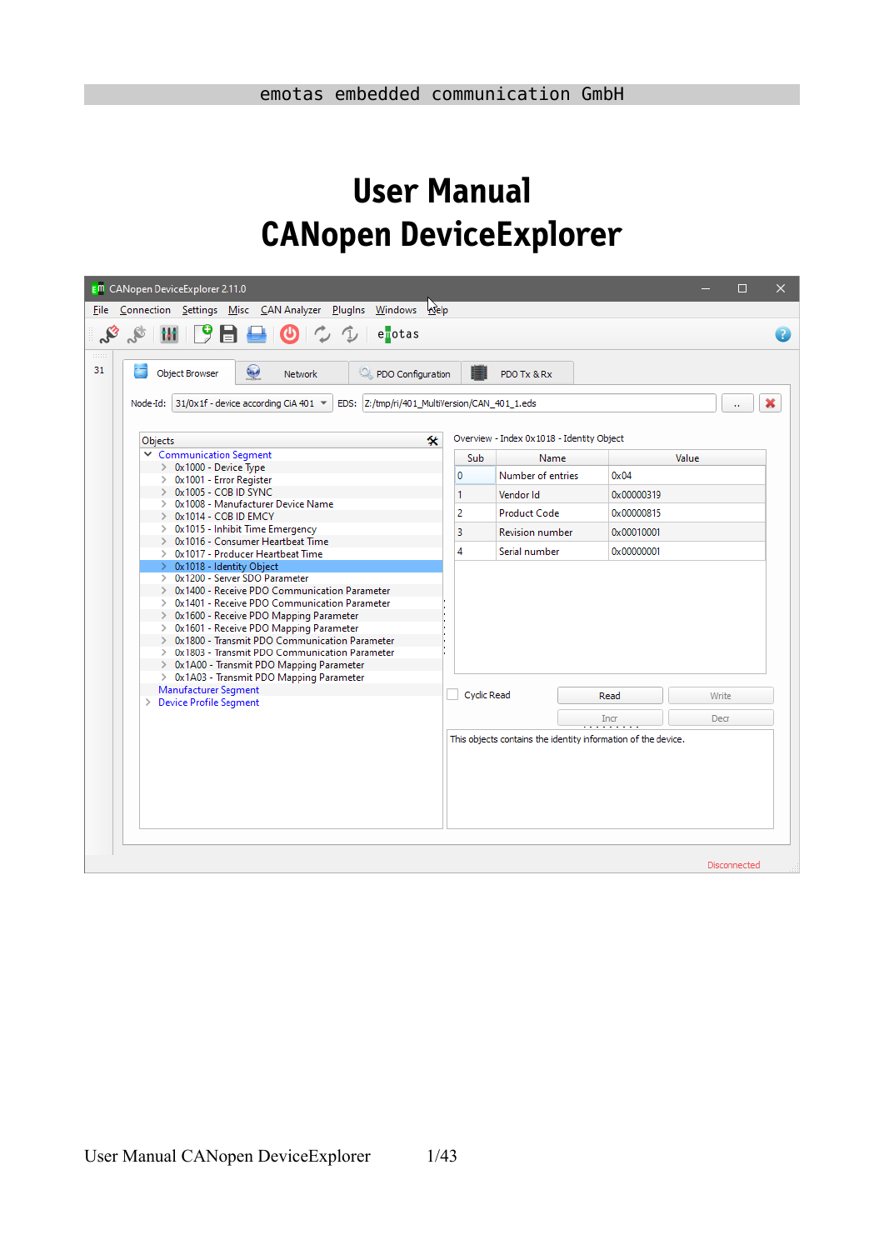# **User Manual CANopen DeviceExplorer**

| <b>E<sup>m</sup></b> CANopen DeviceExplorer 2.11.0                                                                                                                                                                                                                                                                                                                                                                                                        |             |                                           |                                                               | ×<br>$\Box$  |
|-----------------------------------------------------------------------------------------------------------------------------------------------------------------------------------------------------------------------------------------------------------------------------------------------------------------------------------------------------------------------------------------------------------------------------------------------------------|-------------|-------------------------------------------|---------------------------------------------------------------|--------------|
| File Connection Settings Misc CAN Analyzer PlugIns Windows <a></a> Qelp                                                                                                                                                                                                                                                                                                                                                                                   |             |                                           |                                                               |              |
| $\mathcal{S}$ iii $9$ $\blacksquare$<br>$\bigcirc$ $\circ$ $\circ$<br>enotas                                                                                                                                                                                                                                                                                                                                                                              |             |                                           |                                                               |              |
| 111111<br>31<br>÷<br>لمعا<br>Object Browser<br>PDO Configuration<br><b>Network</b>                                                                                                                                                                                                                                                                                                                                                                        |             | PDO Tx & Rx                               |                                                               |              |
| Node-Id: 31/0x1f - device according CiA 401 ▼<br>EDS:  Z:/tmp/ri/401_MultiVersion/CAN_401_1.eds                                                                                                                                                                                                                                                                                                                                                           |             |                                           |                                                               | ò.           |
| 氽<br>Objects                                                                                                                                                                                                                                                                                                                                                                                                                                              |             | Overview - Index 0x1018 - Identity Object |                                                               |              |
| Communication Segment                                                                                                                                                                                                                                                                                                                                                                                                                                     | Sub         | Name                                      | Value                                                         |              |
| $\geq 0x1000$ - Device Type                                                                                                                                                                                                                                                                                                                                                                                                                               | 0           | Number of entries                         | $0 \times 04$                                                 |              |
| > 0x1001 - Error Register<br>> 0x1005 - COB ID SYNC                                                                                                                                                                                                                                                                                                                                                                                                       | 1           | Vendor Id                                 | 0x00000319                                                    |              |
| > 0x1008 - Manufacturer Device Name                                                                                                                                                                                                                                                                                                                                                                                                                       |             |                                           |                                                               |              |
| $\geq$ 0x1014 - COB ID EMCY<br>> 0x1015 - Inhibit Time Emergency                                                                                                                                                                                                                                                                                                                                                                                          | 2           | <b>Product Code</b>                       | 0x00000815                                                    |              |
| > 0x1016 - Consumer Heartbeat Time                                                                                                                                                                                                                                                                                                                                                                                                                        | 3           | <b>Revision number</b>                    | 0x00010001                                                    |              |
| > 0x1017 - Producer Heartbeat Time                                                                                                                                                                                                                                                                                                                                                                                                                        | 4           | Serial number                             | 0x00000001                                                    |              |
| > 0x1018 - Identity Object<br>> 0x1200 - Server SDO Parameter<br>> 0x1400 - Receive PDO Communication Parameter<br>> 0x1401 - Receive PDO Communication Parameter<br>> 0x1600 - Receive PDO Mapping Parameter<br>> 0x1601 - Receive PDO Mapping Parameter<br>> 0x1800 - Transmit PDO Communication Parameter<br>> 0x1803 - Transmit PDO Communication Parameter<br>> 0x1A00 - Transmit PDO Mapping Parameter<br>> 0x1A03 - Transmit PDO Mapping Parameter |             |                                           |                                                               |              |
| Manufacturer Segment<br>> Device Profile Segment                                                                                                                                                                                                                                                                                                                                                                                                          | Cyclic Read |                                           | Read                                                          | Write        |
|                                                                                                                                                                                                                                                                                                                                                                                                                                                           |             |                                           | Incr                                                          | Decr         |
|                                                                                                                                                                                                                                                                                                                                                                                                                                                           |             |                                           | This objects contains the identity information of the device. | Disconnected |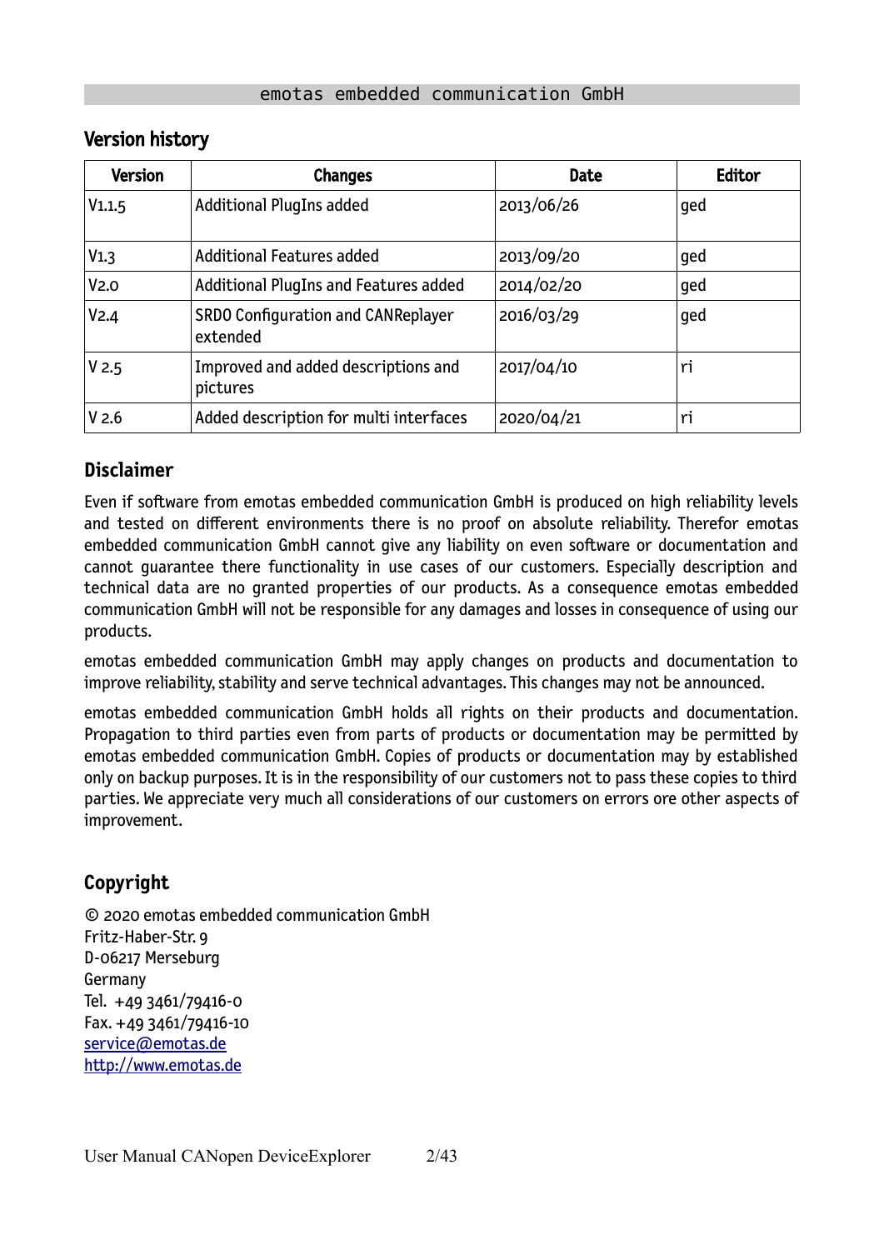| <b>Version</b>   | <b>Changes</b>                                  | <b>Date</b> | Editor |
|------------------|-------------------------------------------------|-------------|--------|
| V1.1.5           | <b>Additional PlugIns added</b>                 | 2013/06/26  | ged    |
| V1.3             | <b>Additional Features added</b>                | 2013/09/20  | ged    |
| V <sub>2.0</sub> | <b>Additional PlugIns and Features added</b>    | 2014/02/20  | ged    |
| V <sub>2.4</sub> | SRDO Configuration and CANReplayer<br>extended  | 2016/03/29  | ged    |
| V <sub>2.5</sub> | Improved and added descriptions and<br>pictures | 2017/04/10  | ri     |
| V <sub>2.6</sub> | Added description for multi interfaces          | 2020/04/21  | ri     |

### Version history

### **Disclaimer**

Even if software from emotas embedded communication GmbH is produced on high reliability levels and tested on different environments there is no proof on absolute reliability. Therefor emotas embedded communication GmbH cannot give any liability on even software or documentation and cannot guarantee there functionality in use cases of our customers. Especially description and technical data are no granted properties of our products. As a consequence emotas embedded communication GmbH will not be responsible for any damages and losses in consequence of using our products.

emotas embedded communication GmbH may apply changes on products and documentation to improve reliability, stability and serve technical advantages. This changes may not be announced.

emotas embedded communication GmbH holds all rights on their products and documentation. Propagation to third parties even from parts of products or documentation may be permitted by emotas embedded communication GmbH. Copies of products or documentation may by established only on backup purposes. It is in the responsibility of our customers not to pass these copies to third parties. We appreciate very much all considerations of our customers on errors ore other aspects of improvement.

### **Copyright**

© 2020 emotas embedded communication GmbH Fritz-Haber-Str. 9 D-06217 Merseburg Germany Tel. +49 3461/79416-0 Fax. +49 3461/79416-10  [service@](mailto:service@emtas.de) [emotas.de](mailto:service@emotas.de) http://www.emotas.de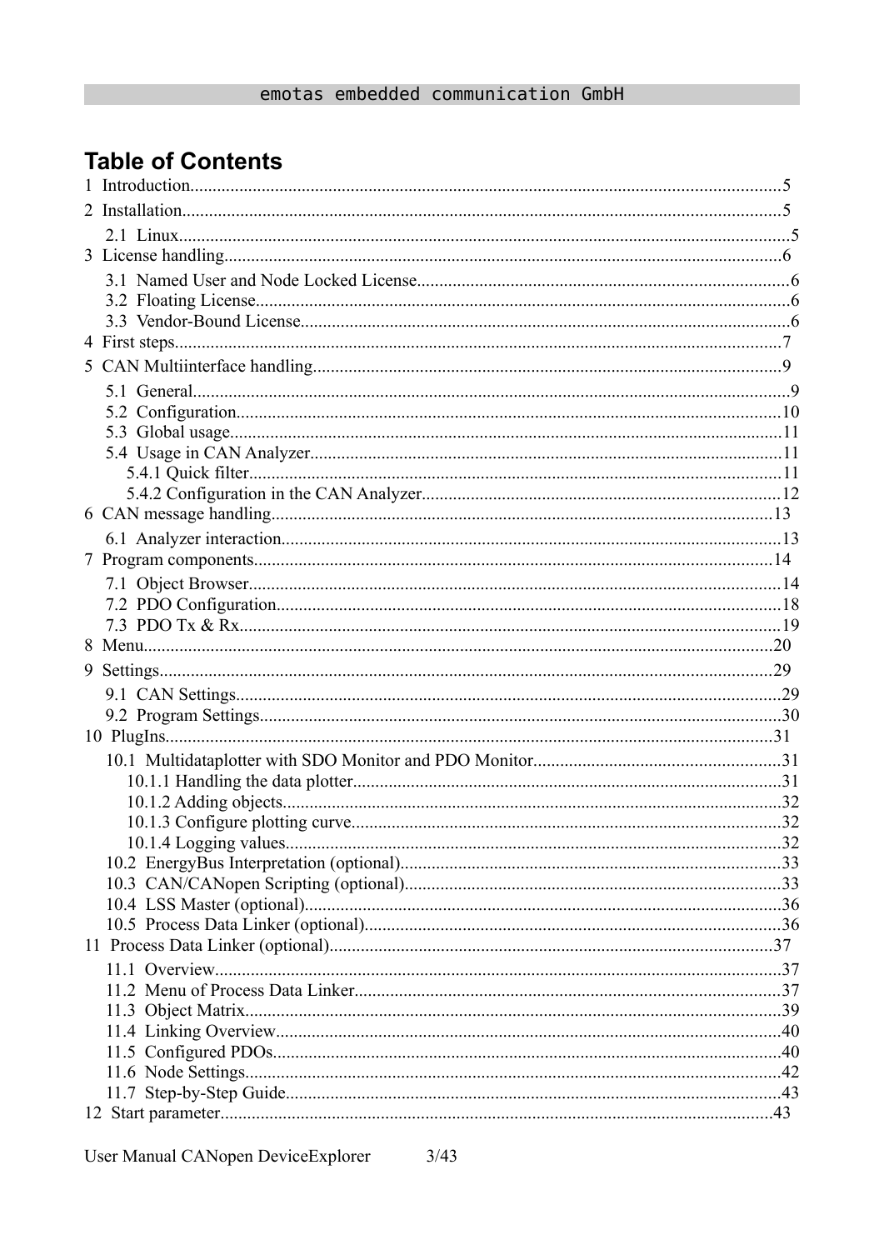## **Table of Contents**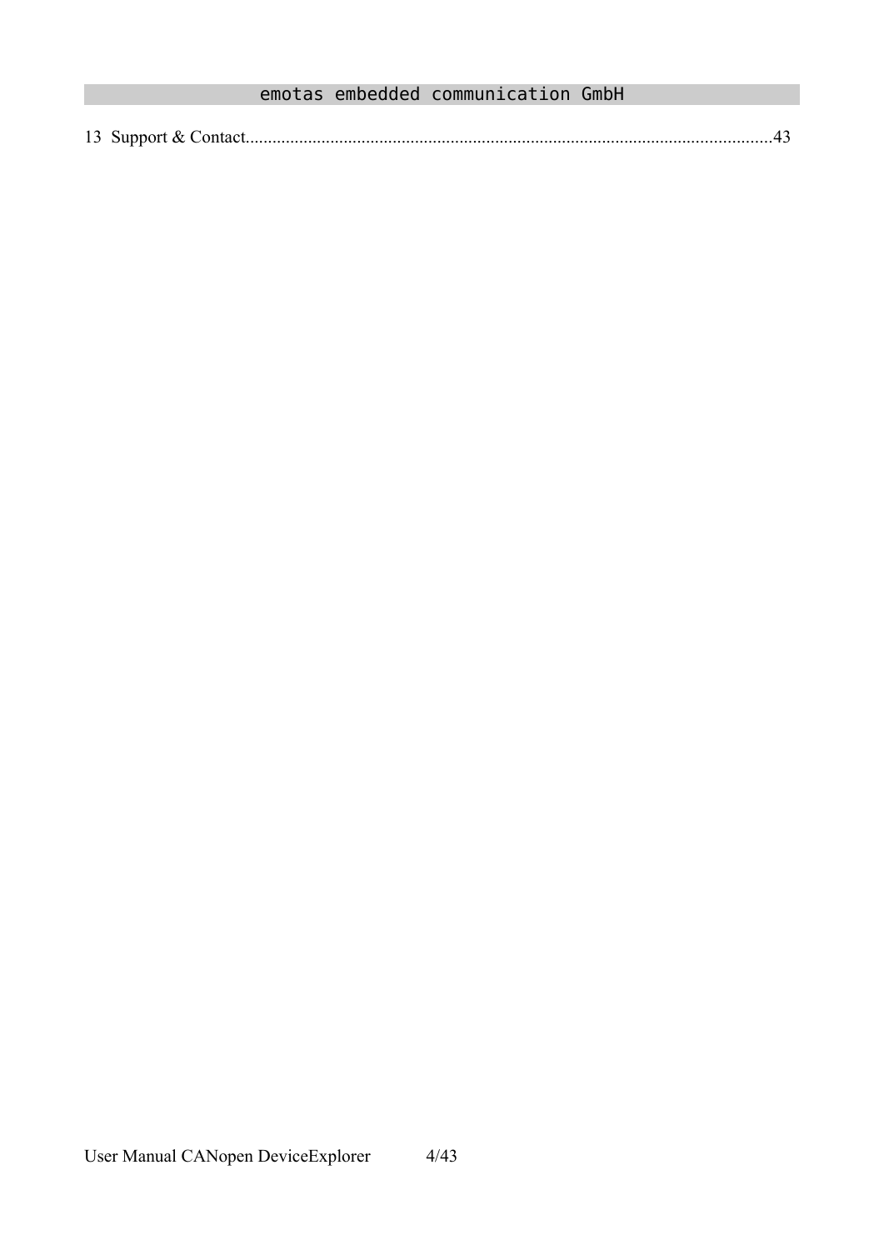| $\sim$ $\sim$<br>13 |  |  |  |
|---------------------|--|--|--|
|---------------------|--|--|--|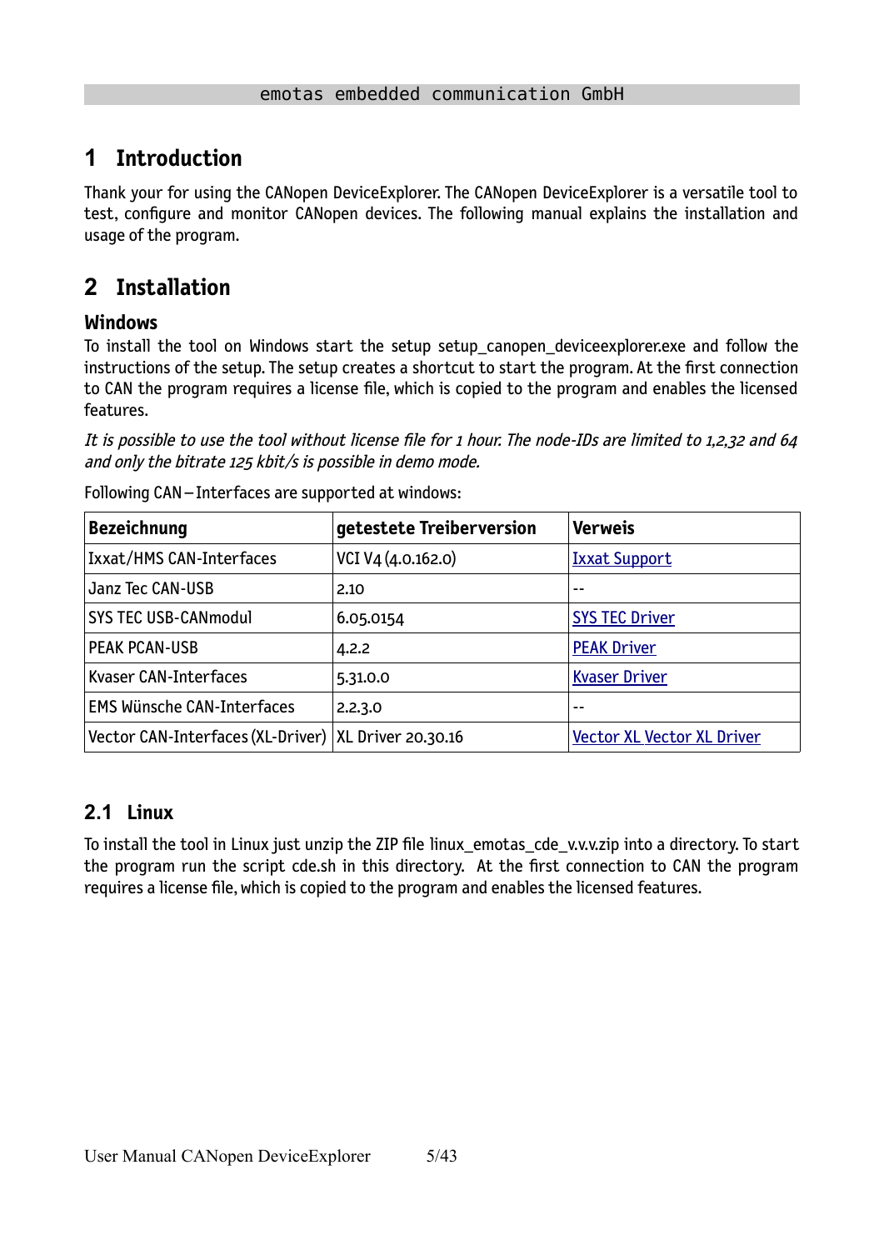## **1 Introduction**

Thank your for using the CANopen DeviceExplorer. The CANopen DeviceExplorer is a versatile tool to test, configure and monitor CANopen devices. The following manual explains the installation and usage of the program.

## <span id="page-4-1"></span>**2 Installation**

### **Windows**

To install the tool on Windows start the setup setup\_canopen\_deviceexplorer.exe and follow the instructions of the setup. The setup creates a shortcut to start the program. At the first connection to CAN the program requires a license file, which is copied to the program and enables the licensed features.

It is possible to use the tool without license file for 1 hour. The node-IDs are limited to 1,2,32 and 64 and only the bitrate 125 kbit/s is possible in demo mode.

| <b>Bezeichnung</b>                                     | getestete Treiberversion | <b>Verweis</b>                    |
|--------------------------------------------------------|--------------------------|-----------------------------------|
| Ixxat/HMS CAN-Interfaces                               | VCI V4 (4.0.162.0)       | <b>Ixxat Support</b>              |
| Janz Tec CAN-USB                                       | 2.10                     | --                                |
| <b>SYS TEC USB-CANmodul</b>                            | 6.05.0154                | <b>SYS TEC Driver</b>             |
| <b>PEAK PCAN-USB</b>                                   | 4.2.2                    | <b>PEAK Driver</b>                |
| Kvaser CAN-Interfaces                                  | 5.31.0.0                 | <b>Kvaser Driver</b>              |
| <b>EMS Wünsche CAN-Interfaces</b>                      | 2.2.3.0                  | --                                |
| Vector CAN-Interfaces (XL-Driver)   XL Driver 20.30.16 |                          | <b>Vector XL Vector XL Driver</b> |

Following CAN – Interfaces are supported at windows:

### <span id="page-4-0"></span>**2.1 Linux**

To install the tool in Linux just unzip the ZIP file linux\_emotas\_cde\_v.v.v.zip into a directory. To start the program run the script cde.sh in this directory. At the first connection to CAN the program requires a license file, which is copied to the program and enables the licensed features.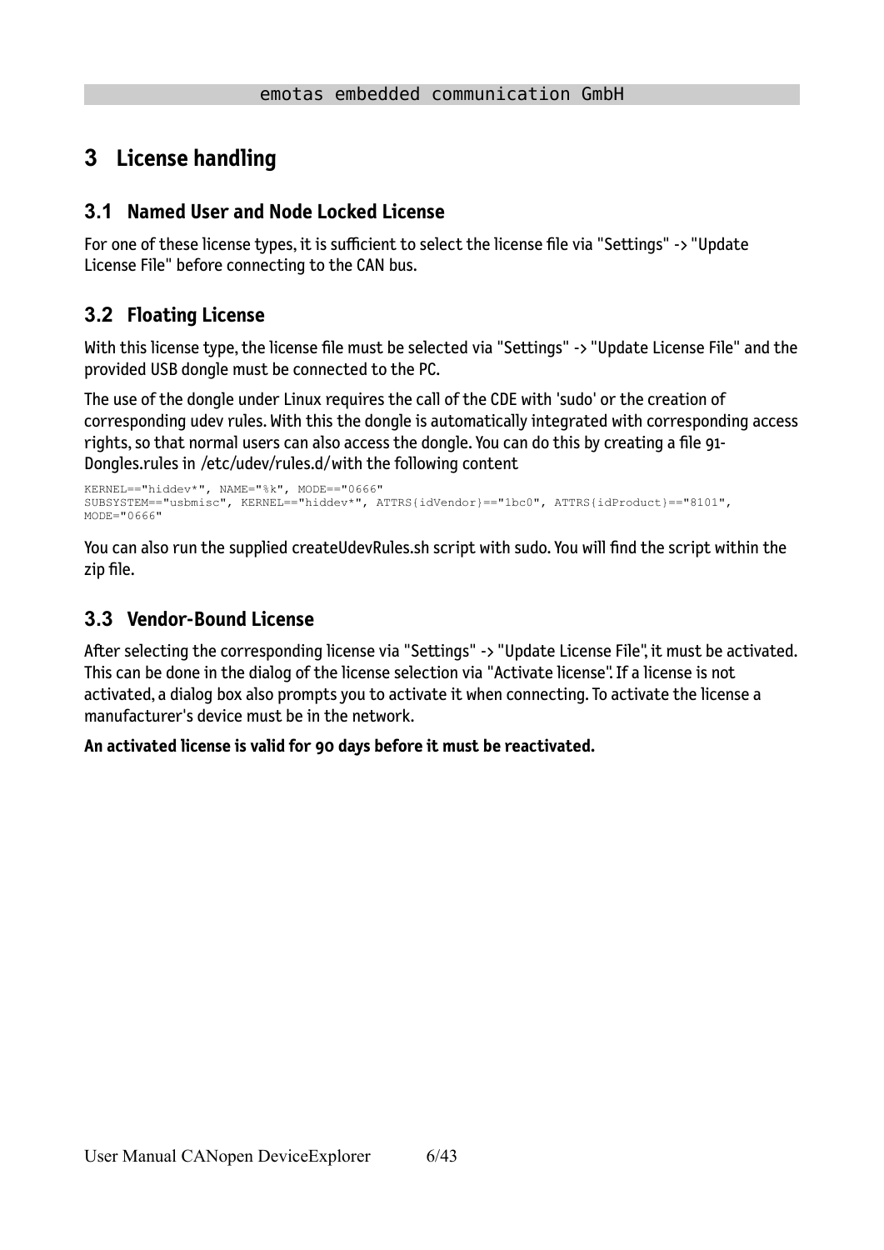## <span id="page-5-3"></span>**3 License handling**

### <span id="page-5-2"></span>**3.1 Named User and Node Locked License**

For one of these license types, it is sufficient to select the license file via "Settings" -> "Update License File" before connecting to the CAN bus.

### <span id="page-5-1"></span>**3.2 Floating License**

With this license type, the license file must be selected via "Settings" -> "Update License File" and the provided USB dongle must be connected to the PC.

The use of the dongle under Linux requires the call of the CDE with 'sudo' or the creation of corresponding udev rules. With this the dongle is automatically integrated with corresponding access rights, so that normal users can also access the dongle. You can do this by creating a file 91- Dongles.rules in /etc/udev/rules.d/ with the following content

```
KERNEL=="hiddev*", NAME="%k", MODE=="0666"
SUBSYSTEM=="usbmisc", KERNEL=="hiddev*", ATTRS{idVendor}=="1bc0", ATTRS{idProduct}=="8101", 
MODE="0666"
```
You can also run the supplied createUdevRules.sh script with sudo. You will find the script within the zip file.

### <span id="page-5-0"></span>**3.3 Vendor-Bound License**

After selecting the corresponding license via "Settings" -> "Update License File", it must be activated. This can be done in the dialog of the license selection via "Activate license". If a license is not activated, a dialog box also prompts you to activate it when connecting. To activate the license a manufacturer's device must be in the network.

**An activated license is valid for 90 days before it must be reactivated.**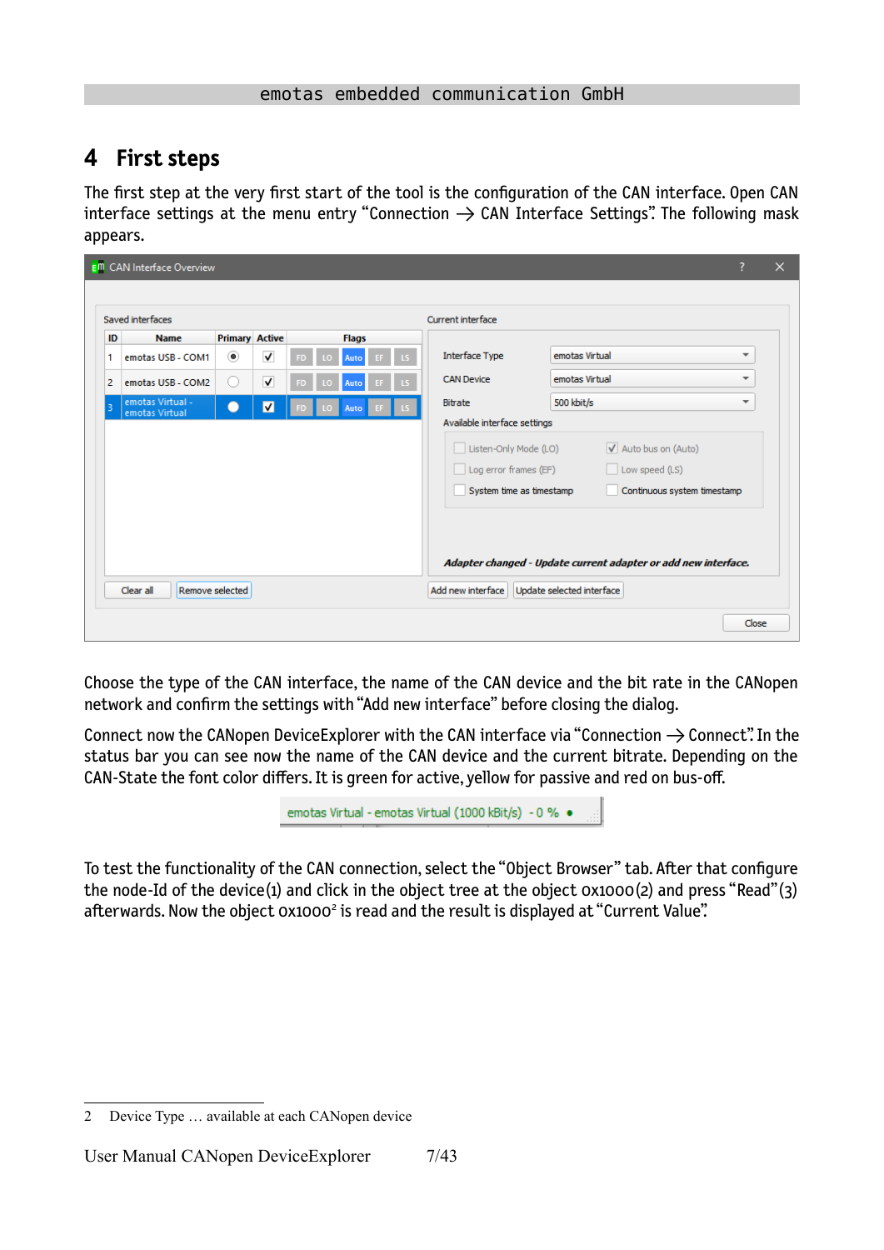## <span id="page-6-0"></span>**4 First steps**

The first step at the very first start of the tool is the configuration of the CAN interface. Open CAN interface settings at the menu entry "Connection  $\rightarrow$  CAN Interface Settings". The following mask appears.

|                | <b>E<sup>m</sup></b> CAN Interface Overview |                       |                         |    |   |              |          |                              |                                                                |                          | $\times$ |
|----------------|---------------------------------------------|-----------------------|-------------------------|----|---|--------------|----------|------------------------------|----------------------------------------------------------------|--------------------------|----------|
|                |                                             |                       |                         |    |   |              |          |                              |                                                                |                          |          |
|                | Saved interfaces                            |                       |                         |    |   |              |          | Current interface            |                                                                |                          |          |
| ID             | <b>Name</b>                                 | <b>Primary Active</b> |                         |    |   | <b>Flags</b> |          |                              |                                                                |                          |          |
| 1              | emotas USB - COM1                           | $\circledbullet$      | √                       | ED | n | Auto         | EF       | <b>Interface Type</b>        | emotas Virtual                                                 | $\overline{\phantom{a}}$ |          |
| $\overline{2}$ | emotas USB - COM2                           | $\cup$                | $\overline{\mathsf{v}}$ | 90 | ю | <b>Auto</b>  | EF<br>ıs | <b>CAN Device</b>            | emotas Virtual                                                 | $\overline{\phantom{a}}$ |          |
| 3              | emotas Virtual -<br>emotas Virtual          |                       | $\blacksquare$          |    |   | Auto         |          | Bitrate                      | 500 kbit/s                                                     | $\overline{\phantom{a}}$ |          |
|                |                                             |                       |                         |    |   |              |          | Available interface settings |                                                                |                          |          |
|                |                                             |                       |                         |    |   |              |          | Listen-Only Mode (LO)        | V Auto bus on (Auto)                                           |                          |          |
|                |                                             |                       |                         |    |   |              |          | Log error frames (EF)        | Low speed (LS)                                                 |                          |          |
|                |                                             |                       |                         |    |   |              |          | System time as timestamp     | Continuous system timestamp                                    |                          |          |
|                |                                             |                       |                         |    |   |              |          |                              |                                                                |                          |          |
|                |                                             |                       |                         |    |   |              |          |                              |                                                                |                          |          |
|                |                                             |                       |                         |    |   |              |          |                              | Adapter changed - Update current adapter or add new interface. |                          |          |
|                |                                             |                       |                         |    |   |              |          |                              |                                                                |                          |          |
|                | Clear all                                   | Remove selected       |                         |    |   |              |          | Add new interface            | Update selected interface                                      |                          |          |
|                |                                             |                       |                         |    |   |              |          |                              |                                                                | Close                    |          |
|                |                                             |                       |                         |    |   |              |          |                              |                                                                |                          |          |

Choose the type of the CAN interface, the name of the CAN device and the bit rate in the CANopen network and confirm the settings with "Add new interface" before closing the dialog.

Connect now the CANopen DeviceExplorer with the CAN interface via "Connection  $\rightarrow$  Connect". In the status bar you can see now the name of the CAN device and the current bitrate. Depending on the CAN-State the font color differs. It is green for active, yellow for passive and red on bus-off.

<span id="page-6-1"></span>

To test the functionality of the CAN connection, select the "Object Browser" tab. After that configure the node-Id of the device(1) and click in the object tree at the object 0x1000(2) and press "Read"(3) afterwards. Now the object 0x1000<sup>[2](#page-6-2)</sup> is read and the result is displayed at "Current Value".

<span id="page-6-2"></span>[<sup>2</sup>](#page-6-1) Device Type … available at each CANopen device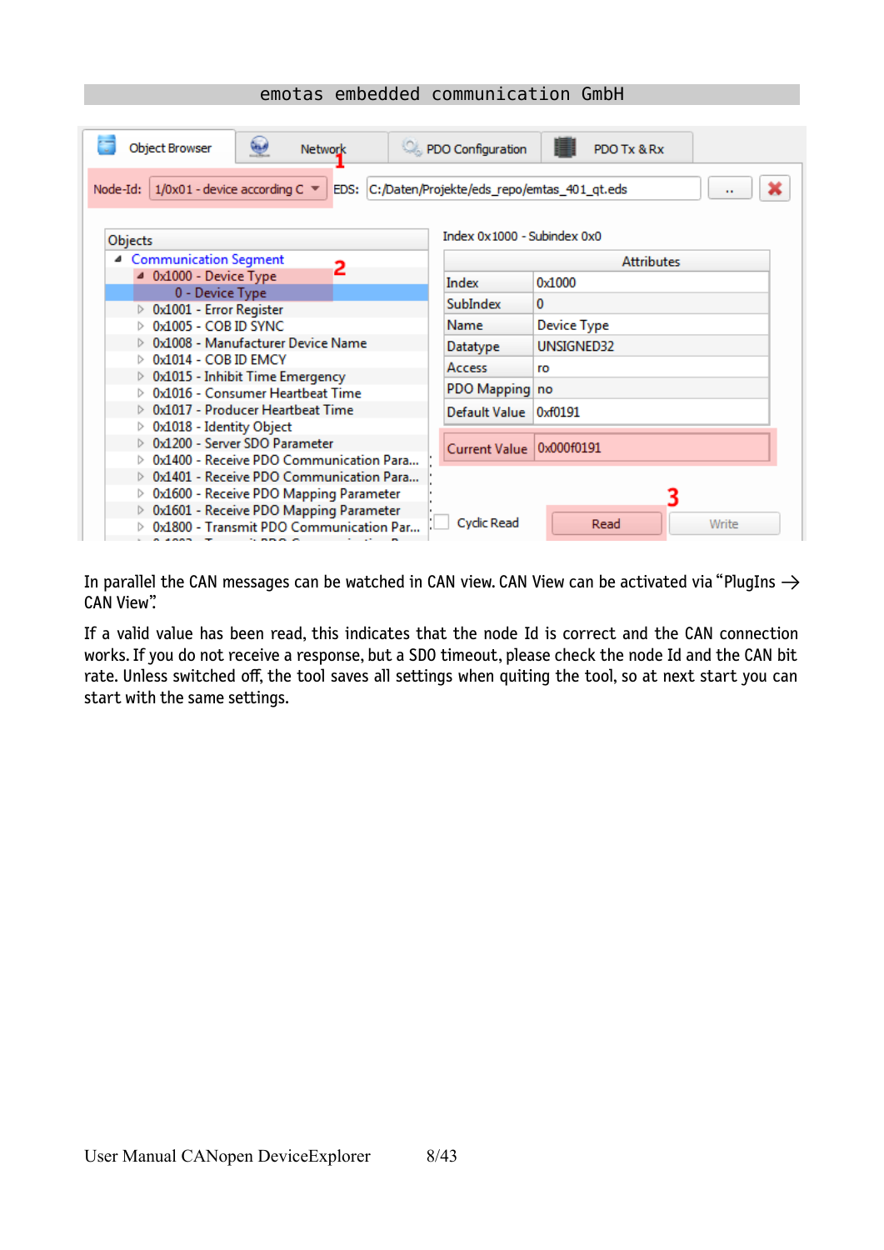| پ<br><b>Object Browser</b><br>Network                                              | PDO Configuration                                | PDO Tx & Rx        |
|------------------------------------------------------------------------------------|--------------------------------------------------|--------------------|
| 1/0x01 - device according C ▼<br>$Node-Id:$                                        | EDS: C:/Daten/Projekte/eds_repo/emtas_401_qt.eds | $\mathbf{r}$       |
| Objects                                                                            | Index 0x1000 - Subindex 0x0                      |                    |
| ▲ Communication Segment<br>2                                                       |                                                  | <b>Attributes</b>  |
| ▲ 0x1000 - Device Type                                                             | Index                                            | 0x1000             |
| 0 - Device Type                                                                    | SubIndex.                                        | 0                  |
| 0x1001 - Error Register<br>0x1005 - COB ID SYNC                                    | Name                                             | <b>Device Type</b> |
| 0x1008 - Manufacturer Device Name                                                  |                                                  | UNSIGNED32         |
| 0x1014 - COB ID EMCY                                                               | Datatype                                         |                    |
| $\triangleright$ 0x1015 - Inhibit Time Emergency                                   | <b>Access</b>                                    | ro                 |
| 0x1016 - Consumer Heartbeat Time                                                   | PDO Mapping no                                   |                    |
| 0x1017 - Producer Heartbeat Time                                                   | Default Value                                    | 0xf0191            |
| 0x1018 - Identity Object                                                           |                                                  |                    |
| 0x1200 - Server SDO Parameter                                                      | Current Value                                    | 0x000f0191         |
| 0x1400 - Receive PDO Communication Para                                            |                                                  |                    |
| ▷ 0x1401 - Receive PDO Communication Para                                          |                                                  |                    |
| 0x1600 - Receive PDO Mapping Parameter<br>> 0x1601 - Receive PDO Mapping Parameter |                                                  |                    |
| 0x1800 - Transmit PDO Communication Par                                            | Cyclic Read                                      | Read<br>Write      |
| $\sim$ mm m m                                                                      |                                                  |                    |

In parallel the CAN messages can be watched in CAN view. CAN View can be activated via "PlugIns  $\rightarrow$ CAN View".

If a valid value has been read, this indicates that the node Id is correct and the CAN connection works. If you do not receive a response, but a SDO timeout, please check the node Id and the CAN bit rate. Unless switched off, the tool saves all settings when quiting the tool, so at next start you can start with the same settings.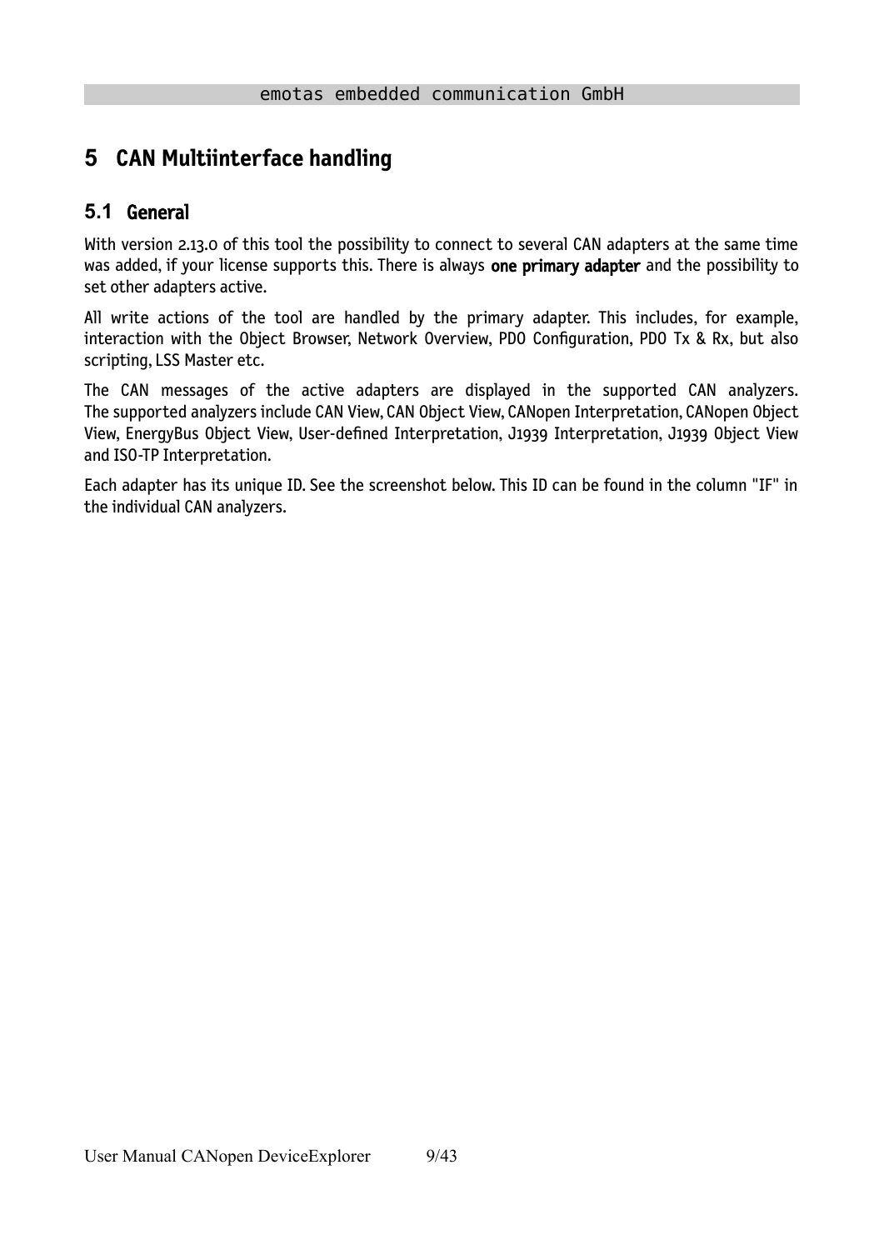## <span id="page-8-1"></span>**5 CAN Multiinterface handling**

### <span id="page-8-0"></span>**5.1** General

With version 2.13.0 of this tool the possibility to connect to several CAN adapters at the same time was added, if your license supports this. There is always one primary adapter and the possibility to set other adapters active.

All write actions of the tool are handled by the primary adapter. This includes, for example, interaction with the Object Browser, Network Overview, PDO Configuration, PDO Tx & Rx, but also scripting, LSS Master etc.

The CAN messages of the active adapters are displayed in the supported CAN analyzers. The supported analyzers include CAN View, CAN Object View, CANopen Interpretation, CANopen Object View, EnergyBus Object View, User-defined Interpretation, J1939 Interpretation, J1939 Object View and ISO-TP Interpretation.

Each adapter has its unique ID. See the screenshot below. This ID can be found in the column "IF" in the individual CAN analyzers.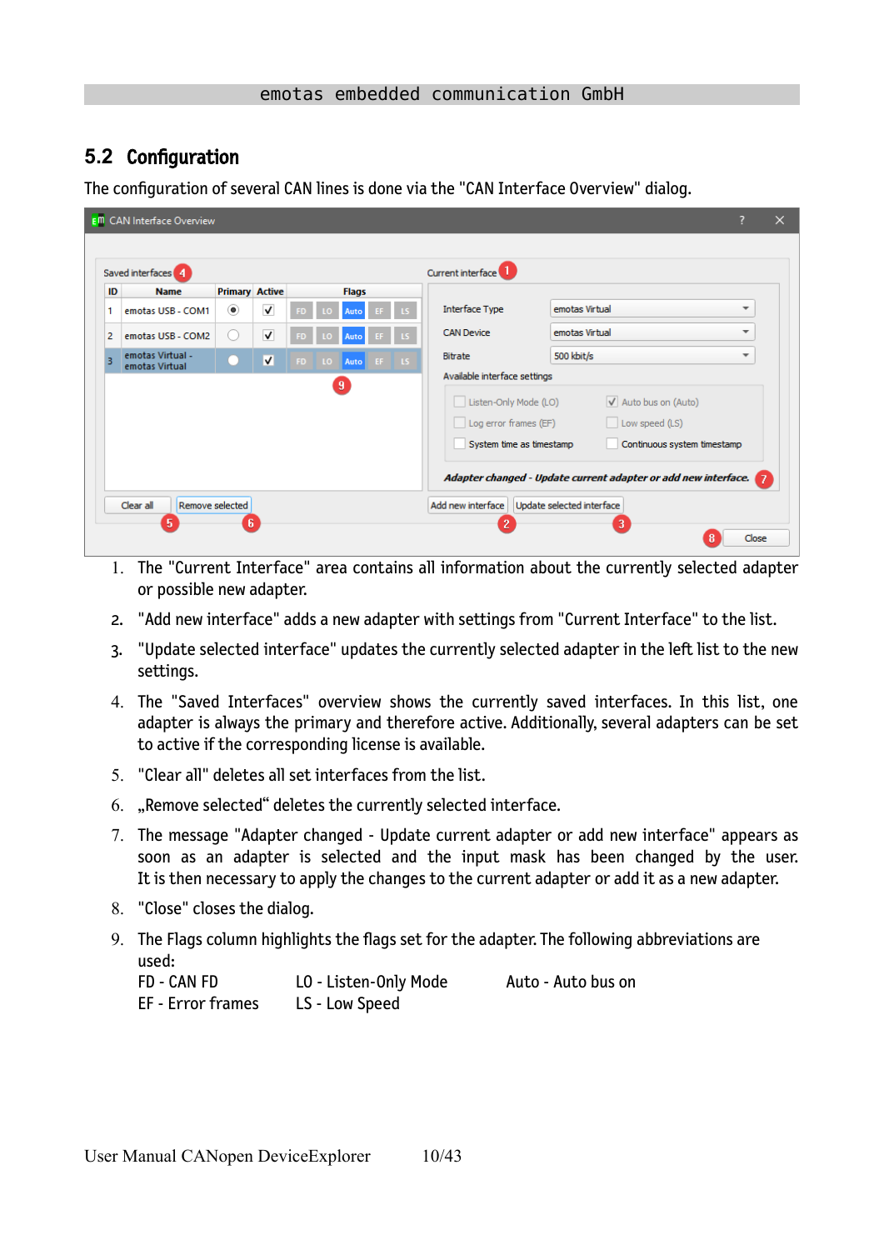### <span id="page-9-0"></span>**5.2** Configuration

The configuration of several CAN lines is done via the "CAN Interface Overview" dialog.

| <b>Primary Active</b><br>ID<br><b>Name</b><br><b>Flags</b><br>$\overline{\mathsf{v}}$<br>۰<br>emotas USB - COM1<br>Auto |                                                                                                                                                                                                                       |                          |
|-------------------------------------------------------------------------------------------------------------------------|-----------------------------------------------------------------------------------------------------------------------------------------------------------------------------------------------------------------------|--------------------------|
|                                                                                                                         |                                                                                                                                                                                                                       |                          |
|                                                                                                                         | <b>Interface Type</b><br>emotas Virtual                                                                                                                                                                               | ▼                        |
| $\overline{\mathsf{v}}$<br>emotas USB - COM2<br>0<br>Auto<br>ю<br>ED                                                    | emotas Virtual<br><b>CAN Device</b>                                                                                                                                                                                   | $\overline{\phantom{a}}$ |
| emotas Virtual -<br>V<br>FD.<br>LO.<br>Auto EF LS<br>emotas Virtual                                                     | 500 kbit/s<br><b>Bitrate</b>                                                                                                                                                                                          | $\overline{\phantom{a}}$ |
| $\overline{9}$                                                                                                          | Listen-Only Mode (LO)<br>V Auto bus on (Auto)<br>Log error frames (EF)<br>Low speed (LS)<br>System time as timestamp<br>Continuous system timestamp<br>Adapter changed - Update current adapter or add new interface. |                          |

- 1. The "Current Interface" area contains all information about the currently selected adapter or possible new adapter.
- 2. "Add new interface" adds a new adapter with settings from "Current Interface" to the list.
- 3. "Update selected interface" updates the currently selected adapter in the left list to the new settings.
- 4. The "Saved Interfaces" overview shows the currently saved interfaces. In this list, one adapter is always the primary and therefore active. Additionally, several adapters can be set to active if the corresponding license is available.
- 5. "Clear all" deletes all set interfaces from the list.
- 6. "Remove selected" deletes the currently selected interface.
- 7. The message "Adapter changed Update current adapter or add new interface" appears as soon as an adapter is selected and the input mask has been changed by the user. It is then necessary to apply the changes to the current adapter or add it as a new adapter.
- 8. "Close" closes the dialog.
- 9. The Flags column highlights the flags set for the adapter. The following abbreviations are used:

| FD - CAN FD       | LO - Listen-Only Mode | Auto - Auto bus on |
|-------------------|-----------------------|--------------------|
| EF - Error frames | LS - Low Speed        |                    |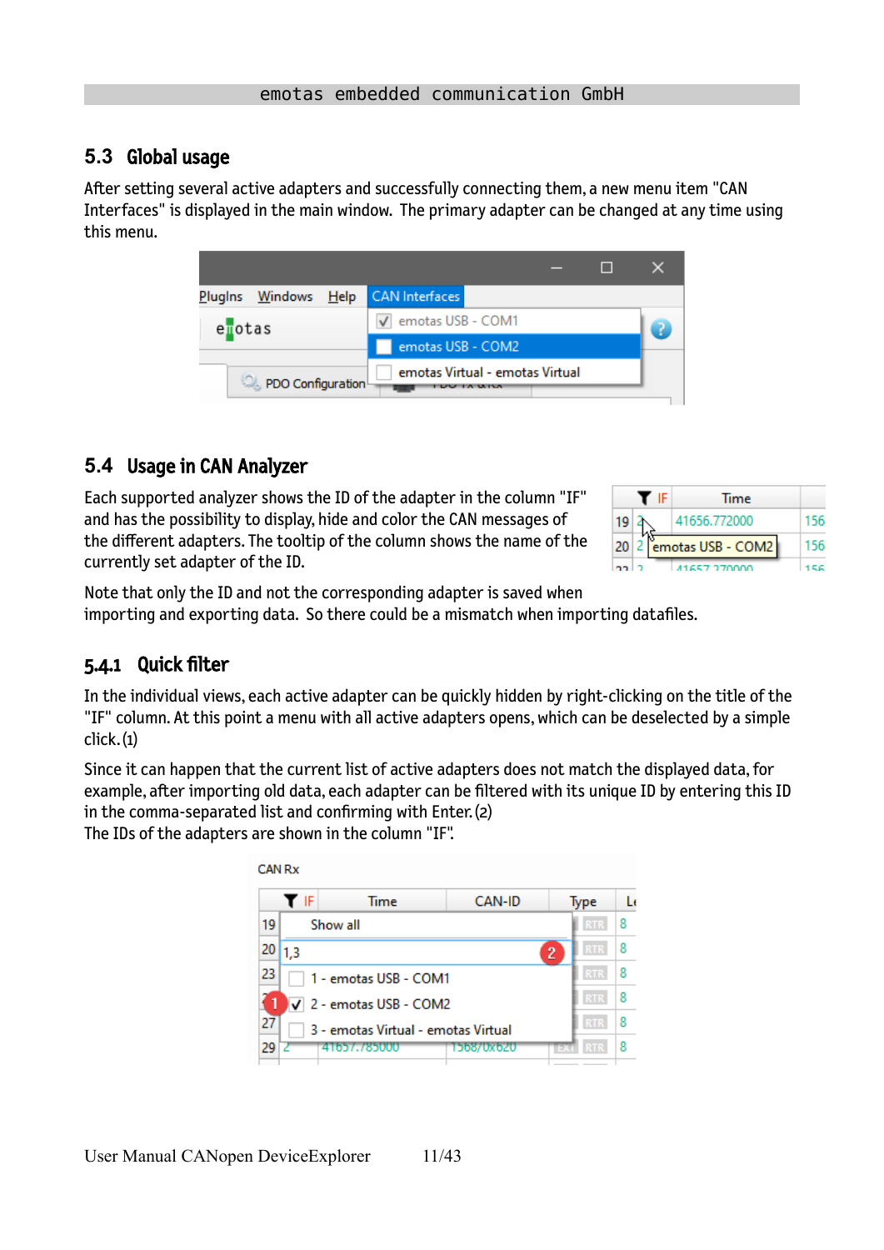### <span id="page-10-2"></span>**5.3** Global usage

After setting several active adapters and successfully connecting them, a new menu item "CAN Interfaces" is displayed in the main window. The primary adapter can be changed at any time using this menu.

| Plugins Windows Help | <b>CAN</b> Interfaces           |  |  |
|----------------------|---------------------------------|--|--|
| enotas               | √ emotas USB - COM1             |  |  |
|                      | emotas USB - COM2               |  |  |
| PDO Configuration    | emotas Virtual - emotas Virtual |  |  |

### <span id="page-10-1"></span>**5.4** Usage in CAN Analyzer

Each supported analyzer shows the ID of the adapter in the column "IF" and has the possibility to display, hide and color the CAN messages of the different adapters. The tooltip of the column shows the name of the currently set adapter of the ID.

|    | IF. | Time                   |  |
|----|-----|------------------------|--|
| 19 |     | 41656.772000           |  |
|    |     | 20 2 emotas USB - COM2 |  |
|    |     | 41657.270000           |  |

Note that only the ID and not the corresponding adapter is saved when importing and exporting data. So there could be a mismatch when importing datafiles.

### <span id="page-10-0"></span>5.4.1 Quick filter

In the individual views, each active adapter can be quickly hidden by right-clicking on the title of the "IF" column. At this point a menu with all active adapters opens, which can be deselected by a simple click. (1)

Since it can happen that the current list of active adapters does not match the displayed data, for example, after importing old data, each adapter can be filtered with its unique ID by entering this ID in the comma-separated list and confirming with Enter. (2)

The IDs of the adapters are shown in the column "IF".

| TF                             | Time                                | CAN-ID     | Type                         | L٤ |  |  |  |
|--------------------------------|-------------------------------------|------------|------------------------------|----|--|--|--|
| 19                             | Show all                            |            | <b>RTS</b>                   | 8  |  |  |  |
| 20<br>1.3                      |                                     |            | <b>RTR</b><br>$\overline{c}$ | 8  |  |  |  |
| 23                             | 1 - emotas USB - COM1               |            |                              |    |  |  |  |
| $\sqrt{2}$ - emotas USB - COM2 | <b>RTR</b>                          | 8          |                              |    |  |  |  |
| 27                             | 3 - emotas Virtual - emotas Virtual |            | <b>RTR</b>                   | 8  |  |  |  |
| 29                             | 41657.785000                        | 1568/0x620 | RT.<br>÷                     | 8  |  |  |  |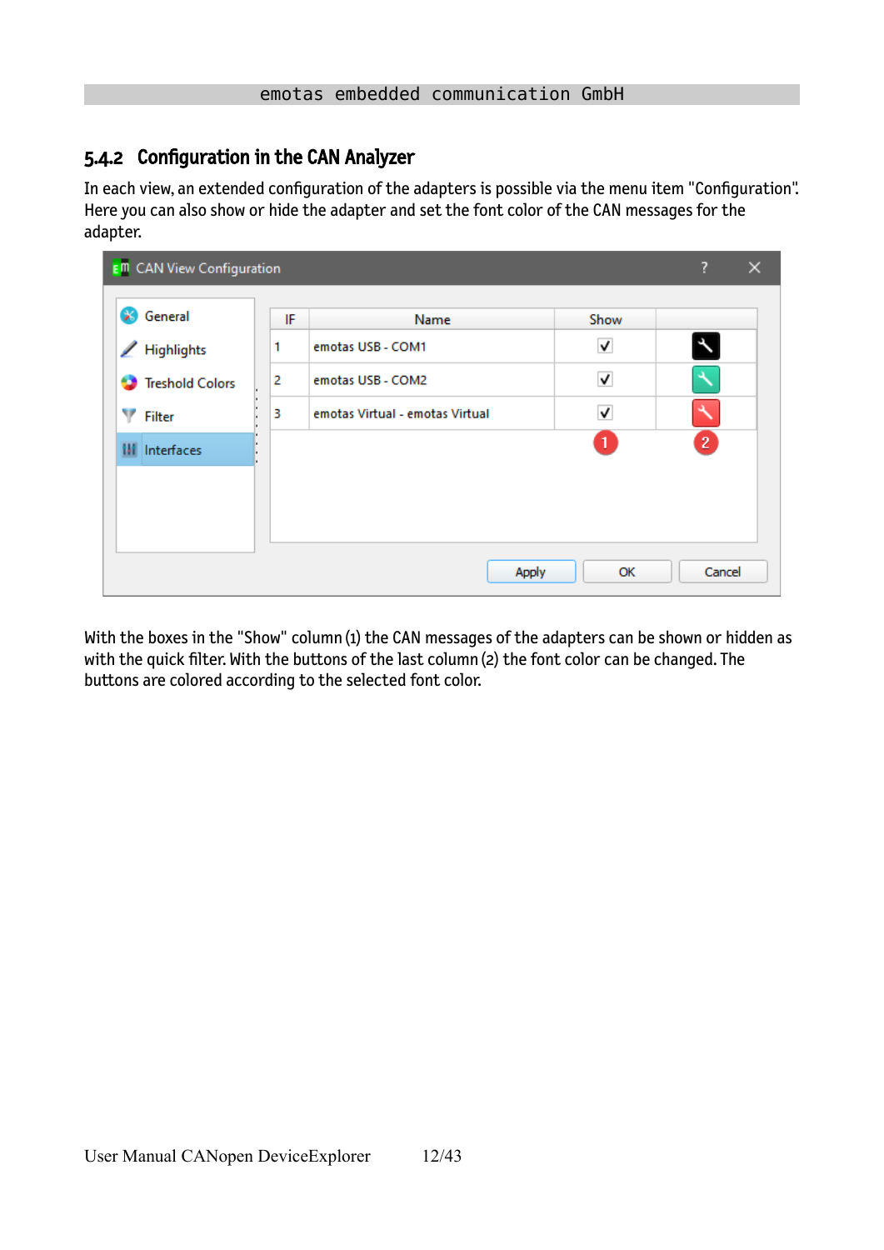### <span id="page-11-0"></span>5.4.2 Configuration in the CAN Analyzer

In each view, an extended configuration of the adapters is possible via the menu item "Configuration". Here you can also show or hide the adapter and set the font color of the CAN messages for the adapter.

| <b>E</b> <sup>m</sup> CAN View Configuration |    |                                 |      | ?<br>$\times$          |
|----------------------------------------------|----|---------------------------------|------|------------------------|
| General<br>×                                 | IF | Name                            | Show |                        |
| <b>Highlights</b><br>◢                       | 1  | emotas USB - COM1               | ۸    | $\boldsymbol{\lambda}$ |
| <b>Treshold Colors</b>                       | 2  | emotas USB - COM2               | ✓    |                        |
| Y<br><b>Filter</b>                           | 3  | emotas Virtual - emotas Virtual | √    |                        |
| Interfaces<br>u                              |    |                                 | 1.   | $\mathbf{2}$           |
|                                              |    |                                 |      |                        |
|                                              |    |                                 |      |                        |
|                                              |    |                                 |      |                        |
|                                              |    | Apply                           | OK   | Cancel                 |

With the boxes in the "Show" column (1) the CAN messages of the adapters can be shown or hidden as with the quick filter. With the buttons of the last column (2) the font color can be changed. The buttons are colored according to the selected font color.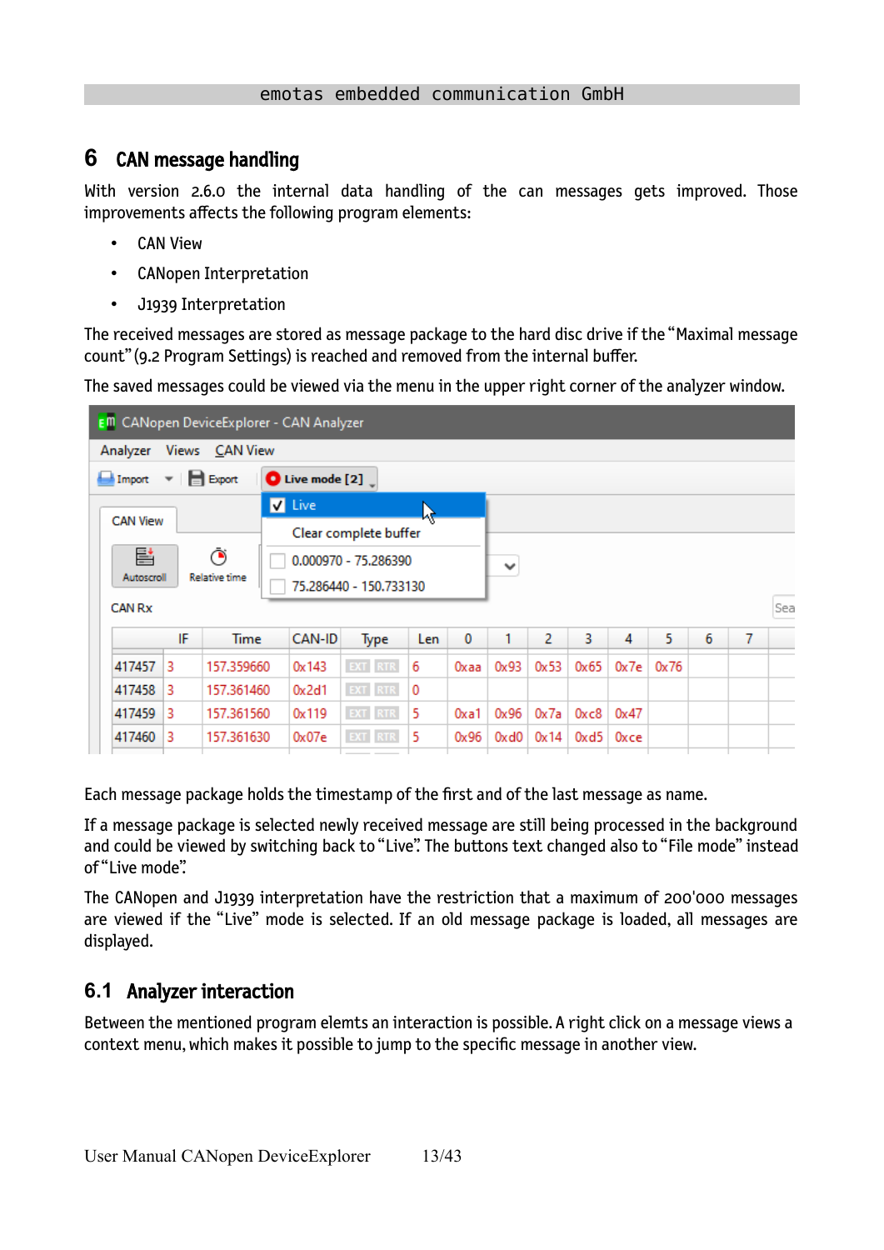## <span id="page-12-1"></span>**6** CAN message handling

With version 2.6.0 the internal data handling of the can messages gets improved. Those improvements affects the following program elements:

- CAN View
- CANopen Interpretation
- J1939 Interpretation

The received messages are stored as message package to the hard disc drive if the "Maximal message count" [\(9.2](#page-29-0) [Program Settings](#page-29-0)) is reached and removed from the internal buffer.

The saved messages could be viewed via the menu in the upper right corner of the analyzer window.

|                 |                           |                                    | E <sup>m</sup> CANopen DeviceExplorer - CAN Analyzer |                        |     |      |              |      |      |      |      |   |   |     |
|-----------------|---------------------------|------------------------------------|------------------------------------------------------|------------------------|-----|------|--------------|------|------|------|------|---|---|-----|
| Analyzer        |                           | Views CAN View                     |                                                      |                        |     |      |              |      |      |      |      |   |   |     |
| Import          |                           | $\mathbf{v}$   $\mathbf{v}$ Export | $\bullet$ Live mode [2] $\overline{\phantom{a}}$     |                        |     |      |              |      |      |      |      |   |   |     |
|                 |                           |                                    | <b>V</b> Live                                        |                        |     |      |              |      |      |      |      |   |   |     |
| <b>CAN View</b> |                           |                                    |                                                      | Clear complete buffer  |     |      |              |      |      |      |      |   |   |     |
| 탈               |                           | Ō                                  |                                                      | 0.000970 - 75.286390   |     |      | $\checkmark$ |      |      |      |      |   |   |     |
| Autoscroll      |                           | <b>Relative time</b>               |                                                      | 75.286440 - 150.733130 |     |      |              |      |      |      |      |   |   |     |
| <b>CAN Rx</b>   |                           |                                    |                                                      |                        |     |      |              |      |      |      |      |   |   | Sea |
|                 | IF                        | <b>Time</b>                        | CAN-ID                                               | Type                   | Len | 0    | 1            | 2    | 3    | 4    | 5    | 6 | 7 |     |
| 417457          | 3                         | 157.359660                         | 0x143                                                | EXT RTR                | 6   | Oxaa | 0x93         | 0x53 | 0x65 | 0x7e | 0x76 |   |   |     |
|                 | 417458<br>3<br>157.361460 |                                    |                                                      | <b>EXT</b> RTR         | 0   |      |              |      |      |      |      |   |   |     |
|                 |                           |                                    | 0x2d1                                                |                        |     |      |              |      |      |      |      |   |   |     |
| 417459          | 3                         | 157.361560                         | 0x119                                                | EXT RTR                | 5   | Oxa1 | 0x96         | 0x7a | 0xc8 | 0x47 |      |   |   |     |

Each message package holds the timestamp of the first and of the last message as name.

If a message package is selected newly received message are still being processed in the background and could be viewed by switching back to "Live". The buttons text changed also to "File mode" instead of "Live mode".

The CANopen and J1939 interpretation have the restriction that a maximum of 200'000 messages are viewed if the "Live" mode is selected. If an old message package is loaded, all messages are displayed.

### <span id="page-12-0"></span>**6.1** Analyzer interaction

Between the mentioned program elemts an interaction is possible. A right click on a message views a context menu, which makes it possible to jump to the specific message in another view.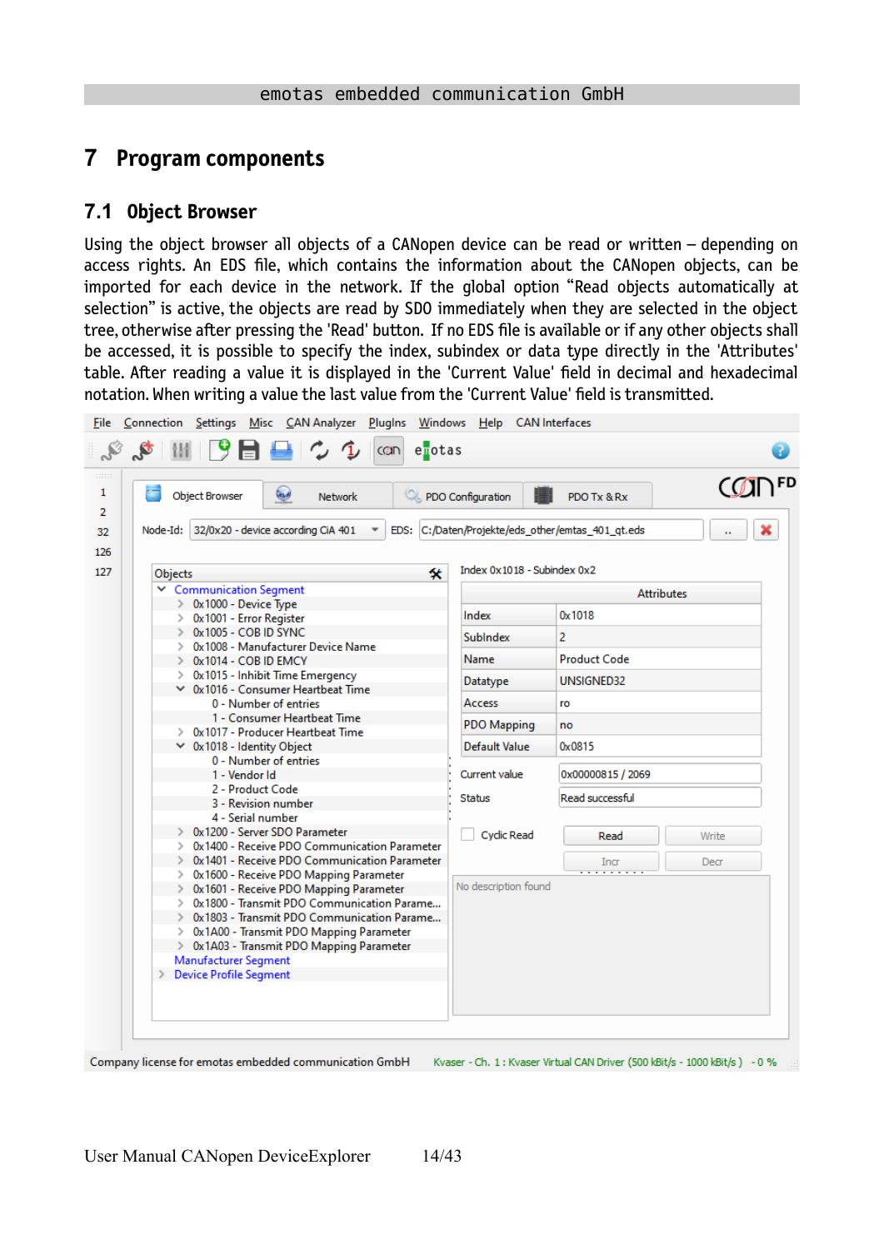## <span id="page-13-1"></span>**7 Program components**

### <span id="page-13-0"></span>**7.1 Object Browser**

Using the object browser all objects of a CANopen device can be read or written – depending on access rights. An EDS file, which contains the information about the CANopen objects, can be imported for each device in the network. If the global option "Read objects automatically at selection" is active, the objects are read by SDO immediately when they are selected in the object tree, otherwise after pressing the 'Read' button. If no EDS file is available or if any other objects shall be accessed, it is possible to specify the index, subindex or data type directly in the 'Attributes' table. After reading a value it is displayed in the 'Current Value' field in decimal and hexadecimal notation. When writing a value the last value from the 'Current Value' field is transmitted.

|         | ١<br><b>Object Browser</b><br><b>Network</b>                       | PDO Configuration                                 | PDO Tx & Rx         | <b>CODFD</b>      |
|---------|--------------------------------------------------------------------|---------------------------------------------------|---------------------|-------------------|
|         | Node-Id: 32/0x20 - device according CiA 401                        | EDS: C:/Daten/Projekte/eds other/emtas 401 gt.eds |                     |                   |
|         |                                                                    |                                                   |                     |                   |
| Objects |                                                                    | Index 0x1018 - Subindex 0x2<br>攵                  |                     |                   |
|         | $\vee$ Communication Segment                                       |                                                   |                     | <b>Attributes</b> |
|         | $\geq 0x1000$ - Device Type                                        |                                                   |                     |                   |
|         | > 0x1001 - Error Register                                          | Index                                             | 0x1018              |                   |
|         | $\geq$ 0x1005 - COB ID SYNC                                        | <b>SubIndex</b>                                   | 2                   |                   |
|         | > 0x1008 - Manufacturer Device Name<br>$\geq$ 0x1014 - COB ID EMCY | Name                                              | <b>Product Code</b> |                   |
|         | $\geq 0x1015$ - Inhibit Time Emergency                             |                                                   |                     |                   |
|         | $\vee$ 0x1016 - Consumer Heartbeat Time                            | Datatype                                          | UNSIGNED32          |                   |
|         | 0 - Number of entries                                              | Access                                            | ro                  |                   |
|         | 1 - Consumer Heartbeat Time                                        | <b>PDO Mapping</b>                                | no                  |                   |
|         | > 0x1017 - Producer Heartbeat Time                                 |                                                   |                     |                   |
|         | $\times$ 0x1018 - Identity Object                                  | Default Value                                     | 0x0815              |                   |
|         | 0 - Number of entries                                              |                                                   |                     |                   |
|         | 1 - Vendor Id                                                      | Current value                                     | 0x00000815 / 2069   |                   |
|         | 2 - Product Code<br>3 - Revision number                            | <b>Status</b>                                     | Read successful     |                   |
|         | 4 - Serial number                                                  |                                                   |                     |                   |
|         | $\geq 0x1200$ - Server SDO Parameter                               | <b>Cyclic Read</b>                                | Read                |                   |
|         | > 0x1400 - Receive PDO Communication Parameter                     |                                                   |                     | Write             |
|         | > 0x1401 - Receive PDO Communication Parameter                     |                                                   | Incr                | Decr              |
|         | > 0x1600 - Receive PDO Mapping Parameter                           |                                                   |                     |                   |
|         | > 0x1601 - Receive PDO Mapping Parameter                           | No description found                              |                     |                   |
|         | > 0x1800 - Transmit PDO Communication Parame                       |                                                   |                     |                   |
|         | > 0x1803 - Transmit PDO Communication Parame                       |                                                   |                     |                   |
|         | > 0x1A00 - Transmit PDO Mapping Parameter                          |                                                   |                     |                   |
|         | > 0x1A03 - Transmit PDO Mapping Parameter<br>Manufacturer Segment  |                                                   |                     |                   |
|         | > Device Profile Segment                                           |                                                   |                     |                   |
|         |                                                                    |                                                   |                     |                   |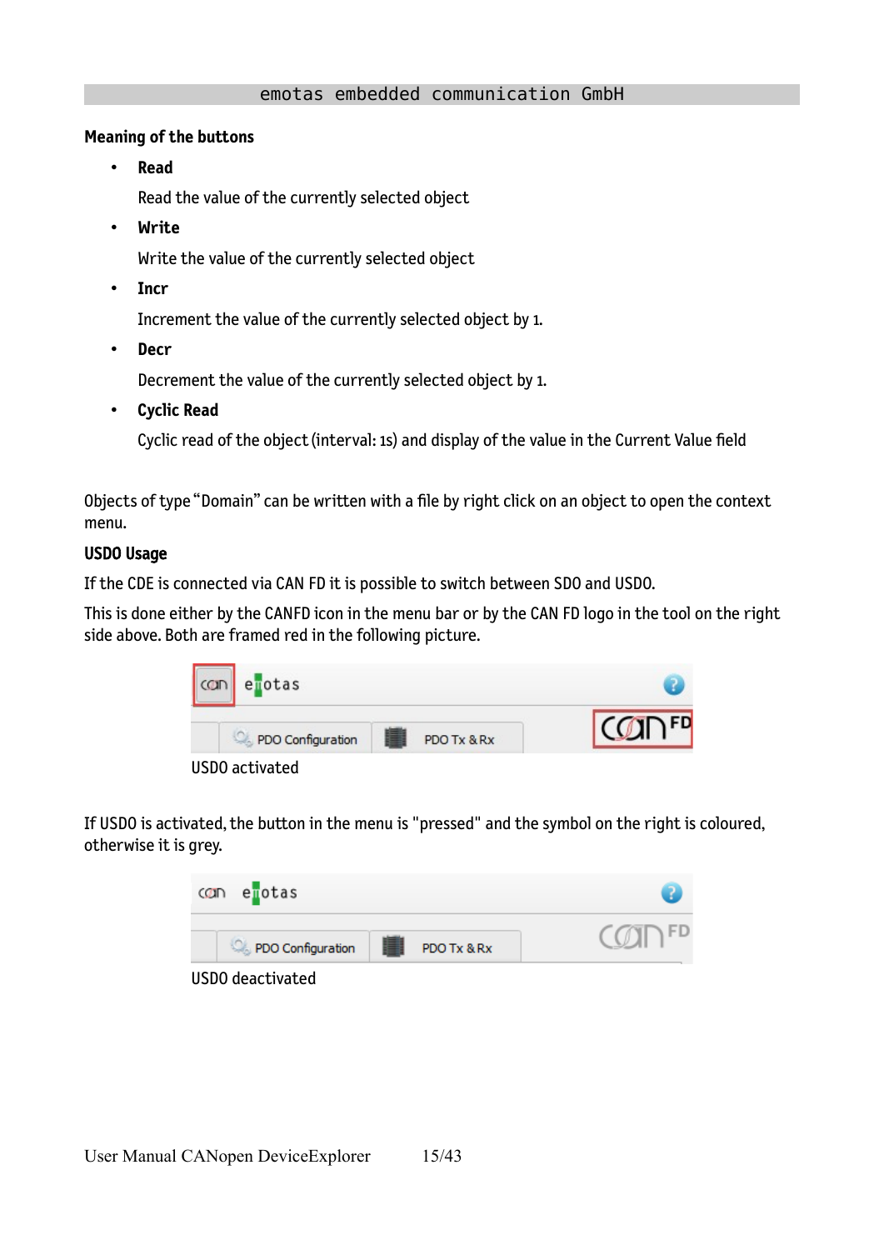#### **Meaning of the buttons**

• **Read**

Read the value of the currently selected object

• **Write**

Write the value of the currently selected object

• **Incr**

Increment the value of the currently selected object by 1.

• **Decr**

Decrement the value of the currently selected object by 1.

• **Cyclic Read**

Cyclic read of the object (interval: 1s) and display of the value in the Current Value field

Objects of type "Domain" can be written with a file by right click on an object to open the context menu.

#### USDO Usage

If the CDE is connected via CAN FD it is possible to switch between SDO and USDO.

This is done either by the CANFD icon in the menu bar or by the CAN FD logo in the tool on the right side above. Both are framed red in the following picture.



If USDO is activated, the button in the menu is "pressed" and the symbol on the right is coloured, otherwise it is grey.

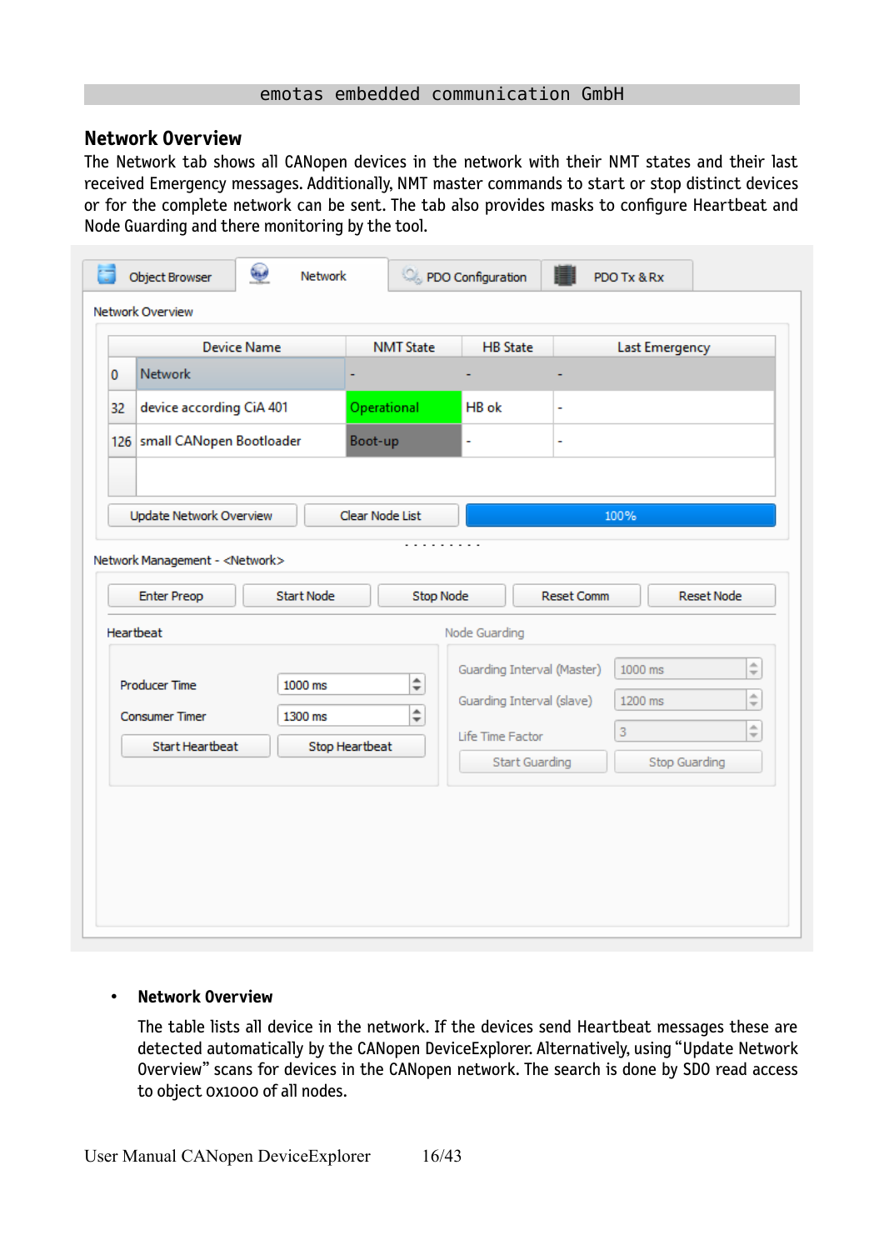#### **Network Overview**

The Network tab shows all CANopen devices in the network with their NMT states and their last received Emergency messages. Additionally, NMT master commands to start or stop distinct devices or for the complete network can be sent. The tab also provides masks to configure Heartbeat and Node Guarding and there monitoring by the tool.

|    | <b>Object Browser</b><br>Network Overview | فيها<br>Network    |                  |           | PDO Configuration          |                   | PDO Tx & Rx    |                      |
|----|-------------------------------------------|--------------------|------------------|-----------|----------------------------|-------------------|----------------|----------------------|
|    |                                           | <b>Device Name</b> | <b>NMT State</b> |           | <b>HB</b> State            |                   | Last Emergency |                      |
| 0  | <b>Network</b>                            |                    |                  |           |                            |                   |                |                      |
| 32 | device according CiA 401                  |                    | Operational      |           | HB ok                      | ۰                 |                |                      |
|    | 126 small CANopen Bootloader              |                    | Boot-up          |           | $\overline{a}$             | ч                 |                |                      |
|    |                                           |                    |                  |           |                            |                   |                |                      |
|    | Update Network Overview                   |                    | Clear Node List  |           |                            |                   | 100%           |                      |
|    |                                           |                    |                  | .         |                            |                   |                |                      |
|    | Network Management - <network></network>  |                    |                  |           |                            |                   |                |                      |
|    | <b>Enter Preop</b>                        | Start Node         |                  | Stop Node |                            | <b>Reset Comm</b> |                | <b>Reset Node</b>    |
|    | Heartbeat                                 |                    |                  |           | Node Guarding              |                   |                |                      |
|    |                                           |                    |                  |           | Guarding Interval (Master) |                   | 1000 ms        | $\hat{=}$            |
|    | <b>Producer Time</b>                      | 1000 ms            |                  | $\div$    |                            |                   |                |                      |
|    |                                           |                    |                  |           |                            |                   |                |                      |
|    | <b>Consumer Timer</b>                     | 1300 ms            |                  | $\div$    | Guarding Interval (slave)  |                   | 1200 ms        | $\frac{1}{\sqrt{2}}$ |
|    | Start Heartbeat                           |                    | Stop Heartbeat   |           | Life Time Factor           |                   | 3              | $\frac{1}{\sqrt{2}}$ |
|    |                                           |                    |                  |           | Start Guarding             |                   | Stop Guarding  |                      |
|    |                                           |                    |                  |           |                            |                   |                |                      |
|    |                                           |                    |                  |           |                            |                   |                |                      |
|    |                                           |                    |                  |           |                            |                   |                |                      |

#### • **Network Overview**

The table lists all device in the network. If the devices send Heartbeat messages these are detected automatically by the CANopen DeviceExplorer. Alternatively, using "Update Network Overview" scans for devices in the CANopen network. The search is done by SDO read access to object 0x1000 of all nodes.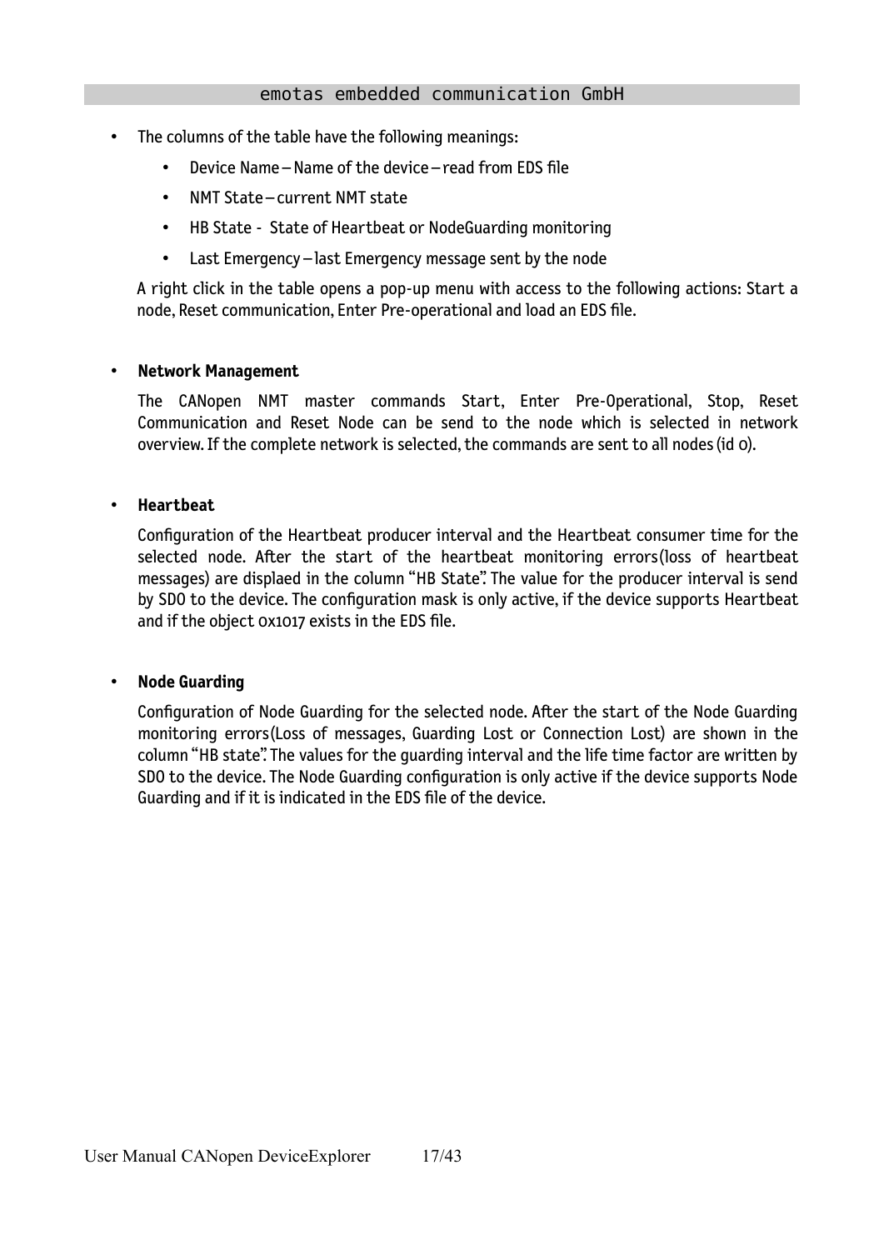- The columns of the table have the following meanings:
	- Device Name Name of the device read from EDS file
	- NMT State current NMT state
	- HB State State of Heartbeat or NodeGuarding monitoring
	- Last Emergency last Emergency message sent by the node

A right click in the table opens a pop-up menu with access to the following actions: Start a node, Reset communication, Enter Pre-operational and load an EDS file.

#### • **Network Management**

The CANopen NMT master commands Start, Enter Pre-Operational, Stop, Reset Communication and Reset Node can be send to the node which is selected in network overview. If the complete network is selected, the commands are sent to all nodes (id 0).

#### • **Heartbeat**

Configuration of the Heartbeat producer interval and the Heartbeat consumer time for the selected node. After the start of the heartbeat monitoring errors(loss of heartbeat messages) are displaed in the column "HB State". The value for the producer interval is send by SDO to the device. The configuration mask is only active, if the device supports Heartbeat and if the object 0x1017 exists in the EDS file.

#### • **Node Guarding**

Configuration of Node Guarding for the selected node. After the start of the Node Guarding monitoring errors(Loss of messages, Guarding Lost or Connection Lost) are shown in the column "HB state". The values for the guarding interval and the life time factor are written by SDO to the device. The Node Guarding configuration is only active if the device supports Node Guarding and if it is indicated in the EDS file of the device.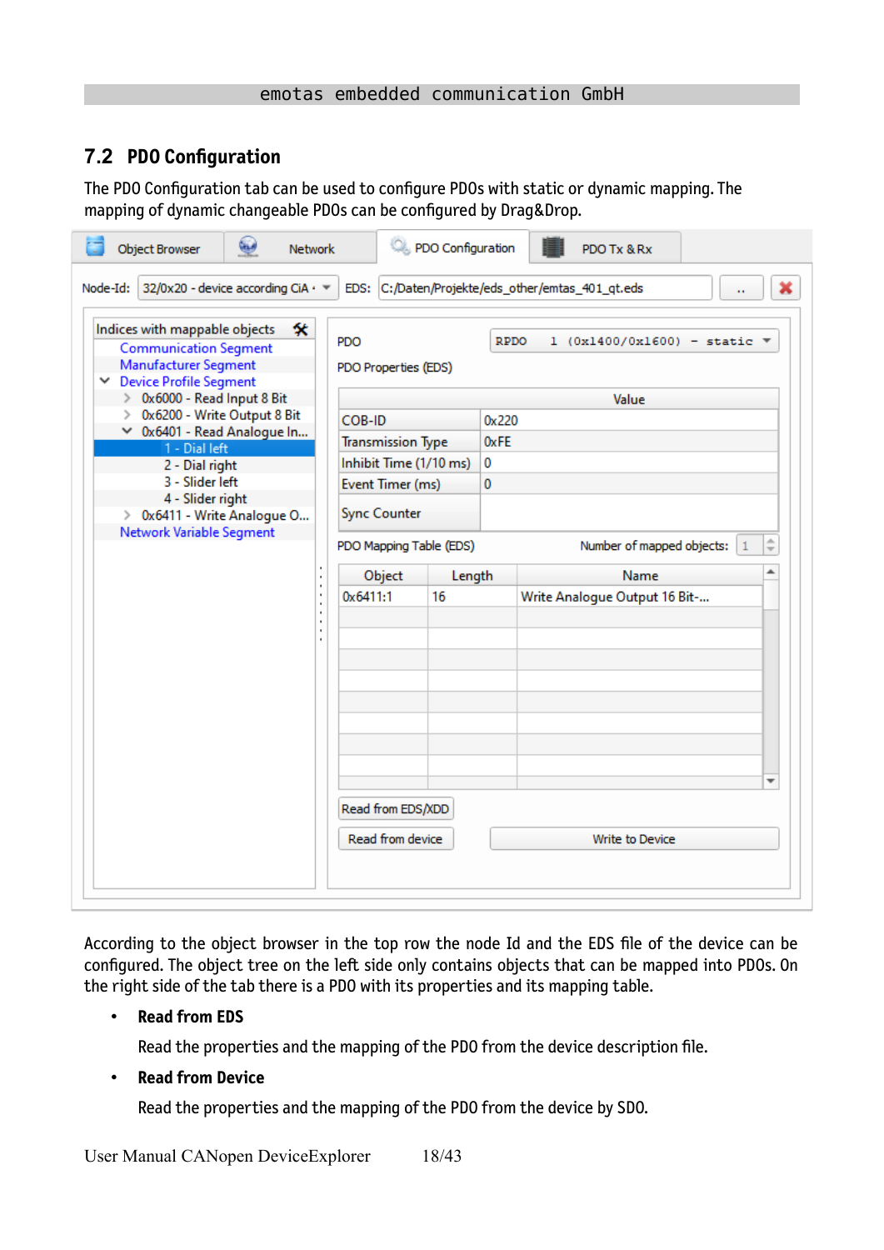### <span id="page-17-0"></span>**7.2 PDO Configuration**

The PDO Configuration tab can be used to configure PDOs with static or dynamic mapping. The mapping of dynamic changeable PDOs can be configured by Drag&Drop.

| فيها<br>Object Browser<br><b>Network</b>                                                                                    |                         | PDO Configuration             |               | PDO Tx & Rx                                             |                          |
|-----------------------------------------------------------------------------------------------------------------------------|-------------------------|-------------------------------|---------------|---------------------------------------------------------|--------------------------|
| 32/0x20 - device according CiA · ▼<br>Node-Id:                                                                              |                         |                               |               | EDS: C:/Daten/Projekte/eds_other/emtas_401_qt.eds<br>ò. |                          |
| 솻<br>Indices with mappable objects<br><b>Communication Segment</b><br>Manufacturer Segment<br><b>Device Profile Segment</b> | PDO                     | PDO Properties (EDS)          | <b>RPDO</b>   | $1$ (0x1400/0x1600) - static $\sqrt{*}$                 |                          |
| > 0x6000 - Read Input 8 Bit<br>0x6200 - Write Output 8 Bit<br>≻                                                             |                         |                               |               | Value                                                   |                          |
| ◇ 0x6401 - Read Analogue In                                                                                                 | COB-ID                  | <b>Transmission Type</b>      | 0x220<br>0xFE |                                                         |                          |
| 1 - Dial left<br>2 - Dial right                                                                                             |                         | Inhibit Time (1/10 ms)        | 0             |                                                         |                          |
| 3 - Slider left                                                                                                             |                         | Event Timer (ms)              | 0             |                                                         |                          |
| 4 - Slider right<br>> 0x6411 - Write Analogue O                                                                             |                         | <b>Sync Counter</b>           |               |                                                         |                          |
| Network Variable Segment                                                                                                    | PDO Mapping Table (EDS) | Number of mapped objects:   1 | $\hat{=}$     |                                                         |                          |
|                                                                                                                             |                         | Object<br>Length              |               | Name                                                    | ┻                        |
|                                                                                                                             | 0x6411:1                | 16                            |               | Write Analogue Output 16 Bit-                           |                          |
|                                                                                                                             |                         |                               |               |                                                         |                          |
|                                                                                                                             |                         |                               |               |                                                         |                          |
|                                                                                                                             |                         |                               |               |                                                         |                          |
|                                                                                                                             |                         |                               |               |                                                         |                          |
|                                                                                                                             |                         |                               |               |                                                         | $\overline{\phantom{a}}$ |
|                                                                                                                             |                         | Read from EDS/XDD             |               |                                                         |                          |
|                                                                                                                             |                         | Read from device              |               | <b>Write to Device</b>                                  |                          |
|                                                                                                                             |                         |                               |               |                                                         |                          |

According to the object browser in the top row the node Id and the EDS file of the device can be configured. The object tree on the left side only contains objects that can be mapped into PDOs. On the right side of the tab there is a PDO with its properties and its mapping table.

#### • **Read from EDS**

Read the properties and the mapping of the PDO from the device description file.

• **Read from Device**

Read the properties and the mapping of the PDO from the device by SDO.

User Manual CANopen DeviceExplorer 18/43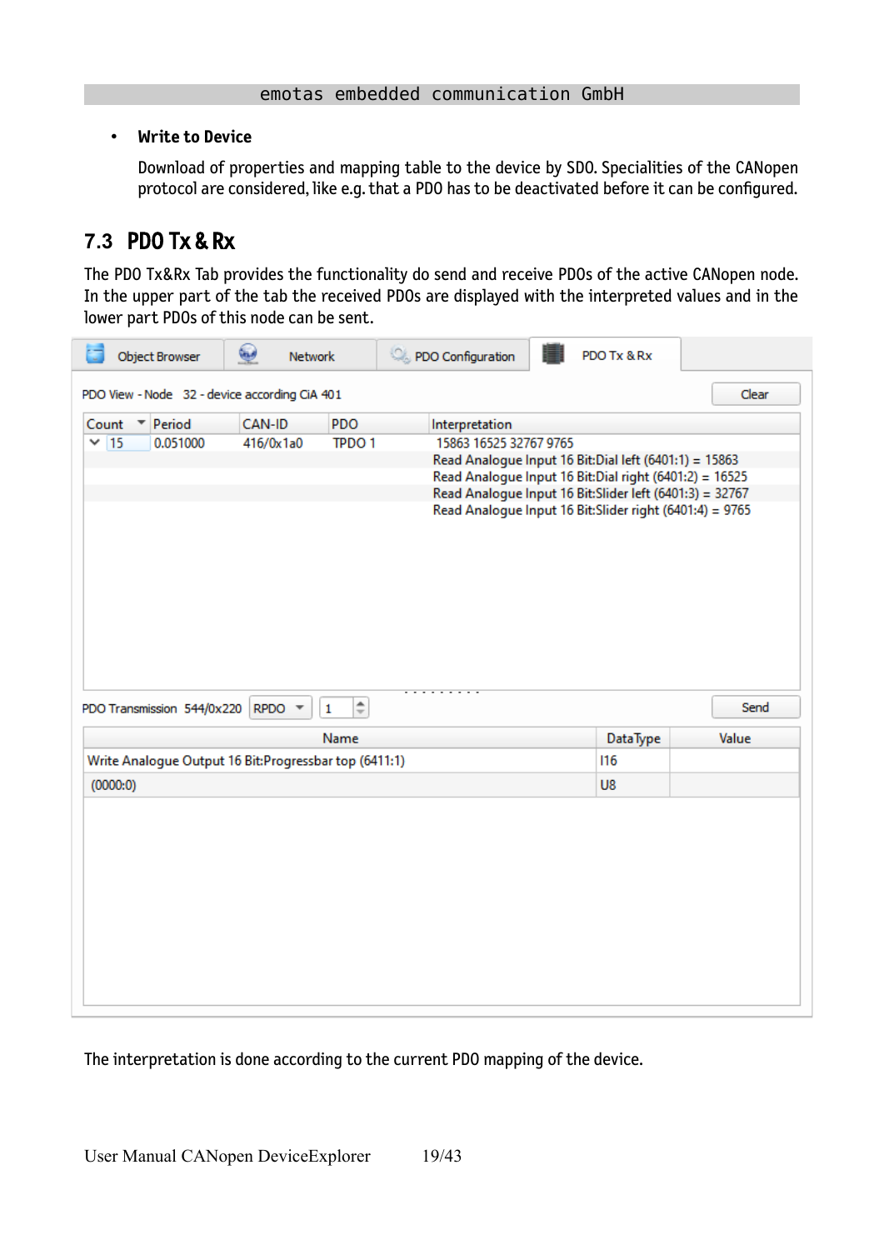#### • **Write to Device**

Download of properties and mapping table to the device by SDO. Specialities of the CANopen protocol are considered, like e.g. that a PDO has to be deactivated before it can be configured.

## <span id="page-18-0"></span>**7.3** PDO Tx & Rx

The PDO Tx&Rx Tab provides the functionality do send and receive PDOs of the active CANopen node. In the upper part of the tab the received PDOs are displayed with the interpreted values and in the lower part PDOs of this node can be sent.

| <b>Object Browser</b>                                  | ۵<br><b>Network</b> |                               | PDO Configuration                        | PDO Tx & Rx                                                                                                                                                                                                                             |               |
|--------------------------------------------------------|---------------------|-------------------------------|------------------------------------------|-----------------------------------------------------------------------------------------------------------------------------------------------------------------------------------------------------------------------------------------|---------------|
| PDO View - Node 32 - device according CiA 401          |                     |                               |                                          |                                                                                                                                                                                                                                         | Clear         |
| Period<br>Count<br>▼<br>$\times$ 15<br>0.051000        | CAN-ID<br>416/0x1a0 | PDO<br><b>TPDO1</b>           | Interpretation<br>15863 16525 32767 9765 | Read Analogue Input 16 Bit:Dial left (6401:1) = 15863<br>Read Analogue Input 16 Bit:Dial right (6401:2) = 16525<br>Read Analogue Input 16 Bit: Slider left (6401:3) = 32767<br>Read Analogue Input 16 Bit: Slider right (6401:4) = 9765 |               |
|                                                        |                     |                               |                                          |                                                                                                                                                                                                                                         |               |
| PDO Transmission 544/0x220 RPDO ▼                      |                     | $\div$<br>$\mathbf 1$<br>Name |                                          | <b>DataType</b>                                                                                                                                                                                                                         | Send<br>Value |
| Write Analogue Output 16 Bit: Progressbar top (6411:1) |                     |                               |                                          | 116                                                                                                                                                                                                                                     |               |
| (0000:0)                                               |                     |                               |                                          | U8                                                                                                                                                                                                                                      |               |
|                                                        |                     |                               |                                          |                                                                                                                                                                                                                                         |               |

The interpretation is done according to the current PDO mapping of the device.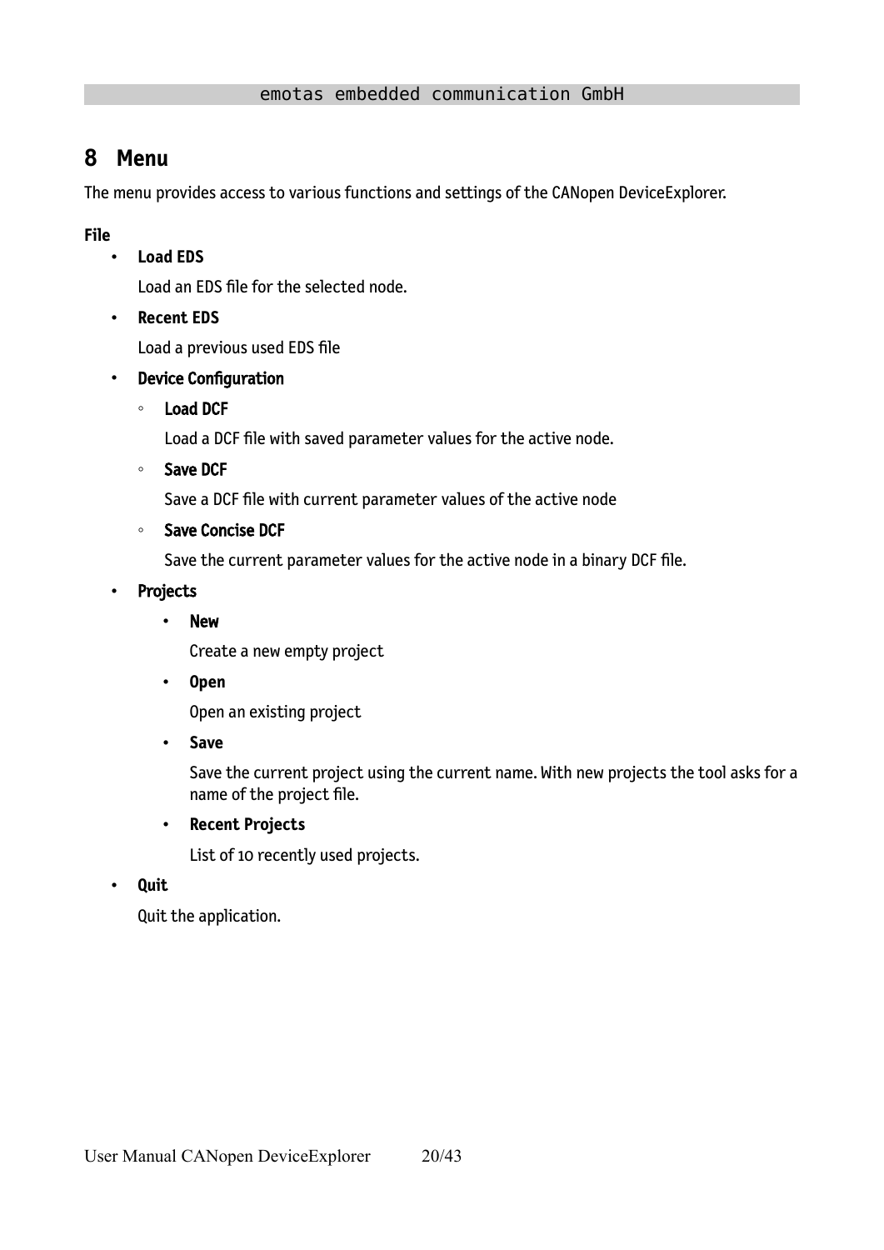## <span id="page-19-0"></span>**8 Menu**

The menu provides access to various functions and settings of the CANopen DeviceExplorer.

**File**

• **Load EDS**

Load an EDS file for the selected node.

• **Recent EDS** 

Load a previous used EDS file

- Device Configuration
	- Load DCF

Load a DCF file with saved parameter values for the active node.

◦ Save DCF

Save a DCF file with current parameter values of the active node

◦ Save Concise DCF

Save the current parameter values for the active node in a binary DCF file.

- Projects
	- New

Create a new empty project

• **Open** 

Open an existing project

• **Save** 

Save the current project using the current name. With new projects the tool asks for a name of the project file.

• **Recent Projects**

List of 10 recently used projects.

• **Quit**

Quit the application.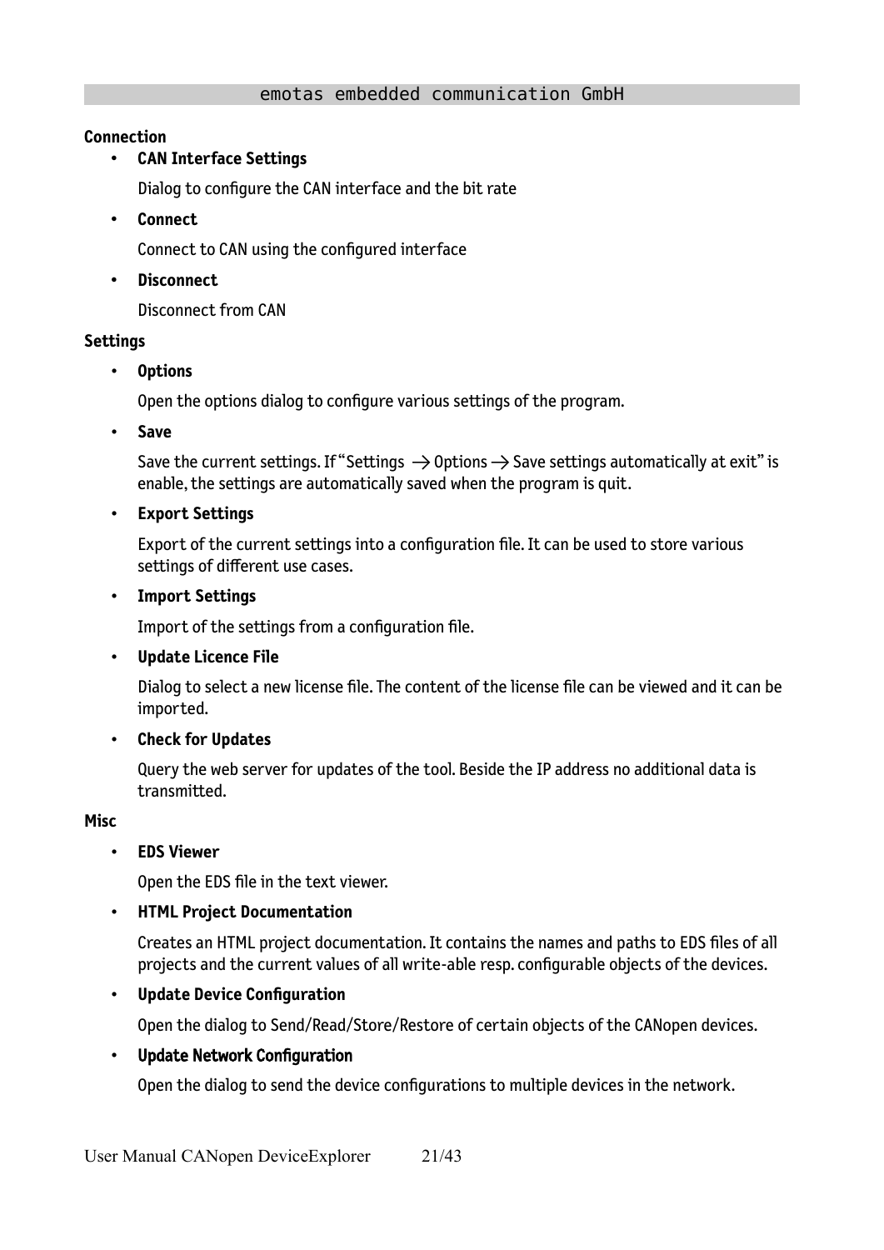#### **Connection**

#### • **CAN Interface Settings**

Dialog to configure the CAN interface and the bit rate

• **Connect**

Connect to CAN using the configured interface

• **Disconnect**

Disconnect from CAN

#### **Settings**

• **Options**

Open the options dialog to configure various settings of the program.

• **Save**

Save the current settings. If "Settings  $\rightarrow$  Options  $\rightarrow$  Save settings automatically at exit" is enable, the settings are automatically saved when the program is quit.

#### • **Export Settings**

Export of the current settings into a configuration file. It can be used to store various settings of different use cases.

#### • **Import Settings**

Import of the settings from a configuration file.

#### • **Update Licence File**

Dialog to select a new license file. The content of the license file can be viewed and it can be imported.

#### • **Check for Updates**

Query the web server for updates of the tool. Beside the IP address no additional data is transmitted.

#### **Misc**

#### • **EDS Viewer**

Open the EDS file in the text viewer.

#### • **HTML Project Documentation**

Creates an HTML project documentation. It contains the names and paths to EDS files of all projects and the current values of all write-able resp. configurable objects of the devices.

#### • **Update Device Configuration**

Open the dialog to Send/Read/Store/Restore of certain objects of the CANopen devices.

#### • Update Network Configuration

Open the dialog to send the device configurations to multiple devices in the network.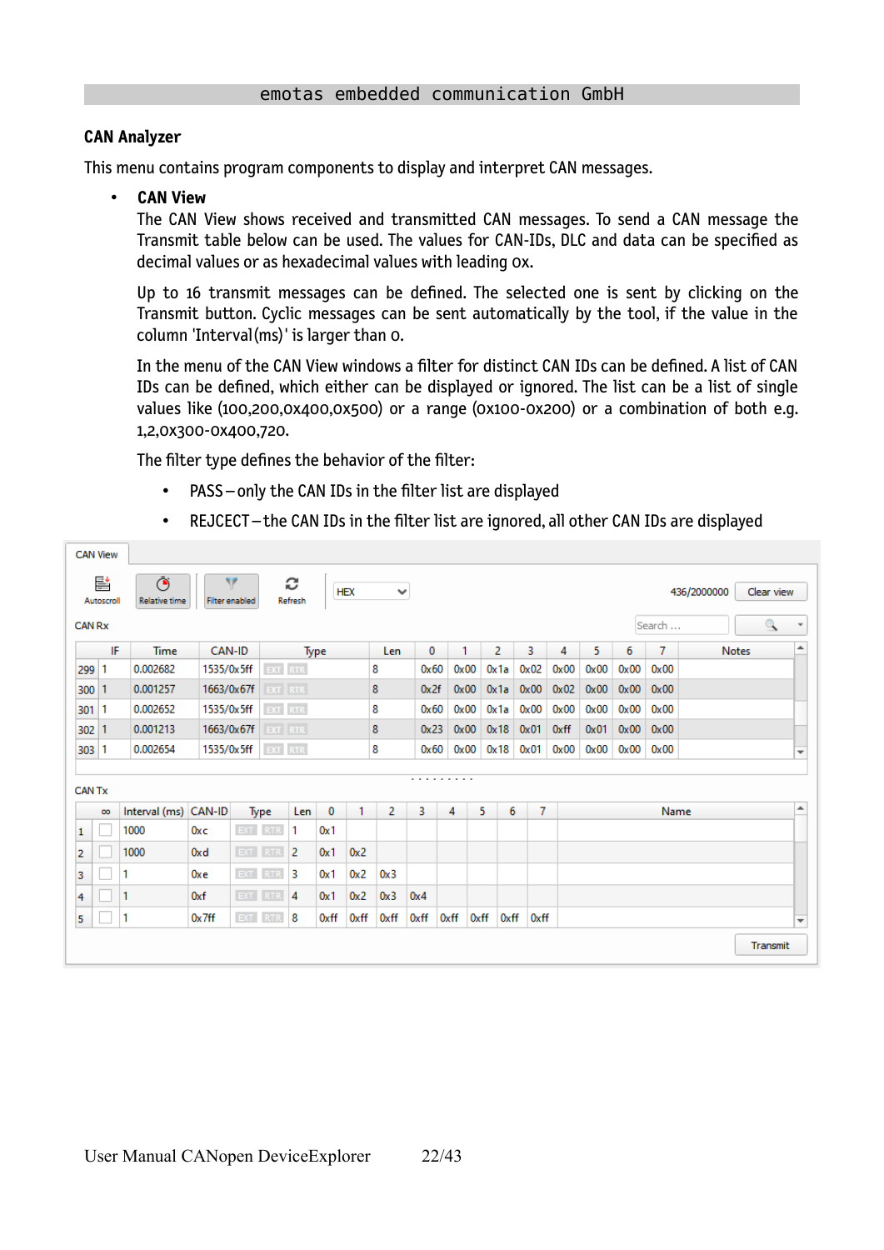#### **CAN Analyzer**

This menu contains program components to display and interpret CAN messages.

• **CAN View** 

The CAN View shows received and transmitted CAN messages. To send a CAN message the Transmit table below can be used. The values for CAN-IDs, DLC and data can be specified as decimal values or as hexadecimal values with leading 0x.

Up to 16 transmit messages can be defined. The selected one is sent by clicking on the Transmit button. Cyclic messages can be sent automatically by the tool, if the value in the column 'Interval(ms)' is larger than 0.

<span id="page-21-0"></span>In the menu of the CAN View windows a filter for distinct CAN IDs can be defined. A list of CAN IDs can be defined, which either can be displayed or ignored. The list can be a list of single values like (100,200,0x400,0x500) or a range (0x100-0x200) or a combination of both e.g. 1,2,0x300-0x400,720.

The filter type defines the behavior of the filter:

PASS – only the CAN IDs in the filter list are displayed

|               | <b>CAN View</b> |                           |                 |                            |         |                     |          |            |                  |      |      |      |                |               |      |      |      |        |              |              |                          |
|---------------|-----------------|---------------------------|-----------------|----------------------------|---------|---------------------|----------|------------|------------------|------|------|------|----------------|---------------|------|------|------|--------|--------------|--------------|--------------------------|
|               | 뢑<br>Autoscroll | Ō<br><b>Relative time</b> |                 | Y<br><b>Filter enabled</b> |         | c<br><b>Refresh</b> |          | <b>HEX</b> | $\checkmark$     |      |      |      |                |               |      |      |      |        | 436/2000000  | Clear view   |                          |
| <b>CAN Rx</b> |                 |                           |                 |                            |         |                     |          |            |                  |      |      |      |                |               |      |      |      | Search |              | $\mathbb{R}$ |                          |
|               | IF              | Time                      |                 | CAN-ID                     |         | Type                |          |            | Len              | 0    |      | 1    | $\overline{2}$ | 3             | 4    | 5.   | 6    | 7      | <b>Notes</b> |              | ዹ                        |
| 299 1         |                 | 0.002682                  | 1535/0x5ff      |                            | EXT RTR |                     |          |            | 8                | 0x60 |      | 0x00 | Ox 1 a         | 0x02          | 0x00 | 0x00 | 0x00 | 0x00   |              |              |                          |
| 300 1         |                 | 0.001257                  |                 | 1663/0x67f                 | EXT RTR |                     |          |            | 8                | 0x2f |      | 0x00 | 0x1a           | $0 \times 00$ | 0x02 | 0x00 | 0x00 | 0x00   |              |              |                          |
| 3011          |                 | 0.002652                  | 1535/0x5ff      |                            | EXT RTR |                     |          |            | 8                | 0x60 |      | 0x00 | Ox 1 a         | $0 \times 00$ | 0x00 | 0x00 | 0x00 | 0x00   |              |              |                          |
| 302 1         |                 | 0.001213                  | 1663/0x67f      |                            | EXT RTR |                     |          |            | 8                | 0x23 |      | 0x00 | 0x18           | 0x01          | 0xff | 0x01 | 0x00 | 0x00   |              |              |                          |
| 303 1         |                 | 0.002654                  |                 | 1535/0x5ff                 | EXT RTR |                     |          |            | 8                | 0x60 |      | 0x00 | 0x18           | 0x01          | 0x00 | 0x00 | 0x00 | 0x00   |              |              | $\overline{\phantom{a}}$ |
|               |                 |                           |                 |                            |         |                     |          |            |                  |      | .    |      |                |               |      |      |      |        |              |              |                          |
| <b>CAN Tx</b> |                 |                           |                 |                            |         |                     |          |            |                  |      |      |      |                |               |      |      |      |        |              |              |                          |
|               | $\infty$        | Interval (ms) CAN-ID      |                 |                            | Type    | Len                 | $\bf{0}$ | 1          | 2                | 3    | 4    | 5.   | 6              | 7             |      |      |      | Name   |              |              | ┻                        |
| 1             |                 | 1000                      | 0xc             |                            | EXT RTR | 1                   | 0x1      |            |                  |      |      |      |                |               |      |      |      |        |              |              |                          |
| 2             |                 | 1000                      | 0 <sub>xd</sub> |                            | EXT RTR | $\overline{2}$      | 0x1      | 0x2        |                  |      |      |      |                |               |      |      |      |        |              |              |                          |
| з             |                 | 1                         | 0xe             |                            | EXT RTR | 3                   | 0x1      | 0x2        | 0x3              |      |      |      |                |               |      |      |      |        |              |              |                          |
| 4             |                 | 1                         | 0xf             |                            | EXT RTR | 4                   | 0x1      | 0x2        | 0 <sub>x</sub> 3 | 0x4  |      |      |                |               |      |      |      |        |              |              |                          |
| 5.            |                 | 1                         | $0x$ 7ff        |                            | EXT RTR | 8                   | 0xff     | 0xff       | 0xff             | 0xff | 0xff | 0xff | 0xff           | 0xff          |      |      |      |        |              |              | $\overline{\phantom{a}}$ |
|               |                 |                           |                 |                            |         |                     |          |            |                  |      |      |      |                |               |      |      |      |        |              | Transmit     |                          |

• REJCECT – the CAN IDs in the filter list are ignored, all other CAN IDs are displayed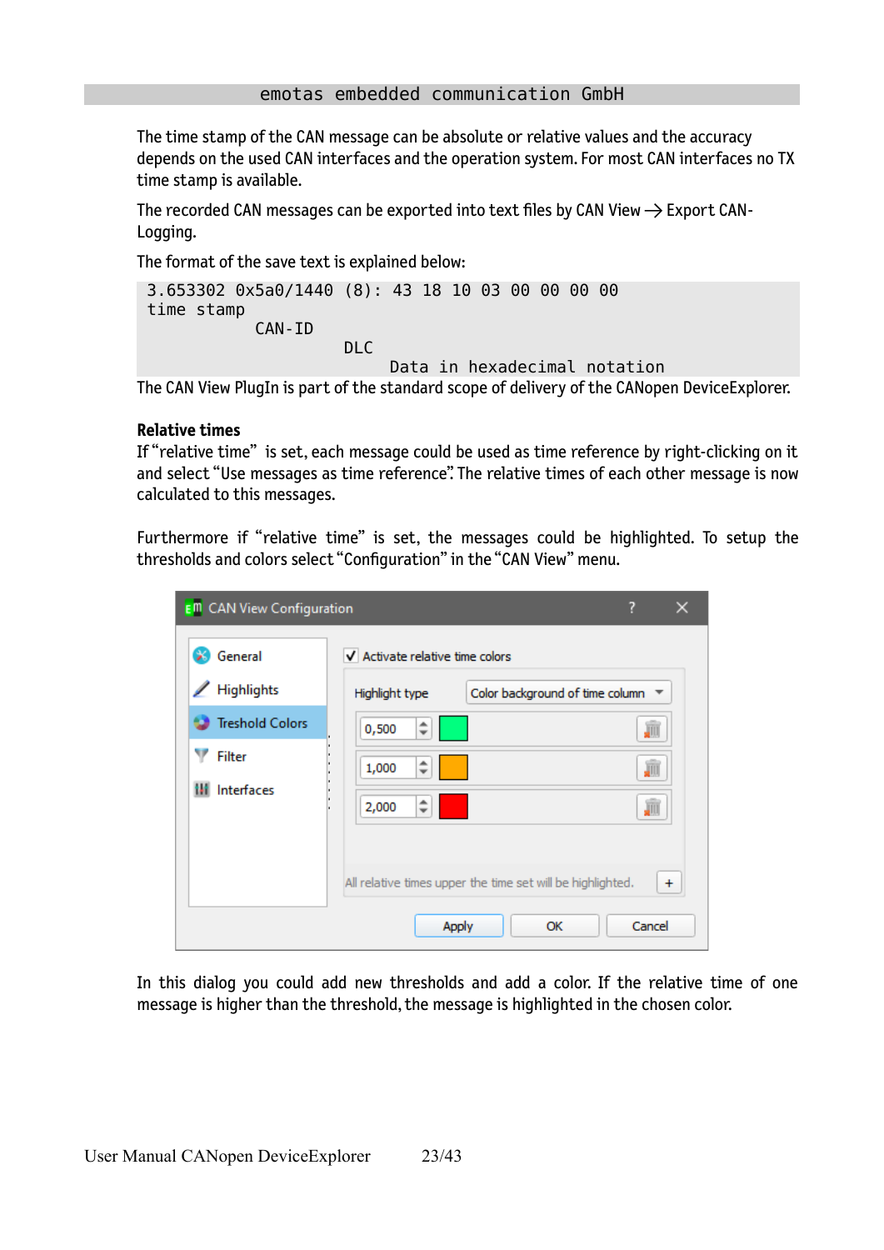The time stamp of the CAN message can be absolute or relative values and the accuracy depends on the used CAN interfaces and the operation system. For most CAN interfaces no TX time stamp is available.

The recorded CAN messages can be exported into text files by CAN View  $\rightarrow$  Export CAN-Logging.

The format of the save text is explained below:

```
 3.653302 0x5a0/1440 (8): 43 18 10 03 00 00 00 00 
  time stamp
               CAN-ID
                          DLC
                                Data in hexadecimal notation
The CAN View PlugIn is part of the standard scope of delivery of the CANopen DeviceExplorer.
```
#### **Relative times**

If "relative time" is set, each message could be used as time reference by right-clicking on it and select "Use messages as time reference". The relative times of each other message is now calculated to this messages.

Furthermore if "relative time" is set, the messages could be highlighted. To setup the thresholds and colors select "Configuration" in the "CAN View" menu.

| <b>E</b> <sup>m</sup> CAN View Configuration |                                                            | ?                               |
|----------------------------------------------|------------------------------------------------------------|---------------------------------|
| General                                      | V Activate relative time colors                            |                                 |
| Highlights                                   | Highlight type                                             | Color background of time column |
| <b>Treshold Colors</b>                       | ▲<br>0,500<br>$\overline{\phantom{a}}$                     | JII                             |
| Filter                                       | ∸<br>1,000<br>$\overline{\phantom{a}}$                     | 驷                               |
| Interfaces<br>ш                              | 2,000<br>$\overline{\phantom{a}}$                          | JII                             |
|                                              |                                                            |                                 |
|                                              | All relative times upper the time set will be highlighted. | $\ddot{}$                       |
|                                              | Apply                                                      | Cancel<br>ОК                    |

In this dialog you could add new thresholds and add a color. If the relative time of one message is higher than the threshold, the message is highlighted in the chosen color.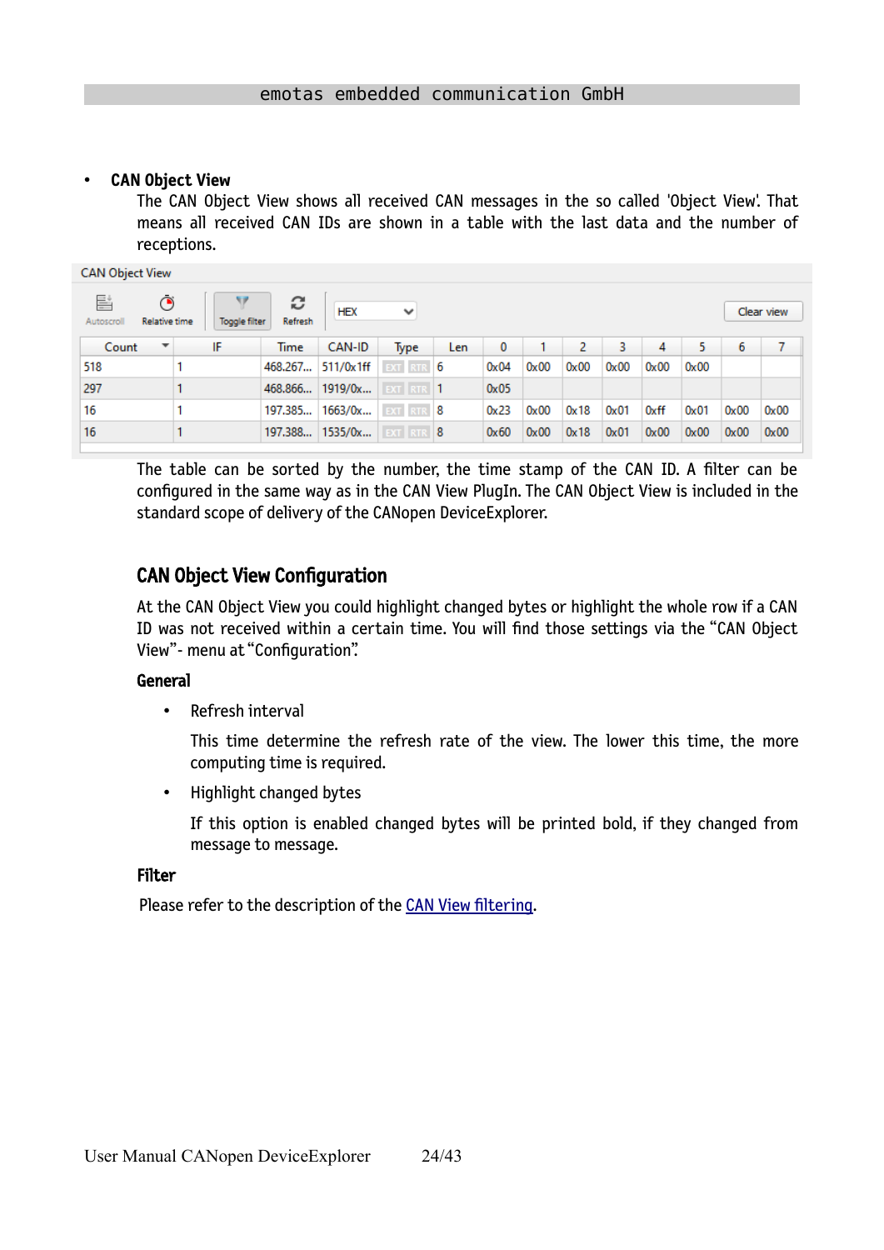#### • **CAN Object View**

The CAN Object View shows all received CAN messages in the so called 'Object View'. That means all received CAN IDs are shown in a table with the last data and the number of receptions.

| <b>CAN Object View</b> |                                     |                     |                 |              |     |          |      |      |      |      |      |      |            |
|------------------------|-------------------------------------|---------------------|-----------------|--------------|-----|----------|------|------|------|------|------|------|------------|
| 탈<br>Autoscroll        | ◔<br>Relative time<br>Toggle filter | c<br><b>Refresh</b> | <b>HEX</b>      | $\checkmark$ |     |          |      |      |      |      |      |      | Clear view |
| Count                  | IF<br>▼                             | Time                | CAN-ID          | Type         | Len | $\bf{0}$ |      | 2    | 3    | 4    | 5.   | 6    | 7          |
| 518                    |                                     | 468.267             | 511/0x1ff       | EXT RTR 6    |     | 0x04     | 0x00 | 0x00 | 0x00 | 0x00 | 0x00 |      |            |
| 297                    |                                     | 468.866             | 1919/0x         | EXT RTR 1    |     | 0x05     |      |      |      |      |      |      |            |
| 16                     |                                     | 197.385             | 1663/0x         | EXT RTR 8    |     | 0x23     | 0x00 | 0x18 | 0x01 | 0xff | 0x01 | 0x00 | 0x00       |
| 16                     |                                     |                     | 197.388 1535/0x | EXT RTR 8    |     | 0x60     | 0x00 | 0x18 | 0x01 | 0x00 | 0x00 | 0x00 | 0x00       |

The table can be sorted by the number, the time stamp of the CAN ID. A filter can be configured in the same way as in the CAN View PlugIn. The CAN Object View is included in the standard scope of delivery of the CANopen DeviceExplorer.

### CAN Object View Configuration

At the CAN Object View you could highlight changed bytes or highlight the whole row if a CAN ID was not received within a certain time. You will find those settings via the "CAN Object View"- menu at "Configuration".

#### General

• Refresh interval

This time determine the refresh rate of the view. The lower this time, the more computing time is required.

• Highlight changed bytes

If this option is enabled changed bytes will be printed bold, if they changed from message to message.

#### Filter

Please refer to the description of the [CAN View filtering](#page-21-0).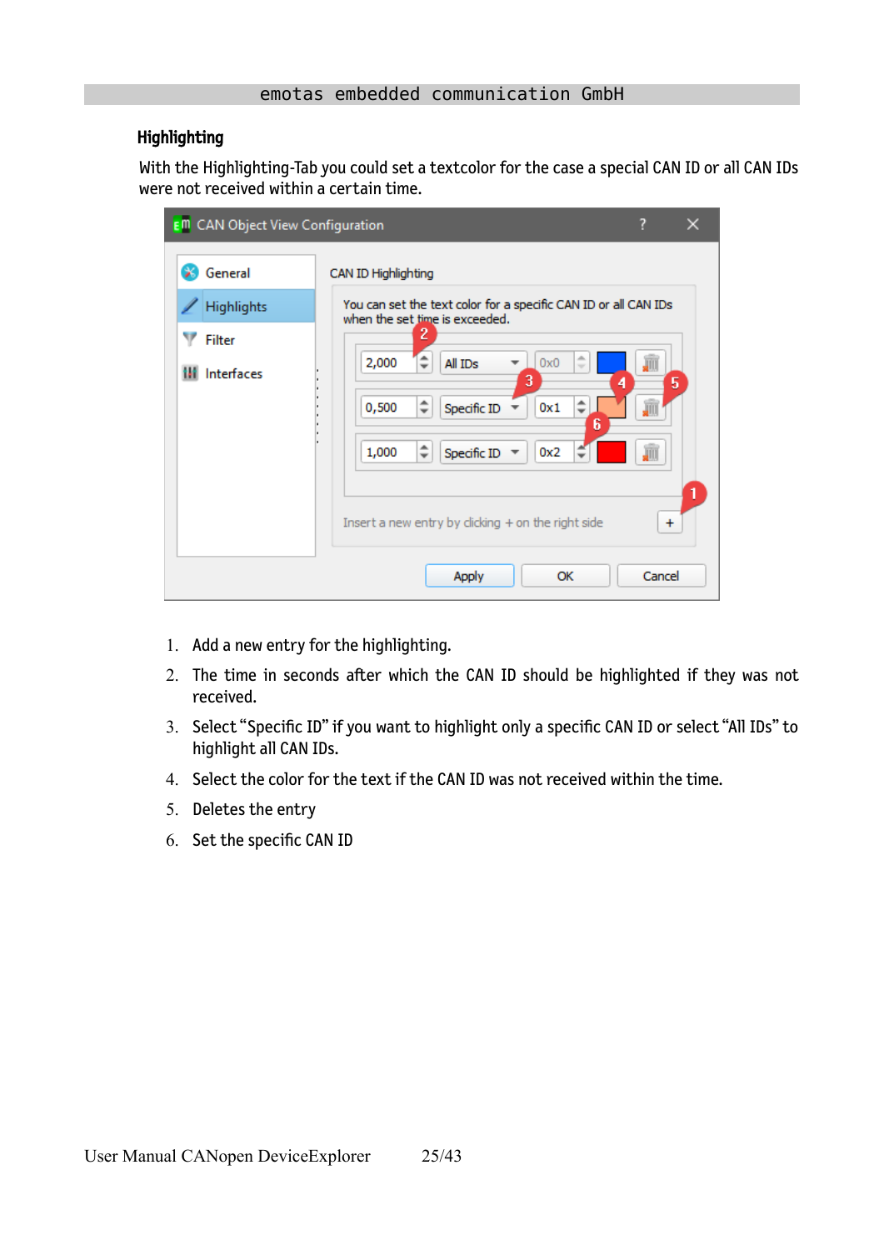#### Highlighting

With the Highlighting-Tab you could set a textcolor for the case a special CAN ID or all CAN IDs were not received within a certain time.

| <b>E<sup>m</sup></b> CAN Object View Configuration |                                                                                                                                                                                                                                                                                                                                                                     |
|----------------------------------------------------|---------------------------------------------------------------------------------------------------------------------------------------------------------------------------------------------------------------------------------------------------------------------------------------------------------------------------------------------------------------------|
| General<br>Highlights<br>Filter<br>Interfaces      | CAN ID Highlighting<br>You can set the text color for a specific CAN ID or all CAN IDs<br>when the set time is exceeded.<br>2<br>业<br>2,000<br>All IDs<br>画<br>0x0<br>$\sim$<br>3<br>5<br>4<br>÷<br>0,500<br>Specific ID<br>0x1<br>JÜ<br>6<br>$\hat{=}$<br>1,000<br>Specific ID<br>0x2<br>J<br>1<br>Insert a new entry by clicking + on the right side<br>$\ddot{}$ |
|                                                    | Cancel<br><b>Apply</b><br>ОК                                                                                                                                                                                                                                                                                                                                        |

- 1. Add a new entry for the highlighting.
- 2. The time in seconds after which the CAN ID should be highlighted if they was not received.
- 3. Select "Specific ID" if you want to highlight only a specific CAN ID or select "All IDs" to highlight all CAN IDs.
- 4. Select the color for the text if the CAN ID was not received within the time.
- 5. Deletes the entry
- 6. Set the specific CAN ID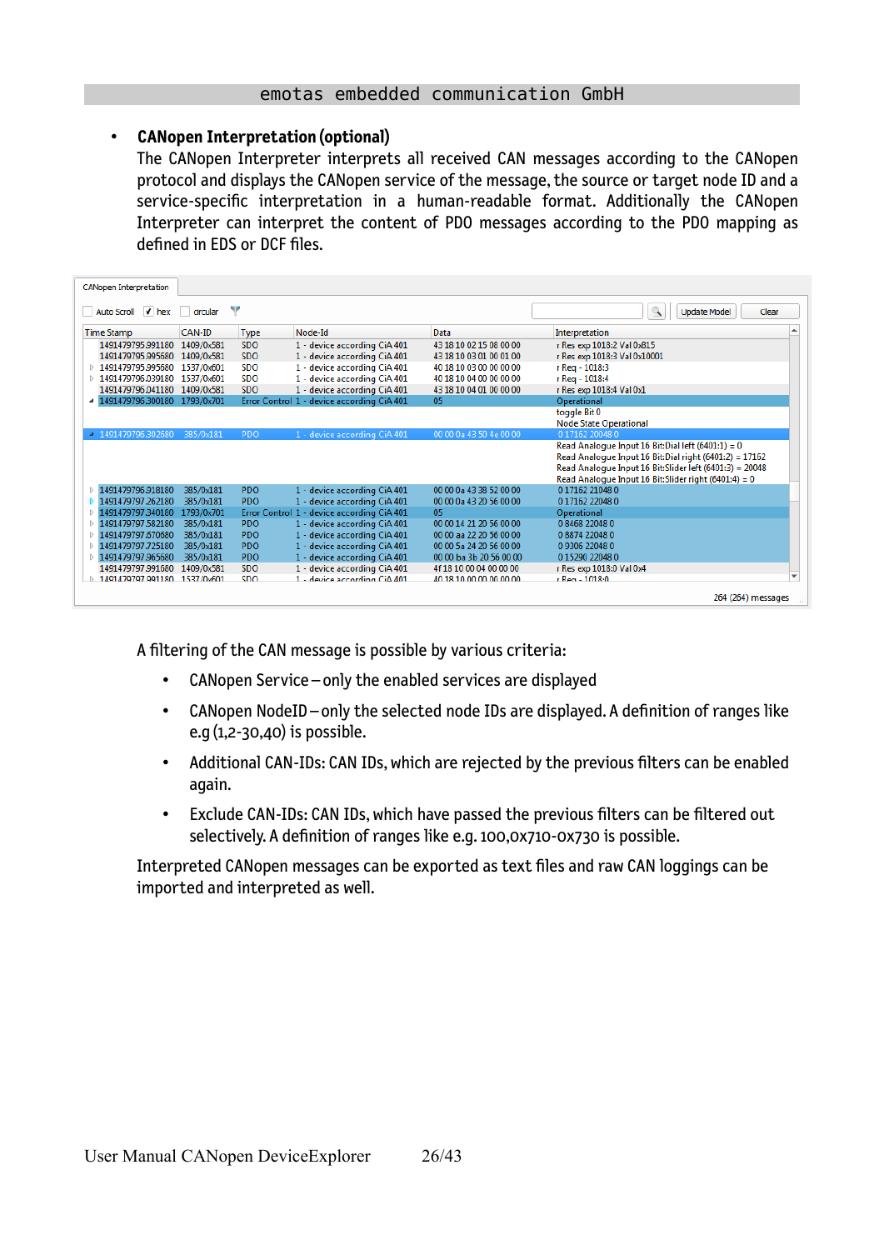#### • **CANopen Interpretation (optional)**

The CANopen Interpreter interprets all received CAN messages according to the CANopen protocol and displays the CANopen service of the message, the source or target node ID and a service-specific interpretation in a human-readable format. Additionally the CANopen Interpreter can interpret the content of PDO messages according to the PDO mapping as defined in EDS or DCF files.

| <b>CANopen Interpretation</b>                    |            |             |                                            |                         |                                                          |
|--------------------------------------------------|------------|-------------|--------------------------------------------|-------------------------|----------------------------------------------------------|
| Auto Scroll V hex circular                       |            | v           |                                            |                         | $\mathbb{Q}$<br><b>Update Model</b><br>Clear             |
| <b>Time Stamp</b>                                | CAN-ID     | <b>Type</b> | Node-Id                                    | Data                    | ▲<br>Interpretation                                      |
| 1491479795.991180                                | 1409/0x581 | <b>SDO</b>  | 1 - device according CiA 401               | 43 18 10 02 15 08 00 00 | r Res exp 1018:2 Val 0x815                               |
| 1491479795.995680                                | 1409/0x581 | <b>SDO</b>  | 1 - device according CiA 401               | 43 18 10 03 01 00 01 00 | r Res exp 1018:3 Val 0x10001                             |
| 1491479795.995680<br>D                           | 1537/0x601 | <b>SDO</b>  | 1 - device according CiA 401               | 40 18 10 03 00 00 00 00 | r Req - 1018:3                                           |
| 1491479796.039180<br>Þ                           | 1537/0x601 | <b>SDO</b>  | 1 - device according CiA 401               | 40 18 10 04 00 00 00 00 | r Reg - 1018:4                                           |
| 1491479796.041180                                | 1409/0x581 | <b>SDO</b>  | 1 - device according CiA 401               | 43 18 10 04 01 00 00 00 | r Res exp 1018:4 Val 0x1                                 |
| 1491479796.300180                                | 1793/0x701 |             | Error Control 1 - device according CiA 401 | 05                      | Operational                                              |
|                                                  |            |             |                                            |                         | toggle Bit 0                                             |
|                                                  |            |             |                                            |                         | <b>Node State Operational</b>                            |
| 4 1491479796.302680                              | 385/0x181  | PDO         | 1 - device according CiA 401               | 00 00 0a 43 50 4e 00 00 | 0 17162 20048 0                                          |
|                                                  |            |             |                                            |                         | Read Analogue Input 16 Bit: Dial left (6401:1) = 0       |
|                                                  |            |             |                                            |                         | Read Analogue Input 16 Bit: Dial right (6401:2) = 17162  |
|                                                  |            |             |                                            |                         | Read Analogue Input 16 Bit: Slider left (6401:3) = 20048 |
|                                                  |            |             |                                            |                         | Read Analogue Input 16 Bit: Slider right (6401:4) = 0    |
| 1491479796.918180<br>b.                          | 385/0x181  | PDO         | 1 - device according CiA 401               | 00 00 0a 43 38 52 00 00 | 017162210480                                             |
| 1491479797.262180                                | 385/0x181  | <b>PDO</b>  | 1 - device according CiA 401               | 00 00 0a 43 20 56 00 00 | 017162220480                                             |
| 1491479797.340180<br>Þ                           | 1793/0x701 |             | Error Control 1 - device according CiA 401 | 05                      | Operational                                              |
| 1491479797.582180<br>Þ                           | 385/0x181  | PDO         | 1 - device according CiA 401               | 00 00 14 21 20 56 00 00 | 0 8468 22048 0                                           |
| 1491479797.670680                                | 385/0x181  | <b>PDO</b>  | 1 - device according CiA 401               | 00 00 aa 22 20 56 00 00 | 08874220480                                              |
| 1491479797.725180<br>$\triangleright$            | 385/0x181  | <b>PDO</b>  | 1 - device according CiA 401               | 00 00 5a 24 20 56 00 00 | 09306220480                                              |
| 1491479797.965680                                | 385/0x181  | <b>PDO</b>  | 1 - device according CiA 401               | 00 00 ba 3b 20 56 00 00 | 015290220480                                             |
| 1491479797.991680                                | 1409/0x581 | <b>SDO</b>  | 1 - device according CiA 401               | 4f 18 10 00 04 00 00 00 | r Res exp 1018:0 Val 0x4                                 |
| 1491479797 991180 1537/0x601<br>$\triangleright$ |            | SDO.        | $1 -$ device according $C$ i $\Delta$ 401  | 40 18 10 00 00 00 00 00 | $r$ Reg - 1018:0                                         |
|                                                  |            |             |                                            |                         | 264 (264) messages                                       |

A filtering of the CAN message is possible by various criteria:

- CANopen Service only the enabled services are displayed
- CANopen NodeID only the selected node IDs are displayed. A definition of ranges like e.g (1,2-30,40) is possible.
- Additional CAN-IDs: CAN IDs, which are rejected by the previous filters can be enabled again.
- Exclude CAN-IDs: CAN IDs, which have passed the previous filters can be filtered out selectively. A definition of ranges like e.g. 100,0x710-0x730 is possible.

Interpreted CANopen messages can be exported as text files and raw CAN loggings can be imported and interpreted as well.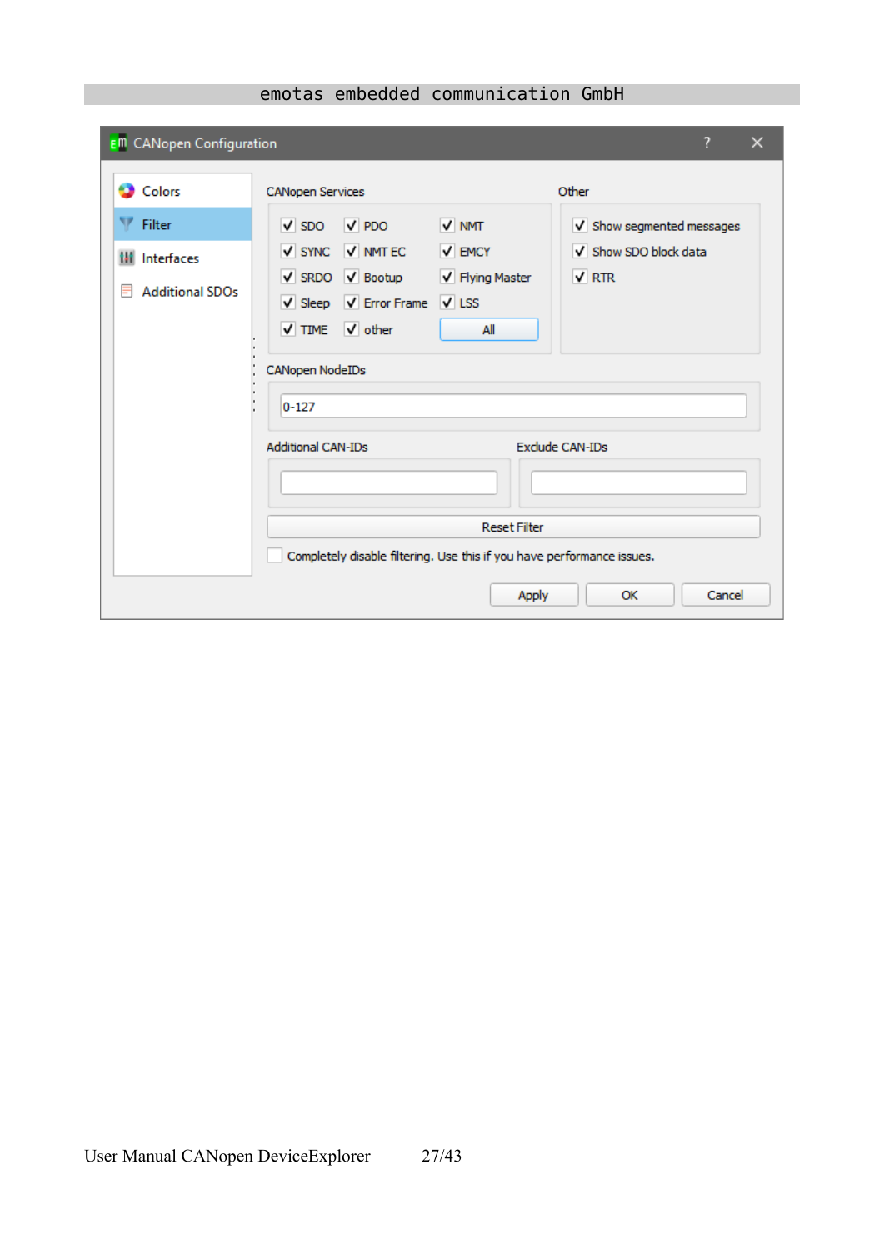| <b>E<sup>m</sup></b> CANopen Configuration                     | ?                                                                                                                                                                                                                                                                                                             | × |
|----------------------------------------------------------------|---------------------------------------------------------------------------------------------------------------------------------------------------------------------------------------------------------------------------------------------------------------------------------------------------------------|---|
| <b>Colors</b>                                                  | Other<br><b>CANopen Services</b>                                                                                                                                                                                                                                                                              |   |
| Filter<br><b>III</b> Interfaces<br><b>Additional SDOs</b><br>⋿ | $\sqrt{PDO}$<br>V NMT<br>$\sqrt{SDO}$<br>V Show segmented messages<br>$\sqrt{\ }$ SYNC $\sqrt{\ }$ NMT EC<br>$\sqrt{\phantom{a}}$ EMCY<br>V Show SDO block data<br>V SRDO V Bootup<br>$\sqrt{RTR}$<br>V Flying Master<br>V Sleep V Error Frame V LSS<br>V TIME V other<br>All<br>CANopen NodeIDs<br>$0 - 127$ |   |
|                                                                | <b>Additional CAN-IDs</b><br>Exclude CAN-IDs<br><b>Reset Filter</b>                                                                                                                                                                                                                                           |   |
|                                                                | Completely disable filtering. Use this if you have performance issues.                                                                                                                                                                                                                                        |   |
|                                                                | Cancel<br><b>Apply</b><br>OK                                                                                                                                                                                                                                                                                  |   |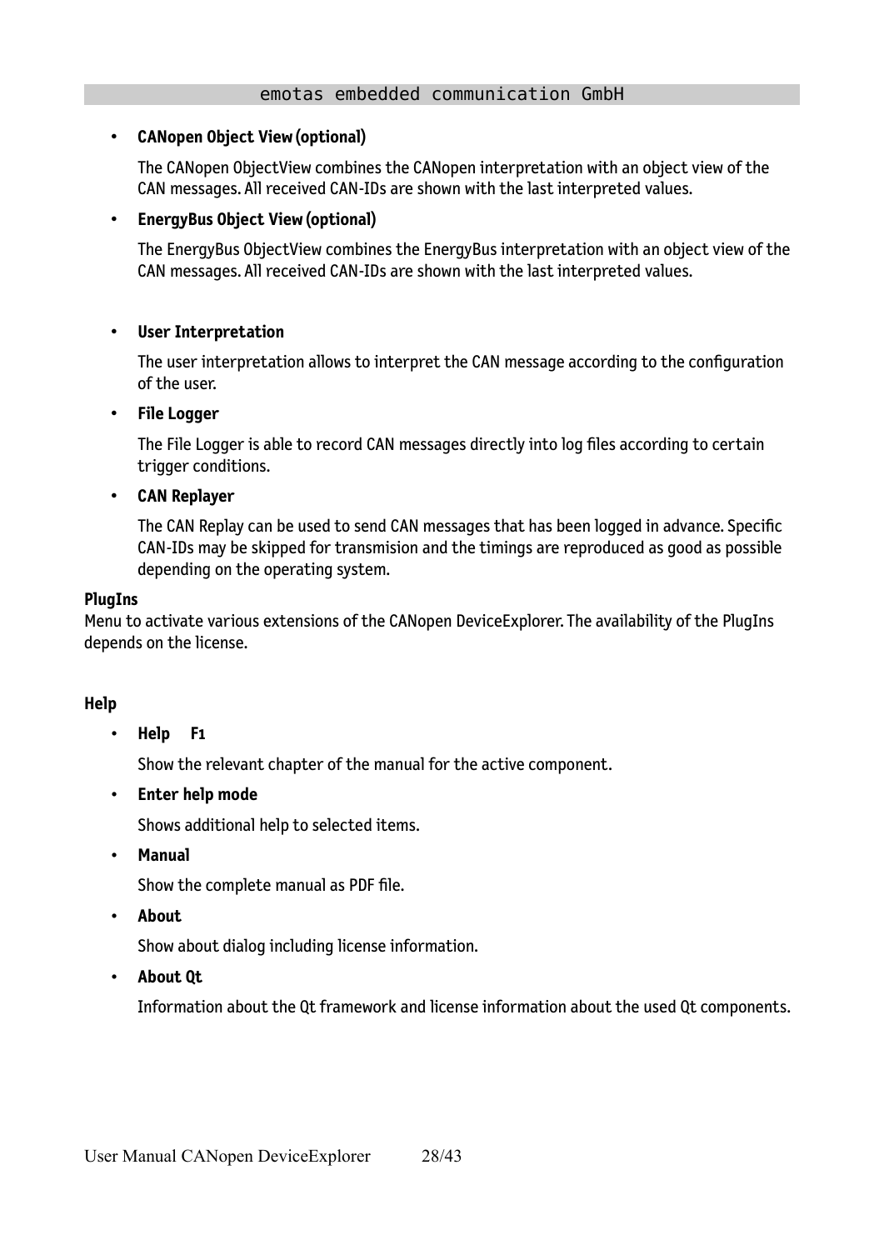#### • **CANopen Object View (optional)**

The CANopen ObjectView combines the CANopen interpretation with an object view of the CAN messages. All received CAN-IDs are shown with the last interpreted values.

#### • **EnergyBus Object View (optional)**

The EnergyBus ObjectView combines the EnergyBus interpretation with an object view of the CAN messages. All received CAN-IDs are shown with the last interpreted values.

#### • **User Interpretation**

The user interpretation allows to interpret the CAN message according to the configuration of the user.

#### • **File Logger**

The File Logger is able to record CAN messages directly into log files according to certain trigger conditions.

#### • **CAN Replayer**

The CAN Replay can be used to send CAN messages that has been logged in advance. Specific CAN-IDs may be skipped for transmision and the timings are reproduced as good as possible depending on the operating system.

#### **PlugIns**

Menu to activate various extensions of the CANopen DeviceExplorer. The availability of the PlugIns depends on the license.

#### **Help**

• **Help F1**

Show the relevant chapter of the manual for the active component.

• **Enter help mode**

Shows additional help to selected items.

• **Manual**

Show the complete manual as PDF file.

• **About**

Show about dialog including license information.

• **About Qt**

Information about the Qt framework and license information about the used Qt components.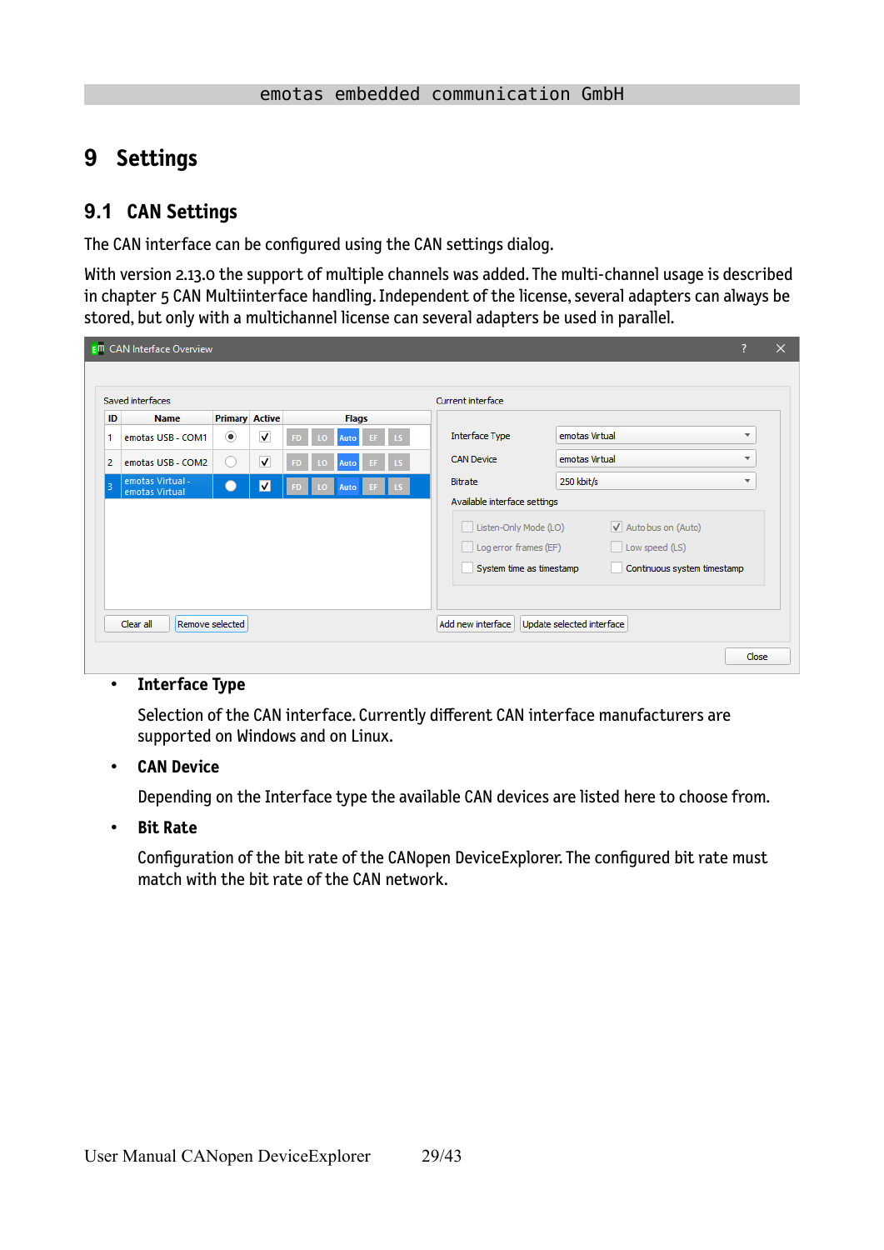## <span id="page-28-1"></span>**9 Settings**

### <span id="page-28-0"></span>**9.1 CAN Settings**

The CAN interface can be configured using the CAN settings dialog.

With version 2.13.0 the support of multiple channels was added. The multi-channel usage is described in chapter [5](#page-8-1) [CAN Multiinterface handling.](#page-8-1) Independent of the license, several adapters can always be stored, but only with a multichannel license can several adapters be used in parallel.

|                | Saved interfaces                   |                       |                         |     |              | Current interface                                                          |                                                                       |                          |
|----------------|------------------------------------|-----------------------|-------------------------|-----|--------------|----------------------------------------------------------------------------|-----------------------------------------------------------------------|--------------------------|
| ID             | <b>Name</b>                        | <b>Primary Active</b> |                         |     | <b>Flags</b> |                                                                            |                                                                       |                          |
| 1              | emotas USB - COM1                  | $_{\circ}$            | $\overline{\mathsf{v}}$ | SD) | Auto         | <b>Interface Type</b>                                                      | emotas Virtual                                                        | $\overline{\mathbf{v}}$  |
| $\overline{2}$ | emotas USB - COM2                  | $\Box$                | $\overline{\mathsf{v}}$ | 50  | Auto         | <b>CAN Device</b>                                                          | emotas Virtual                                                        | $\overline{\phantom{a}}$ |
| в              | emotas Virtual -<br>emotas Virtual |                       | $\overline{\mathbf{v}}$ |     | Auto         | Bitrate                                                                    | 250 kbit/s                                                            | ▼                        |
|                |                                    |                       |                         |     |              | Listen-Only Mode (LO)<br>Log error frames (EF)<br>System time as timestamp | V Auto bus on (Auto)<br>Low speed (LS)<br>Continuous system timestamp |                          |

#### • **Interface Type**

Selection of the CAN interface. Currently different CAN interface manufacturers are supported on Windows and on Linux.

#### • **CAN Device**

Depending on the Interface type the available CAN devices are listed here to choose from.

• **Bit Rate**

Configuration of the bit rate of the CANopen DeviceExplorer. The configured bit rate must match with the bit rate of the CAN network.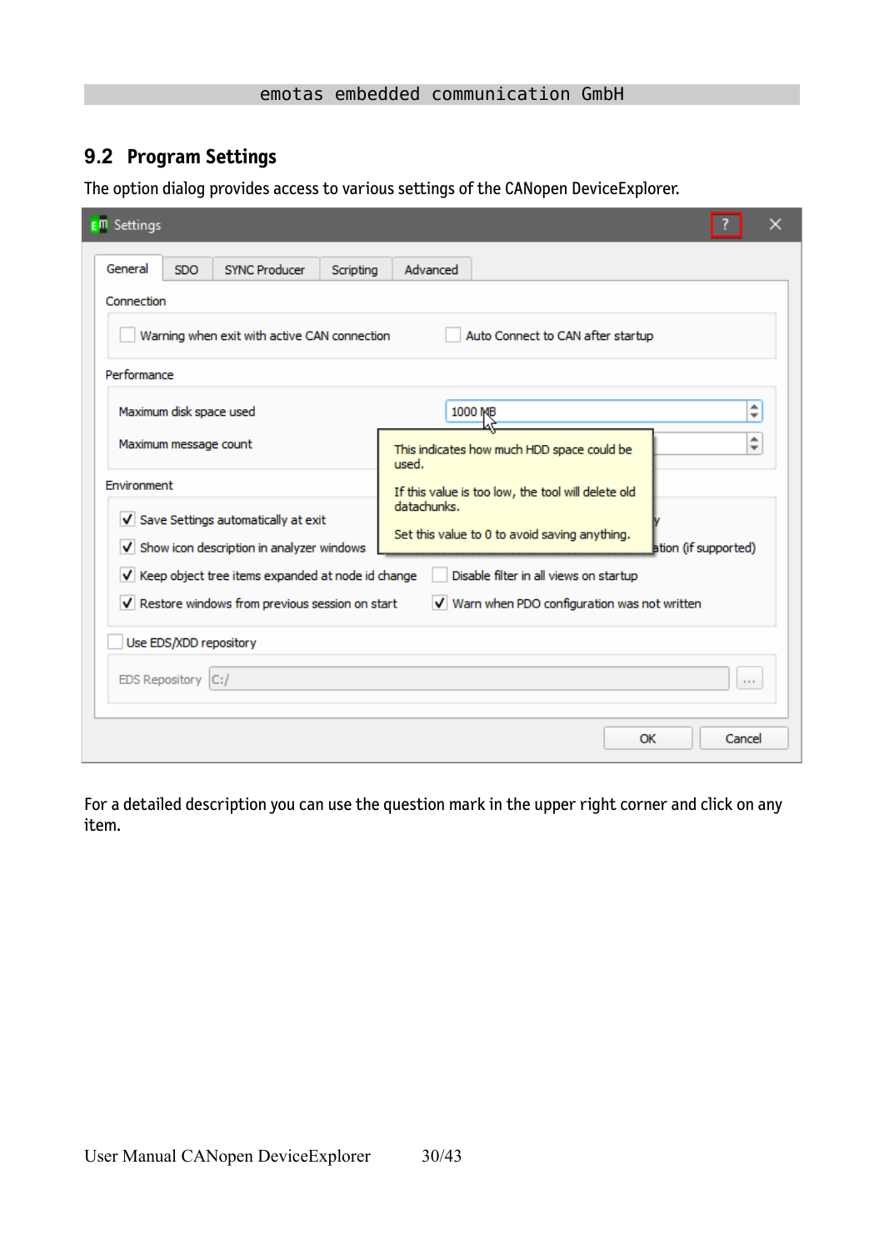### <span id="page-29-0"></span>**9.2 Program Settings**

The option dialog provides access to various settings of the CANopen DeviceExplorer.

| E <sup>m</sup> Settings                                                              | x                                                                                    |  |  |  |  |  |  |  |  |
|--------------------------------------------------------------------------------------|--------------------------------------------------------------------------------------|--|--|--|--|--|--|--|--|
| General<br><b>SDO</b><br><b>SYNC Producer</b><br>Scripting                           | Advanced                                                                             |  |  |  |  |  |  |  |  |
| Connection                                                                           |                                                                                      |  |  |  |  |  |  |  |  |
| Warning when exit with active CAN connection<br>Auto Connect to CAN after startup    |                                                                                      |  |  |  |  |  |  |  |  |
| Performance                                                                          |                                                                                      |  |  |  |  |  |  |  |  |
| Maximum disk space used                                                              | $\div$<br>1000 MB                                                                    |  |  |  |  |  |  |  |  |
| Maximum message count                                                                | $\hat{\mathbf{z}}$<br>This indicates how much HDD space could be<br>used.            |  |  |  |  |  |  |  |  |
| Environment                                                                          | If this value is too low, the tool will delete old                                   |  |  |  |  |  |  |  |  |
| V Save Settings automatically at exit<br>V Show icon description in analyzer windows | datachunks.<br>Set this value to 0 to avoid saving anything.<br>ation (if supported) |  |  |  |  |  |  |  |  |
| V Keep object tree items expanded at node id change                                  | Disable filter in all views on startup                                               |  |  |  |  |  |  |  |  |
| V Restore windows from previous session on start                                     | V Warn when PDO configuration was not written                                        |  |  |  |  |  |  |  |  |
| Use EDS/XDD repository                                                               |                                                                                      |  |  |  |  |  |  |  |  |
| <b>EDS Repository</b><br>C:I<br>$\sim 100$                                           |                                                                                      |  |  |  |  |  |  |  |  |
|                                                                                      | OK<br>Cancel                                                                         |  |  |  |  |  |  |  |  |

For a detailed description you can use the question mark in the upper right corner and click on any item.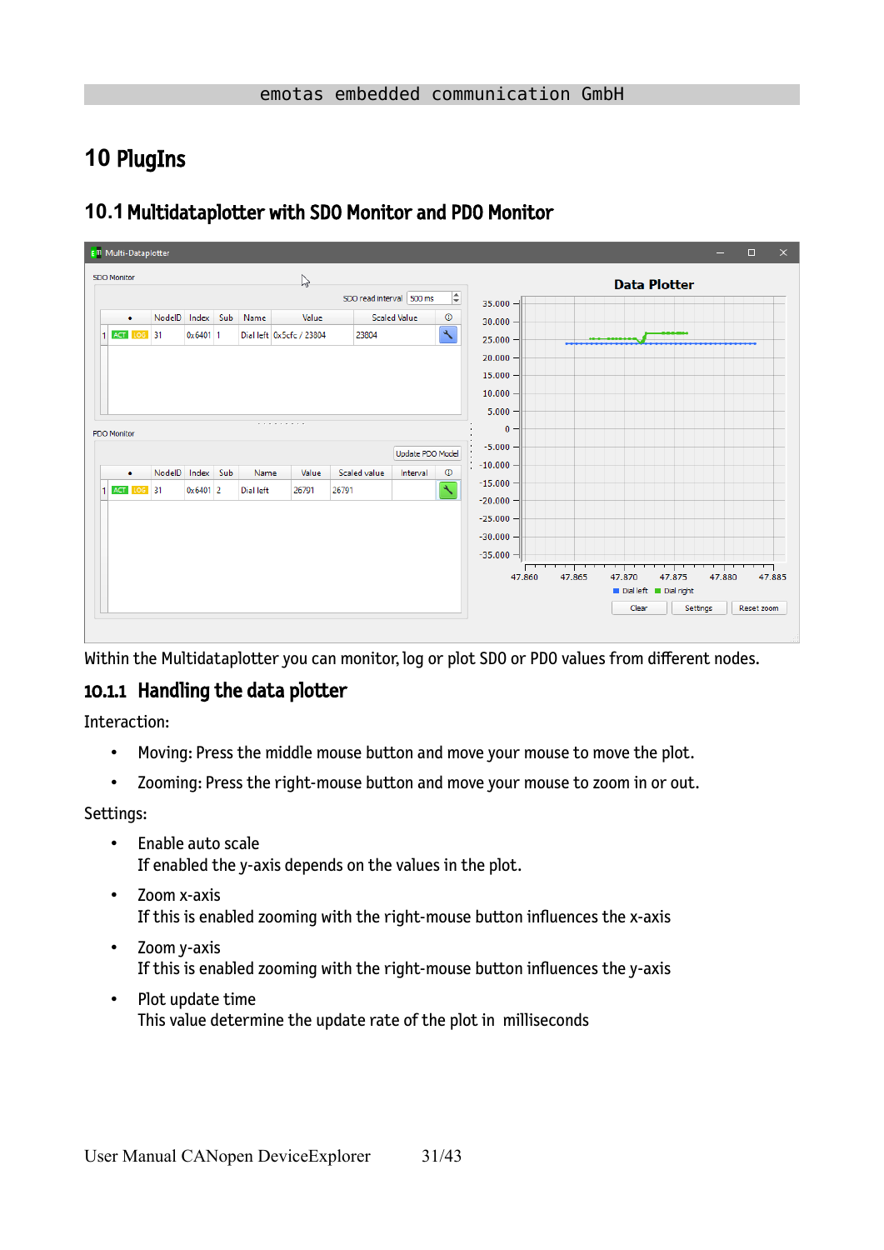## <span id="page-30-2"></span>**10** PlugIns

| <b>E<sup>m</sup></b> Multi-Dataplotter |        |                     |     |                   |                                   |                          |                     |                                          |                                                         |        |        |                                | -        | $\Box$     | $\times$ |
|----------------------------------------|--------|---------------------|-----|-------------------|-----------------------------------|--------------------------|---------------------|------------------------------------------|---------------------------------------------------------|--------|--------|--------------------------------|----------|------------|----------|
| SDO Monitor                            |        |                     |     |                   | $\mathbb{Z}$                      | SDO read interval 500 ms |                     | $\ddot{=}$                               | $35.000 -$                                              |        |        | <b>Data Plotter</b>            |          |            |          |
| $\bullet$<br>ACT LOG 31<br>1           | NodelD | Index<br>$0x6401$ 1 | Sub | Name              | Value<br>Dial left 0x5cfc / 23804 | 23804                    | <b>Scaled Value</b> | $^\circledR$<br>$\overline{\mathcal{F}}$ | 30.000<br>25.000<br>20,000<br>15.000<br>10.000<br>5.000 |        |        |                                |          |            |          |
| <b>PDO Monitor</b>                     |        |                     |     |                   | .                                 |                          | Update PDO Model    |                                          | $\bf{0}$<br>$-5.000$                                    |        |        |                                |          |            |          |
| ٠<br>1 ACT LOG 31                      | NodelD | Index<br>$0x6401$ 2 | Sub | Name<br>Dial left | Value<br>26791                    | Scaled value<br>26791    | Interval            | $^\circledR$<br>$\overline{\mathcal{F}}$ | $-10.000$<br>$-15.000$<br>$-20.000$<br>$-25.000$        |        |        |                                |          |            |          |
|                                        |        |                     |     |                   |                                   |                          |                     |                                          | $-30.000$<br>$-35.000 -$<br>47.860                      | 47.865 | 47.870 | 47.875<br>Dial left Dial right | 47.880   | 47.885     |          |
|                                        |        |                     |     |                   |                                   |                          |                     |                                          |                                                         |        | Clear  |                                | Settings | Reset zoom |          |

### <span id="page-30-1"></span>**10.1**Multidataplotter with SDO Monitor and PDO Monitor

Within the Multidataplotter you can monitor, log or plot SDO or PDO values from different nodes.

### <span id="page-30-0"></span>10.1.1 Handling the data plotter

Interaction:

- Moving: Press the middle mouse button and move your mouse to move the plot.
- Zooming: Press the right-mouse button and move your mouse to zoom in or out.

Settings:

- Enable auto scale If enabled the y-axis depends on the values in the plot.
- Zoom x-axis If this is enabled zooming with the right-mouse button influences the x-axis
- Zoom y-axis If this is enabled zooming with the right-mouse button influences the y-axis
- Plot update time This value determine the update rate of the plot in milliseconds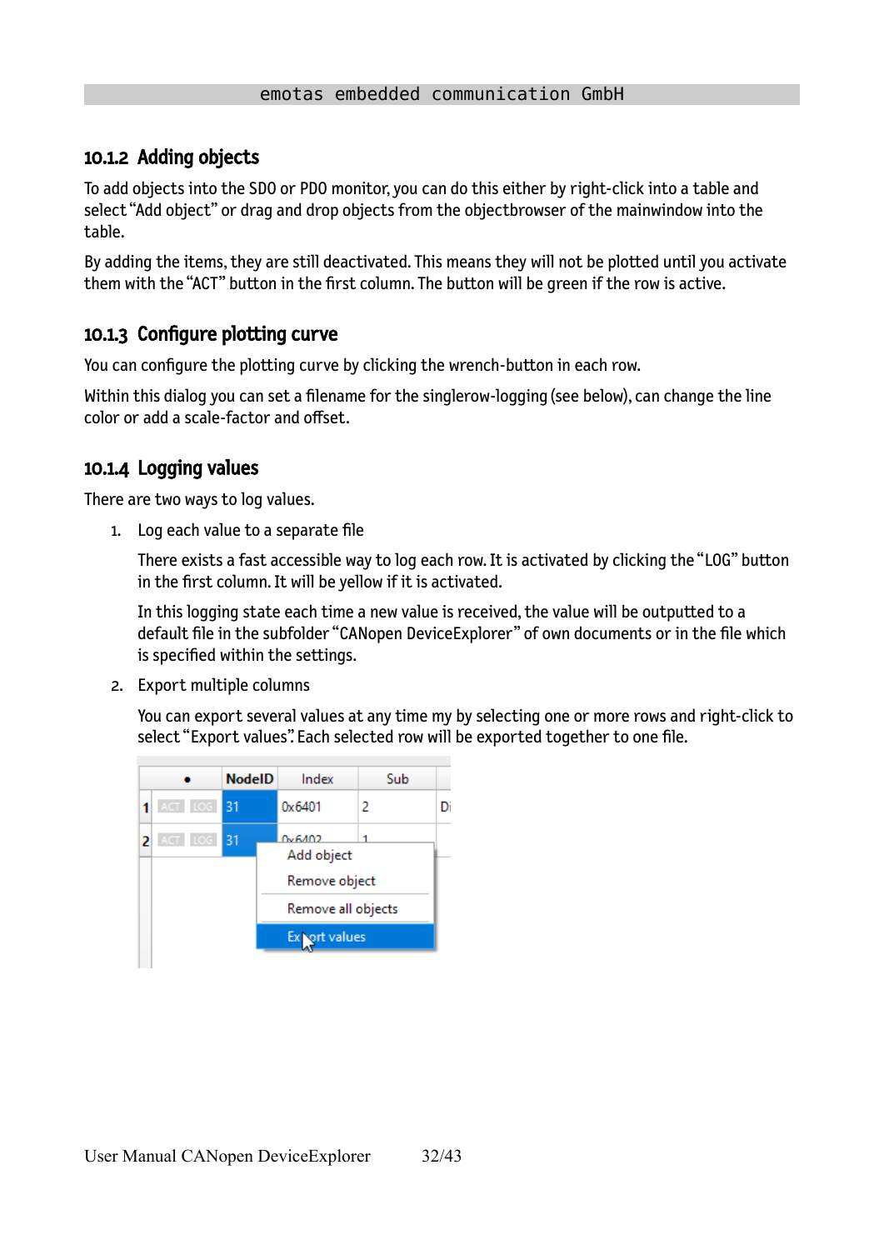### <span id="page-31-2"></span>10.1.2 Adding objects

To add objects into the SDO or PDO monitor, you can do this either by right-click into a table and select "Add object" or drag and drop objects from the objectbrowser of the mainwindow into the table.

By adding the items, they are still deactivated. This means they will not be plotted until you activate them with the "ACT" button in the first column. The button will be green if the row is active.

### <span id="page-31-1"></span>10.1.3 Configure plotting curve

You can configure the plotting curve by clicking the wrench-button in each row.

Within this dialog you can set a filename for the singlerow-logging (see below), can change the line color or add a scale-factor and offset.

### <span id="page-31-0"></span>10.1.4 Logging values

There are two ways to log values.

1. Log each value to a separate file

There exists a fast accessible way to log each row. It is activated by clicking the "LOG" button in the first column. It will be yellow if it is activated.

In this logging state each time a new value is received, the value will be outputted to a default file in the subfolder "CANopen DeviceExplorer" of own documents or in the file which is specified within the settings.

2. Export multiple columns

You can export several values at any time my by selecting one or more rows and right-click to select "Export values". Each selected row will be exported together to one file.

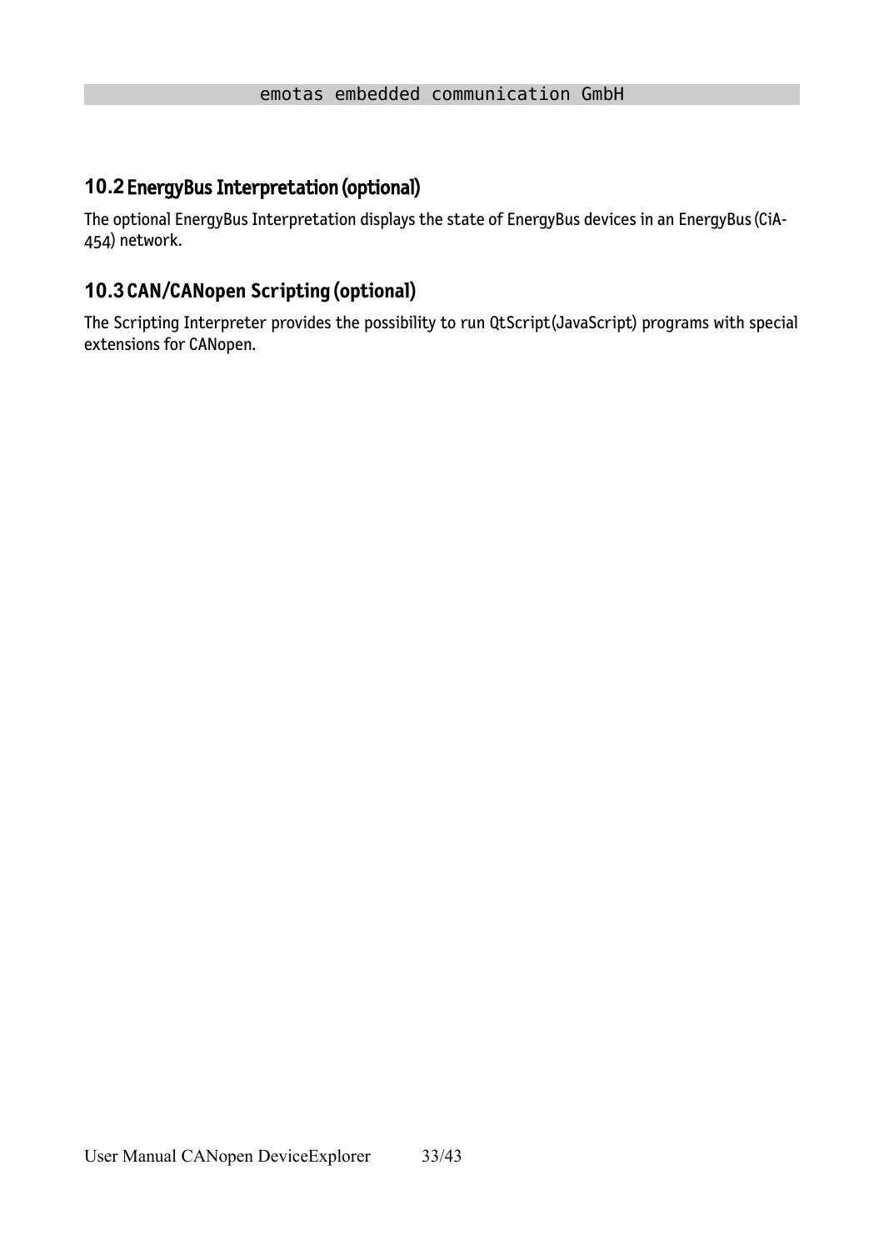## <span id="page-32-1"></span>**10.2**EnergyBus Interpretation (optional)

The optional EnergyBus Interpretation displays the state of EnergyBus devices in an EnergyBus (CiA-454) network.

### <span id="page-32-0"></span>**10.3CAN/CANopen Scripting (optional)**

The Scripting Interpreter provides the possibility to run QtScript(JavaScript) programs with special extensions for CANopen.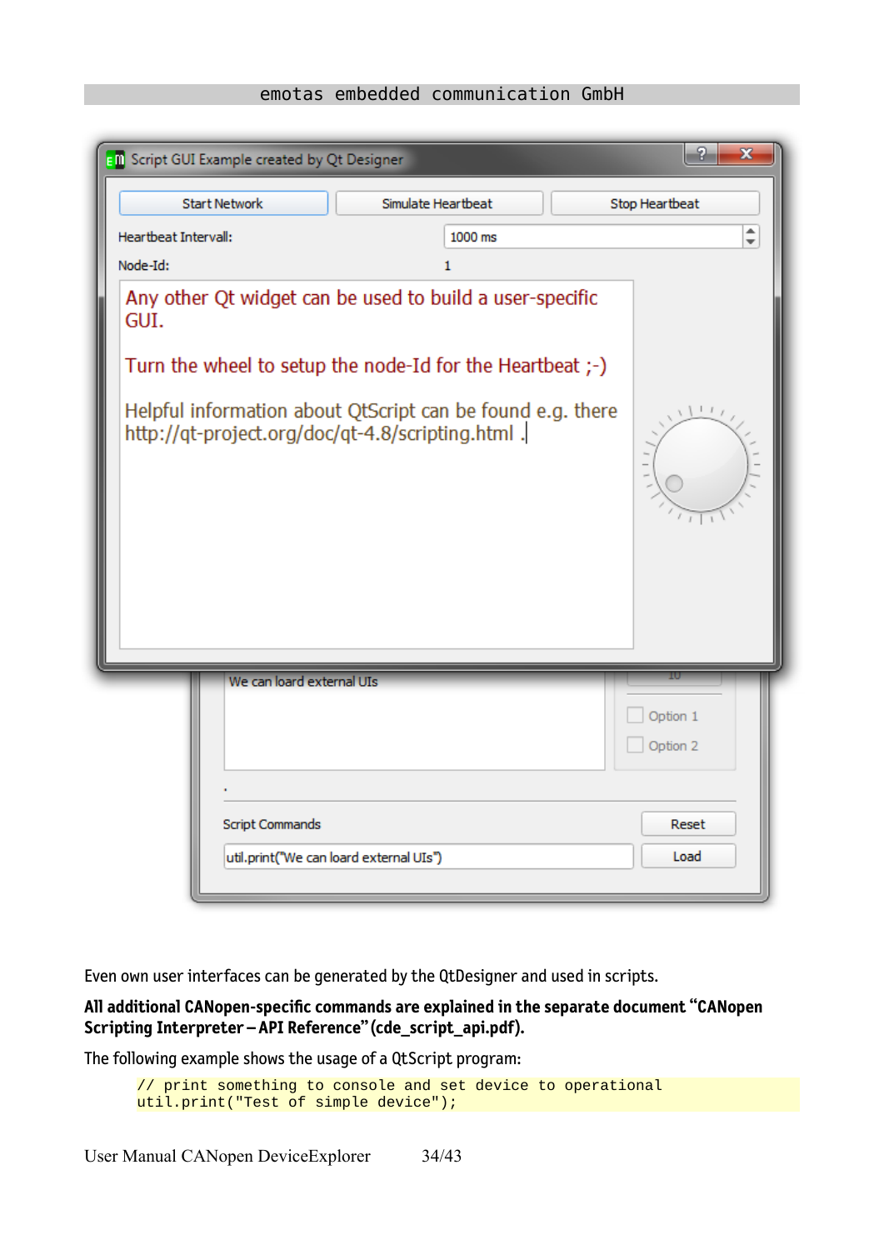|                      | <b>EM</b> Script GUI Example created by Qt Designer                                                                                                                                                                                      |                    |         | P<br>x               |
|----------------------|------------------------------------------------------------------------------------------------------------------------------------------------------------------------------------------------------------------------------------------|--------------------|---------|----------------------|
|                      | <b>Start Network</b>                                                                                                                                                                                                                     | Simulate Heartbeat |         | Stop Heartbeat       |
| Heartbeat Intervall: |                                                                                                                                                                                                                                          |                    | 1000 ms | $\div$               |
| Node-Id:             |                                                                                                                                                                                                                                          |                    | 1       |                      |
| GUI.                 | Any other Qt widget can be used to build a user-specific<br>Turn the wheel to setup the node-Id for the Heartbeat ;-)<br>Helpful information about QtScript can be found e.g. there<br>http://qt-project.org/doc/qt-4.8/scripting.html . |                    |         | $\perp$              |
|                      | We can loard external UIs                                                                                                                                                                                                                |                    |         |                      |
|                      |                                                                                                                                                                                                                                          |                    |         | Option 1<br>Option 2 |
|                      |                                                                                                                                                                                                                                          |                    |         |                      |
|                      | <b>Script Commands</b>                                                                                                                                                                                                                   |                    |         | Reset                |
|                      | util.print("We can loard external UIs")                                                                                                                                                                                                  |                    |         | Load                 |

Even own user interfaces can be generated by the QtDesigner and used in scripts.

**All additional CANopen-specific commands are explained in the separate document "CANopen Scripting Interpreter – API Reference" (cde\_script\_api.pdf).**

The following example shows the usage of a QtScript program:

```
// print something to console and set device to operational
util.print("Test of simple device");
```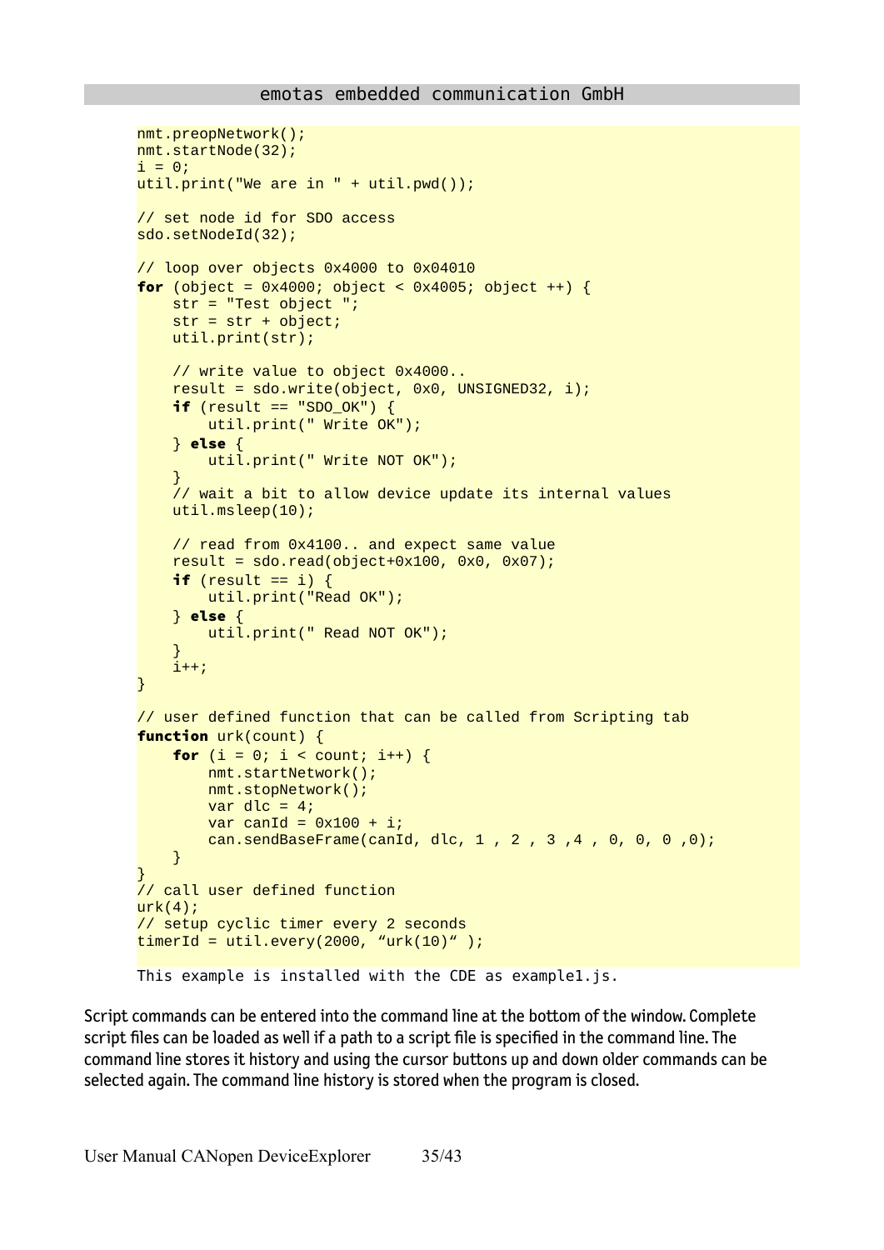```
nmt.preopNetwork();
nmt.startNode(32);
i = 0;util.print("We are in " + util.pwd());
// set node id for SDO access
sdo.setNodeId(32);
// loop over objects 0x4000 to 0x04010 
for (object = 0x4000; object < 0x4005; object ++) {
     str = "Test object ";
     str = str + object;
     util.print(str);
     // write value to object 0x4000..
     result = sdo.write(object, 0x0, UNSIGNED32, i);
    if (result == "SDO_OK") {
         util.print(" Write OK");
     } else {
         util.print(" Write NOT OK");
 }
     // wait a bit to allow device update its internal values
     util.msleep(10);
     // read from 0x4100.. and expect same value
    result = sd0.read(object+0x100, 0x0, 0x07);if (result == i) {
         util.print("Read OK");
     } else {
         util.print(" Read NOT OK");
 }
     i++;
}
// user defined function that can be called from Scripting tab
function urk(count) {
    for (i = 0; i < count; i^{++}) {
         nmt.startNetwork();
         nmt.stopNetwork();
        var dlc = 4;
        var canId = 0x100 + i;
         can.sendBaseFrame(canId, dlc, 1 , 2 , 3 ,4 , 0, 0, 0 ,0);
     }
}
// call user defined function
urk(4);
// setup cyclic timer every 2 seconds
timerId = util.every(2000, "urk(10)");
This example is installed with the CDE as example1.js.
```
Script commands can be entered into the command line at the bottom of the window. Complete script files can be loaded as well if a path to a script file is specified in the command line. The command line stores it history and using the cursor buttons up and down older commands can be selected again. The command line history is stored when the program is closed.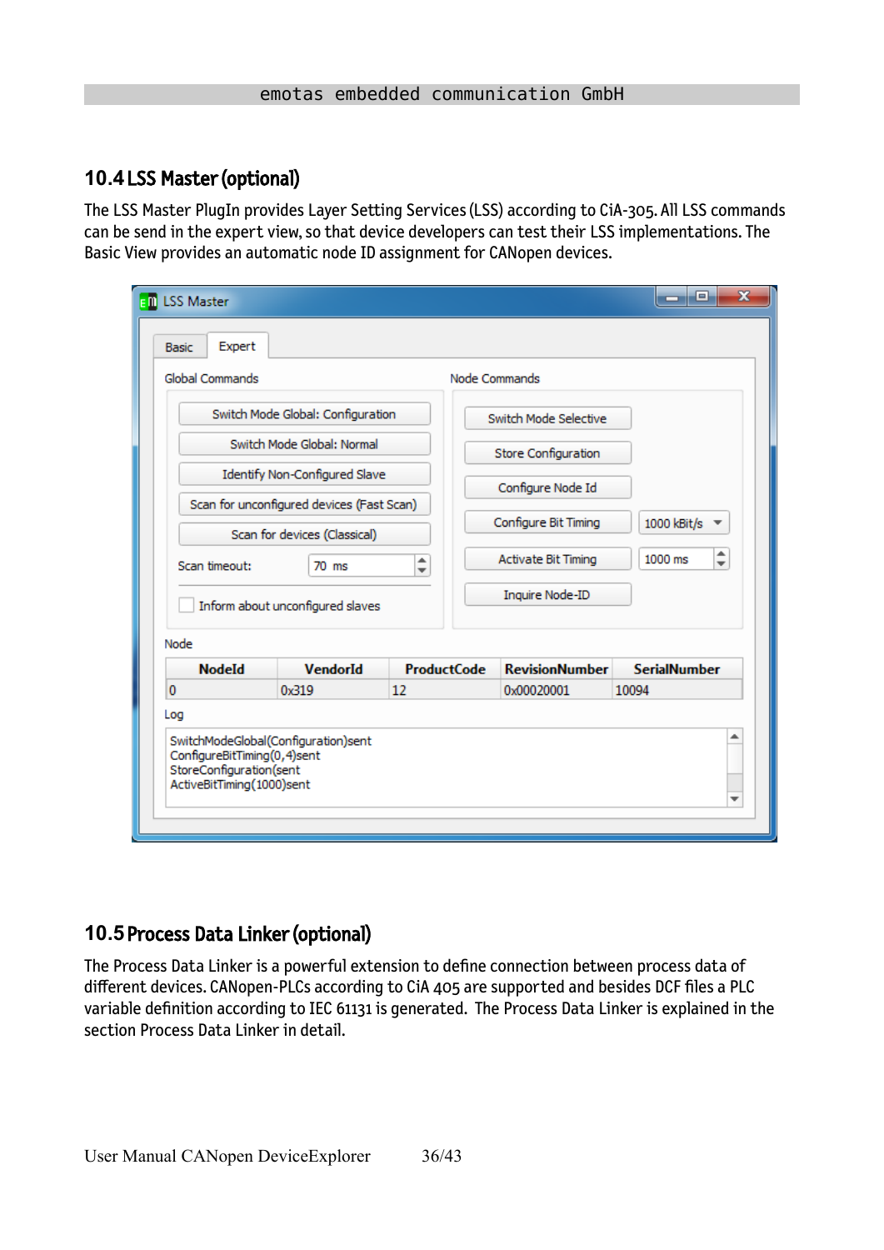### <span id="page-35-1"></span>**10.4**LSS Master (optional)

The LSS Master PlugIn provides Layer Setting Services (LSS) according to CiA-305. All LSS commands can be send in the expert view, so that device developers can test their LSS implementations. The Basic View provides an automatic node ID assignment for CANopen devices.

| Global Commands                                                         |                                                                           |                               | Node Commands                       |                                          |  |  |  |  |
|-------------------------------------------------------------------------|---------------------------------------------------------------------------|-------------------------------|-------------------------------------|------------------------------------------|--|--|--|--|
|                                                                         | Switch Mode Global: Configuration                                         |                               | Switch Mode Selective               |                                          |  |  |  |  |
|                                                                         | Switch Mode Global: Normal                                                |                               | <b>Store Configuration</b>          |                                          |  |  |  |  |
|                                                                         | Identify Non-Configured Slave                                             |                               | Configure Node Id                   |                                          |  |  |  |  |
|                                                                         | Scan for unconfigured devices (Fast Scan)<br>Scan for devices (Classical) |                               | Configure Bit Timing<br>1000 kBit/s |                                          |  |  |  |  |
| Scan timeout:                                                           | $70$ ms                                                                   | ▲<br>$\overline{\phantom{a}}$ | <b>Activate Bit Timing</b>          | ┻<br>1000 ms<br>$\overline{\phantom{a}}$ |  |  |  |  |
|                                                                         | Inform about unconfigured slaves                                          |                               | Inquire Node-ID                     |                                          |  |  |  |  |
| Node                                                                    |                                                                           |                               |                                     |                                          |  |  |  |  |
| <b>NodeId</b>                                                           | <b>VendorId</b>                                                           | <b>ProductCode</b>            | <b>RevisionNumber</b>               | <b>SerialNumber</b>                      |  |  |  |  |
| 0                                                                       | 0x319                                                                     | 12                            | 0x00020001                          | 10094                                    |  |  |  |  |
| Log                                                                     |                                                                           |                               |                                     |                                          |  |  |  |  |
| ┻<br>SwitchModeGlobal(Configuration)sent<br>ConfigureBitTiming(0,4)sent |                                                                           |                               |                                     |                                          |  |  |  |  |

### <span id="page-35-0"></span>**10.5**Process Data Linker (optional)

The Process Data Linker is a powerful extension to define connection between process data of different devices. CANopen-PLCs according to CiA 405 are supported and besides DCF files a PLC variable definition according to IEC 61131 is generated. The Process Data Linker is explained in the section Process Data Linker in detail.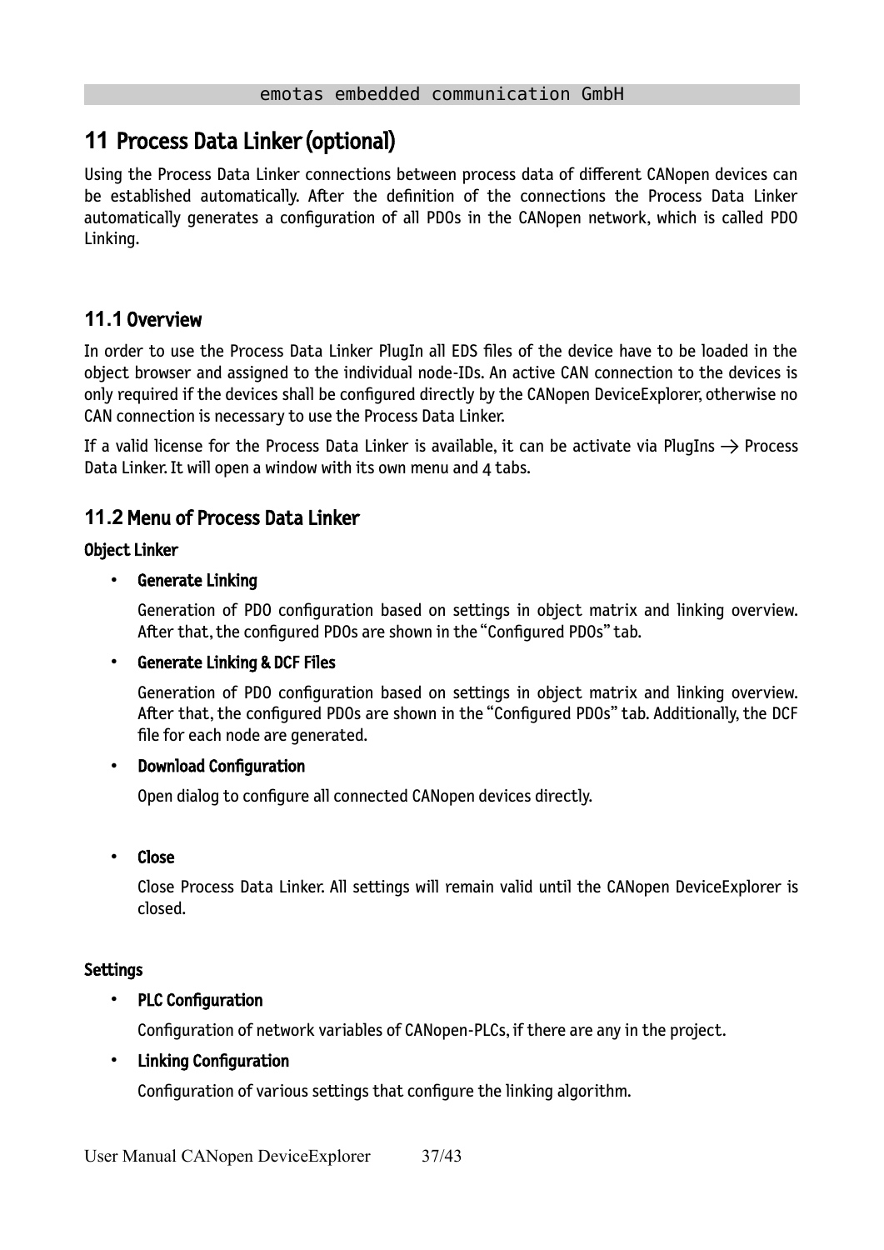## <span id="page-36-2"></span>**11** Process Data Linker (optional)

Using the Process Data Linker connections between process data of different CANopen devices can be established automatically. After the definition of the connections the Process Data Linker automatically generates a configuration of all PDOs in the CANopen network, which is called PDO Linking.

### <span id="page-36-1"></span>**11.1** Overview

In order to use the Process Data Linker PlugIn all EDS files of the device have to be loaded in the object browser and assigned to the individual node-IDs. An active CAN connection to the devices is only required if the devices shall be configured directly by the CANopen DeviceExplorer, otherwise no CAN connection is necessary to use the Process Data Linker.

If a valid license for the Process Data Linker is available, it can be activate via PlugIns  $\rightarrow$  Process Data Linker. It will open a window with its own menu and 4 tabs.

### <span id="page-36-0"></span>**11.2**Menu of Process Data Linker

### Object Linker

### Generate Linking

Generation of PDO configuration based on settings in object matrix and linking overview. After that, the configured PDOs are shown in the "Configured PDOs" tab.

#### • Generate Linking & DCF Files

Generation of PDO configuration based on settings in object matrix and linking overview. After that, the configured PDOs are shown in the "Configured PDOs" tab. Additionally, the DCF file for each node are generated.

#### • Download Configuration

Open dialog to configure all connected CANopen devices directly.

#### • Close

Close Process Data Linker. All settings will remain valid until the CANopen DeviceExplorer is closed.

#### **Settings**

### • PLC Configuration

Configuration of network variables of CANopen-PLCs, if there are any in the project.

### • Linking Configuration

Configuration of various settings that configure the linking algorithm.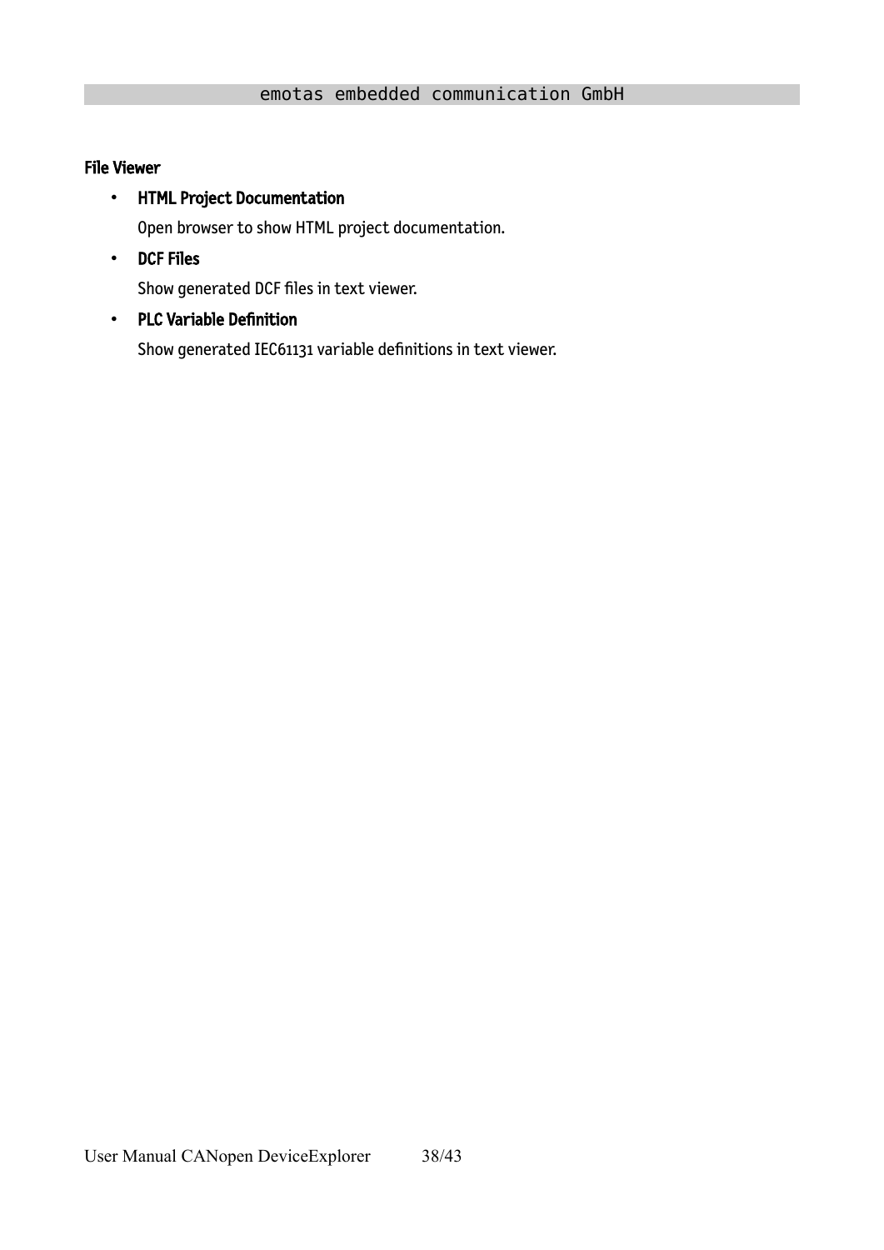#### File Viewer

#### • HTML Project Documentation

Open browser to show HTML project documentation.

• DCF Files

Show generated DCF files in text viewer.

#### • PLC Variable Definition

Show generated IEC61131 variable definitions in text viewer.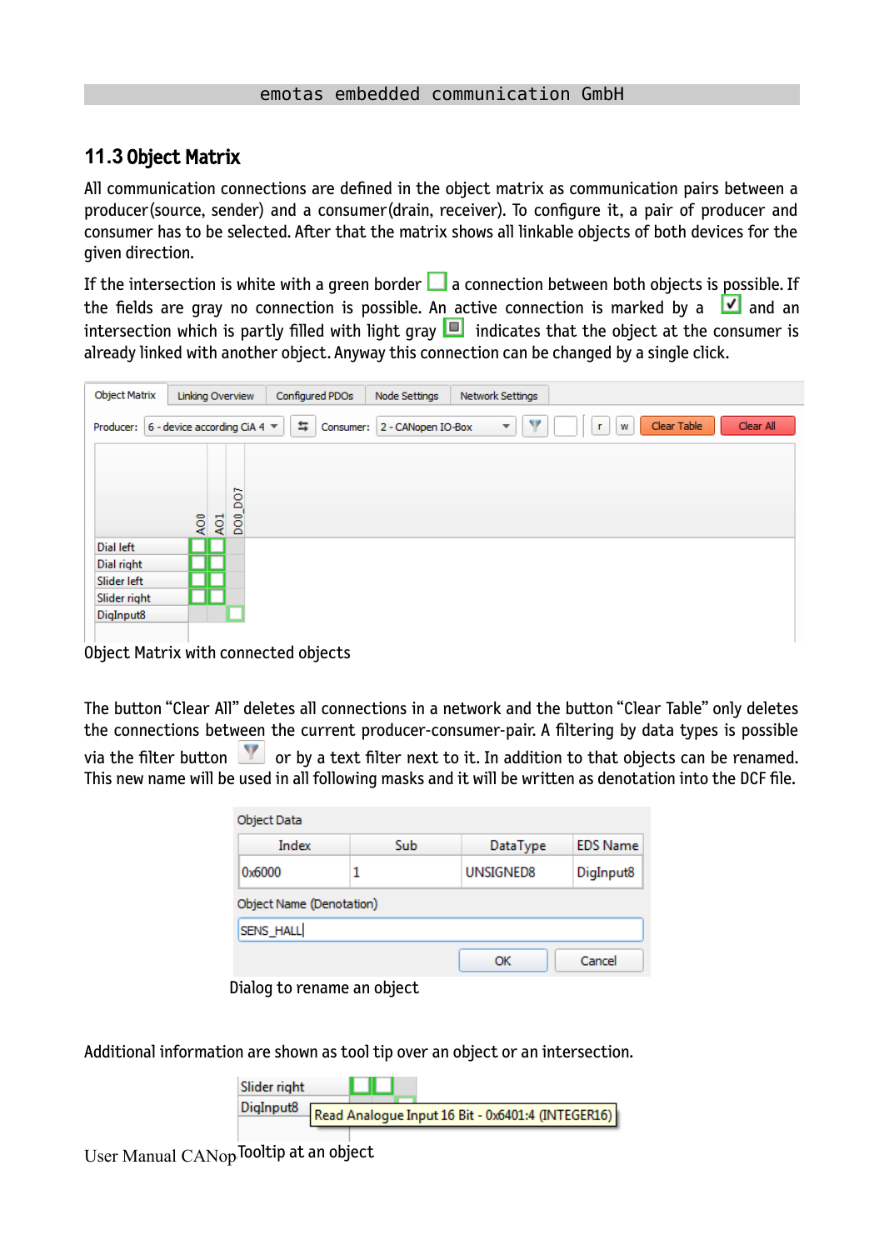### <span id="page-38-0"></span>**11.3** Object Matrix

All communication connections are defined in the object matrix as communication pairs between a producer(source, sender) and a consumer(drain, receiver). To configure it, a pair of producer and consumer has to be selected. After that the matrix shows all linkable objects of both devices for the given direction.

If the intersection is white with a green border  $\Box$  a connection between both objects is possible. If the fields are gray no connection is possible. An active connection is marked by a  $\boxed{\checkmark}$  and an intersection which is partly filled with light gray  $\Box$  indicates that the object at the consumer is already linked with another object. Anyway this connection can be changed by a single click.

| <b>Object Matrix</b><br>Configured PDOs<br><b>Network Settings</b><br>Linking Overview<br>Node Settings                                              |
|------------------------------------------------------------------------------------------------------------------------------------------------------|
| v<br>Clear Table<br>Clear All<br>6 - device according CiA 4 $\blacktriangledown$<br>与<br>2 - CANopen IO-Box<br>Producer:<br>Consumer:<br>W<br>г<br>▼ |
|                                                                                                                                                      |
| δõ                                                                                                                                                   |
| $\frac{50}{2}$<br>ÅÕ,<br>A <sub>C1</sub>                                                                                                             |
| Dial left                                                                                                                                            |
| Dial right                                                                                                                                           |
| Slider left                                                                                                                                          |
| Slider right                                                                                                                                         |
| DigInput8                                                                                                                                            |
|                                                                                                                                                      |

Object Matrix with connected objects

The button "Clear All" deletes all connections in a network and the button "Clear Table" only deletes the connections between the current producer-consumer-pair. A filtering by data types is possible via the filter button  $\mathbf{V}$  or by a text filter next to it. In addition to that objects can be renamed. This new name will be used in all following masks and it will be written as denotation into the DCF file.

| Object Data              |            |           |                 |  |  |  |  |  |
|--------------------------|------------|-----------|-----------------|--|--|--|--|--|
| Index                    | <b>Sub</b> | DataType  | <b>EDS Name</b> |  |  |  |  |  |
| 0x6000                   |            | UNSIGNED8 | DigInput8       |  |  |  |  |  |
| Object Name (Denotation) |            |           |                 |  |  |  |  |  |
| SENS_HALL                |            |           |                 |  |  |  |  |  |
|                          |            | ОК        | Cancel          |  |  |  |  |  |

Dialog to rename an object

Additional information are shown as tool tip over an object or an intersection.



User Manual CANopTooltip at an object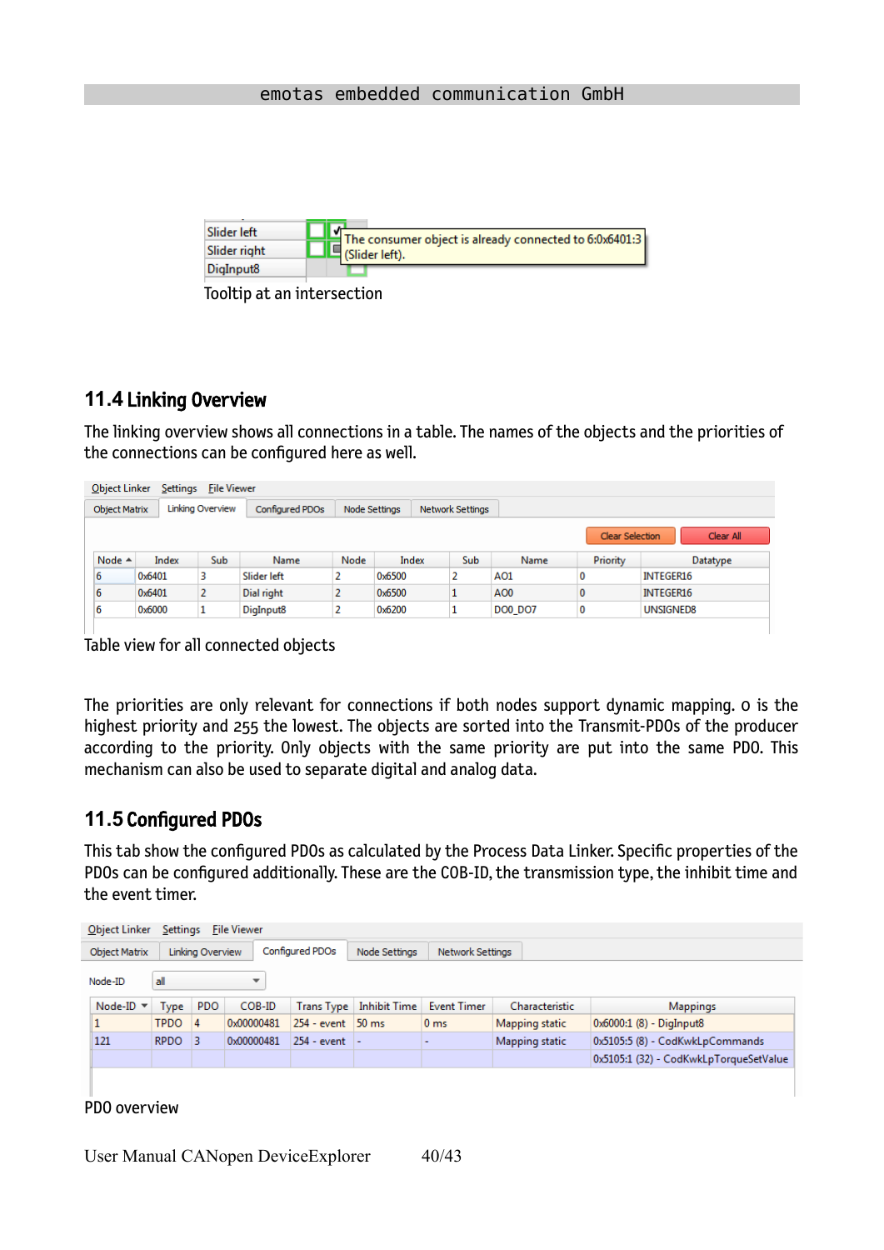

Tooltip at an intersection

### <span id="page-39-1"></span>**11.4** Linking Overview

The linking overview shows all connections in a table. The names of the objects and the priorities of the connections can be configured here as well.

| Object Linker<br>Settings<br><b>File Viewer</b> |                                     |                  |                       |               |        |                  |                |          |           |  |
|-------------------------------------------------|-------------------------------------|------------------|-----------------------|---------------|--------|------------------|----------------|----------|-----------|--|
| <b>Object Matrix</b>                            |                                     | Linking Overview | Configured PDOs       | Node Settings |        | Network Settings |                |          |           |  |
|                                                 | Clear All<br><b>Clear Selection</b> |                  |                       |               |        |                  |                |          |           |  |
| Node $\triangle$                                | Index                               | <b>Sub</b>       | Name                  | Node          | Index  | Sub.             | Name           | Priority | Datatype  |  |
| 6                                               | 0x6401                              | 3                | Slider left           |               | 0x6500 |                  | AO1            | 0        | INTEGER16 |  |
| 6                                               | 0x6401                              | 2                | Dial right            |               | 0x6500 |                  | AO0            | 0        | INTEGER16 |  |
| 6                                               | 0x6000                              |                  | DigInput <sub>8</sub> |               | 0x6200 |                  | <b>DO0 DO7</b> | 0        | UNSIGNED8 |  |

Table view for all connected objects

The priorities are only relevant for connections if both nodes support dynamic mapping. 0 is the highest priority and 255 the lowest. The objects are sorted into the Transmit-PDOs of the producer according to the priority. Only objects with the same priority are put into the same PDO. This mechanism can also be used to separate digital and analog data.

### <span id="page-39-0"></span>**11.5** Configured PDOs

 $\mathbf{L}$ 

This tab show the configured PDOs as calculated by the Process Data Linker. Specific properties of the PDOs can be configured additionally. These are the COB-ID, the transmission type, the inhibit time and the event timer.

| Object Linker                                                                                    | Settings<br><b>File Viewer</b> |            |            |                     |                     |                    |                |                                        |  |
|--------------------------------------------------------------------------------------------------|--------------------------------|------------|------------|---------------------|---------------------|--------------------|----------------|----------------------------------------|--|
| Configured PDOs<br>Linking Overview<br>Network Settings<br><b>Object Matrix</b><br>Node Settings |                                |            |            |                     |                     |                    |                |                                        |  |
| all<br>Node-ID<br>$\overline{\phantom{a}}$                                                       |                                |            |            |                     |                     |                    |                |                                        |  |
| Node-ID $\blacktriangledown$                                                                     | Type                           | <b>PDO</b> | COB-ID     | <b>Trans Type</b>   | <b>Inhibit Time</b> | <b>Event Timer</b> | Characteristic | <b>Mappings</b>                        |  |
|                                                                                                  | <b>TPDO</b>                    | $\vert$ 4  | 0x00000481 | $254 - event$ 50 ms |                     | 0 <sub>ms</sub>    | Mapping static | 0x6000:1 (8) - DigInput8               |  |
| 121                                                                                              | $RPOO$ 3                       |            | 0x00000481 | $254 - event$ -     |                     |                    | Mapping static | 0x5105:5 (8) - CodKwkLpCommands        |  |
|                                                                                                  |                                |            |            |                     |                     |                    |                | 0x5105:1 (32) - CodKwkLpTorqueSetValue |  |
|                                                                                                  |                                |            |            |                     |                     |                    |                |                                        |  |

PDO overview

User Manual CANopen DeviceExplorer 40/43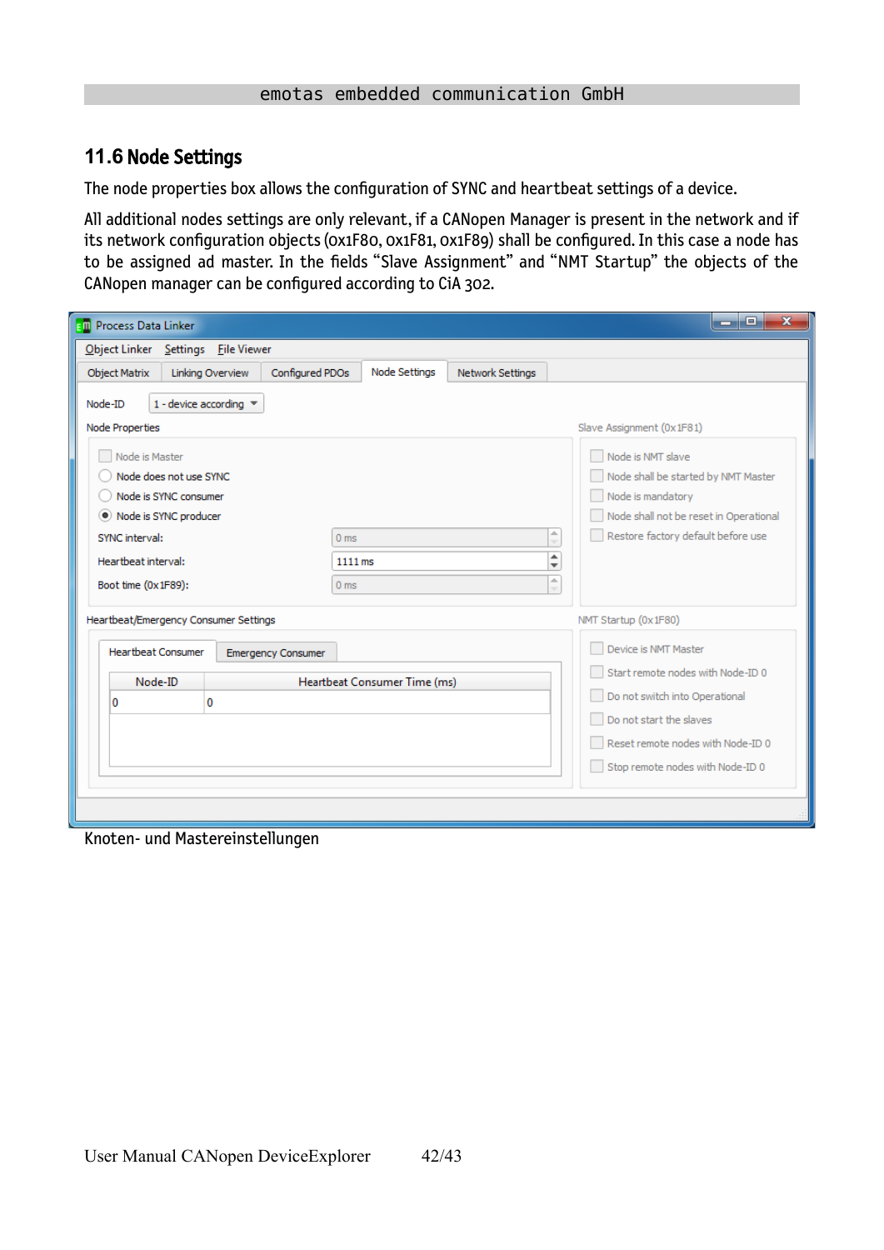### <span id="page-41-0"></span>**11.6** Node Settings

The node properties box allows the configuration of SYNC and heartbeat settings of a device.

All additional nodes settings are only relevant, if a CANopen Manager is present in the network and if its network configuration objects (0x1F80, 0x1F81, 0x1F89) shall be configured. In this case a node has to be assigned ad master. In the fields "Slave Assignment" and "NMT Startup" the objects of the CANopen manager can be configured according to CiA 302.

| o.<br>$\mathbf{x}$<br><b>Em</b> Process Data Linker                                          |                                               |                                                                                                                                          |                                                                                                  |  |  |  |  |  |
|----------------------------------------------------------------------------------------------|-----------------------------------------------|------------------------------------------------------------------------------------------------------------------------------------------|--------------------------------------------------------------------------------------------------|--|--|--|--|--|
| Object Linker Settings File Viewer                                                           |                                               |                                                                                                                                          |                                                                                                  |  |  |  |  |  |
| Configured PDOs<br><b>Object Matrix</b><br>Linking Overview                                  | Node Settings                                 | Network Settings                                                                                                                         |                                                                                                  |  |  |  |  |  |
| 1 - device according $\sqrt{*}$<br>Node-ID<br>Node Properties<br>Node is Master              |                                               |                                                                                                                                          | Slave Assignment (0x1F81)<br>Node is NMT slave                                                   |  |  |  |  |  |
| Node does not use SYNC<br>Node is SYNC consumer<br>• Node is SYNC producer<br>SYNC interval: | A                                             | Node shall be started by NMT Master<br>Node is mandatory<br>Node shall not be reset in Operational<br>Restore factory default before use |                                                                                                  |  |  |  |  |  |
| Heartbeat interval:<br>Boot time (0x1F89):                                                   | 0 <sub>ms</sub><br>1111 ms<br>0 <sub>ms</sub> | $\overline{\phantom{a}}$<br>۸<br>÷<br>A<br>$\overline{\phantom{a}}$                                                                      |                                                                                                  |  |  |  |  |  |
| Heartbeat/Emergency Consumer Settings                                                        |                                               |                                                                                                                                          | NMT Startup (0x1F80)                                                                             |  |  |  |  |  |
| <b>Heartbeat Consumer</b><br><b>Emergency Consumer</b>                                       |                                               |                                                                                                                                          | Device is NMT Master                                                                             |  |  |  |  |  |
| Node-ID                                                                                      | Heartbeat Consumer Time (ms)                  |                                                                                                                                          | Start remote nodes with Node-ID 0<br>Do not switch into Operational                              |  |  |  |  |  |
| 0<br>0                                                                                       |                                               |                                                                                                                                          | Do not start the slaves<br>Reset remote nodes with Node-ID 0<br>Stop remote nodes with Node-ID 0 |  |  |  |  |  |

Knoten- und Mastereinstellungen